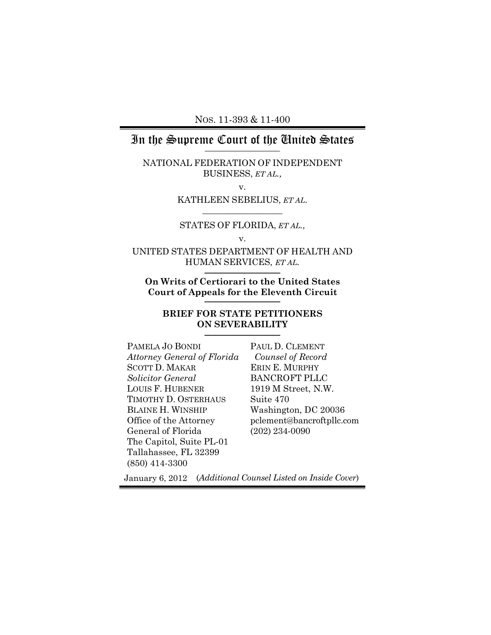NOS. 11-393 & 11-400

# In the Supreme Court of the United States **\_\_\_\_\_\_\_\_\_\_\_\_\_\_\_\_\_**

NATIONAL FEDERATION OF INDEPENDENT BUSINESS, *ET AL.,*

v.

#### KATHLEEN SEBELIUS, *ET AL.*  $\frac{1}{2}$  ,  $\frac{1}{2}$  ,  $\frac{1}{2}$  ,  $\frac{1}{2}$  ,  $\frac{1}{2}$  ,  $\frac{1}{2}$  ,  $\frac{1}{2}$  ,  $\frac{1}{2}$  ,  $\frac{1}{2}$  ,  $\frac{1}{2}$  ,  $\frac{1}{2}$  ,  $\frac{1}{2}$  ,  $\frac{1}{2}$  ,  $\frac{1}{2}$  ,  $\frac{1}{2}$  ,  $\frac{1}{2}$  ,  $\frac{1}{2}$  ,  $\frac{1}{2}$  ,  $\frac{1$

STATES OF FLORIDA, *ET AL.,* v.

UNITED STATES DEPARTMENT OF HEALTH AND HUMAN SERVICES, *ET AL.* \_\_\_\_\_\_\_\_\_\_\_\_\_\_\_\_\_\_\_\_\_

**On Writs of Certiorari to the United States Court of Appeals for the Eleventh Circuit** \_\_\_\_\_\_\_\_\_\_\_\_\_\_\_\_\_\_\_\_\_

#### **BRIEF FOR STATE PETITIONERS ON SEVERABILITY**  $\overline{\phantom{a}}$  , and the set of the set of the set of the set of the set of the set of the set of the set of the set of the set of the set of the set of the set of the set of the set of the set of the set of the set of the s

| PAMELA JO BONDI             | PAUI  |
|-----------------------------|-------|
| Attorney General of Florida | Cou   |
| <b>SCOTT D. MAKAR</b>       | ERIN  |
| Solicitor General           | BAN   |
| <b>LOUIS F. HUBENER</b>     | 1919  |
| TIMOTHY D. OSTERHAUS        | Suite |
| <b>BLAINE H. WINSHIP</b>    | Wasl  |
| Office of the Attorney      | pclen |
| General of Florida          | (202) |
| The Capitol, Suite PL-01    |       |
| Tallahassee, FL 32399       |       |
| $(850)$ 414-3300            |       |

L D. CLEMENT *Counsel of Record* E. MURPHY **CROFT PLLC** M Street, N.W. e 470 hington, DC 20036 pclement@bancroftpllc.com 234-0090

January 6, 2012 (*Additional Counsel Listed on Inside Cover*)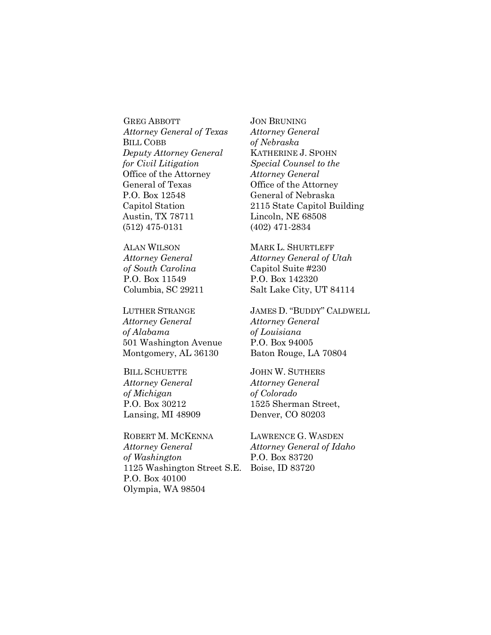GREG ABBOTT *Attorney General of Texas* BILL COBB *Deputy Attorney General for Civil Litigation*  Office of the Attorney General of Texas P.O. Box 12548 Capitol Station Austin, TX 78711 (512) 475-0131

ALAN WILSON *Attorney General of South Carolina* P.O. Box 11549 Columbia, SC 29211

LUTHER STRANGE *Attorney General of Alabama* 501 Washington Avenue Montgomery, AL 36130

BILL SCHUETTE *Attorney General of Michigan* P.O. Box 30212 Lansing, MI 48909

ROBERT M. MCKENNA *Attorney General of Washington* 1125 Washington Street S.E. Boise, ID 83720P.O. Box 40100 Olympia, WA 98504

JON BRUNING *Attorney General of Nebraska* KATHERINE J. SPOHN *Special Counsel to the Attorney General* Office of the Attorney General of Nebraska 2115 State Capitol Building Lincoln, NE 68508 (402) 471-2834

MARK L. SHURTLEFF *Attorney General of Utah* Capitol Suite #230 P.O. Box 142320 Salt Lake City, UT 84114

JAMES D. "BUDDY" CALDWELL *Attorney General of Louisiana* P.O. Box 94005 Baton Rouge, LA 70804

JOHN W. SUTHERS *Attorney General of Colorado* 1525 Sherman Street, Denver, CO 80203

LAWRENCE G. WASDEN *Attorney General of Idaho* P.O. Box 83720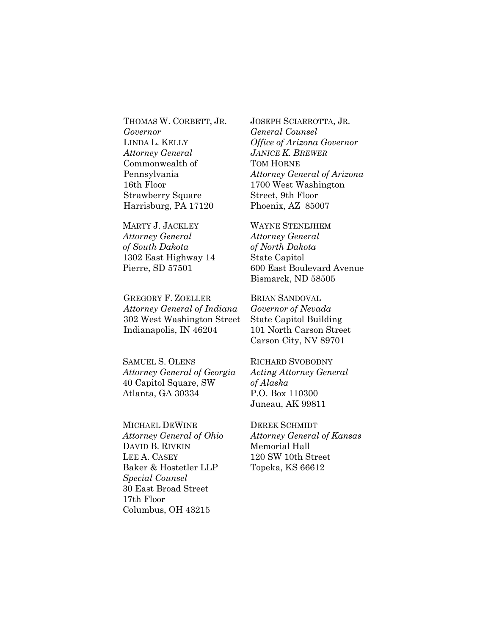THOMAS W. CORBETT, JR. *Governor*  LINDA L. KELLY *Attorney General* Commonwealth of Pennsylvania 16th Floor Strawberry Square Harrisburg, PA 17120

MARTY J. JACKLEY *Attorney General of South Dakota* 1302 East Highway 14 Pierre, SD 57501

GREGORY F. ZOELLER *Attorney General of Indiana* 302 West Washington Street Indianapolis, IN 46204

SAMUEL S. OLENS *Attorney General of Georgia* 40 Capitol Square, SW Atlanta, GA 30334

MICHAEL DEWINE *Attorney General of Ohio* DAVID B. RIVKIN LEE A. CASEY Baker & Hostetler LLP *Special Counsel* 30 East Broad Street 17th Floor Columbus, OH 43215

JOSEPH SCIARROTTA, JR. *General Counsel Office of Arizona Governor JANICE K. BREWER* TOM HORNE *Attorney General of Arizona* 1700 West Washington Street, 9th Floor Phoenix, AZ 85007

WAYNE STENEJHEM *Attorney General of North Dakota* State Capitol 600 East Boulevard Avenue Bismarck, ND 58505

BRIAN SANDOVAL *Governor of Nevada* State Capitol Building 101 North Carson Street Carson City, NV 89701

RICHARD SVOBODNY *Acting Attorney General of Alaska* P.O. Box 110300 Juneau, AK 99811

DEREK SCHMIDT *Attorney General of Kansas* Memorial Hall 120 SW 10th Street Topeka, KS 66612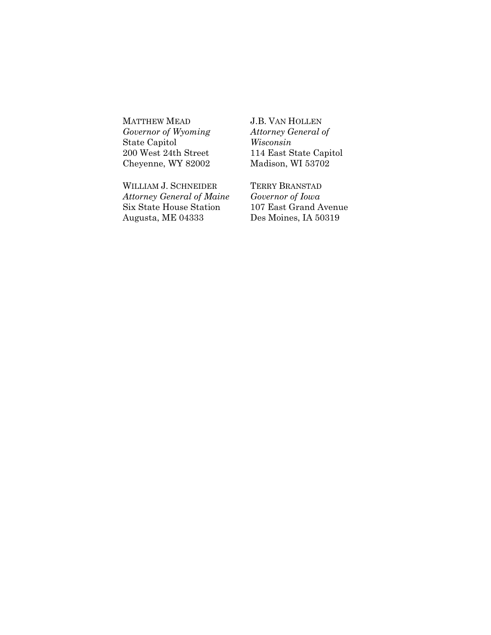MATTHEW MEAD *Governor of Wyoming* State Capitol 200 West 24th Street Cheyenne, WY 82002

WILLIAM J. SCHNEIDER *Attorney General of Maine* Six State House Station Augusta, ME 04333

J.B. VAN HOLLEN *Attorney General of Wisconsin* 114 East State Capitol Madison, WI 53702

TERRY BRANSTAD *Governor of Iowa* 107 East Grand Avenue Des Moines, IA 50319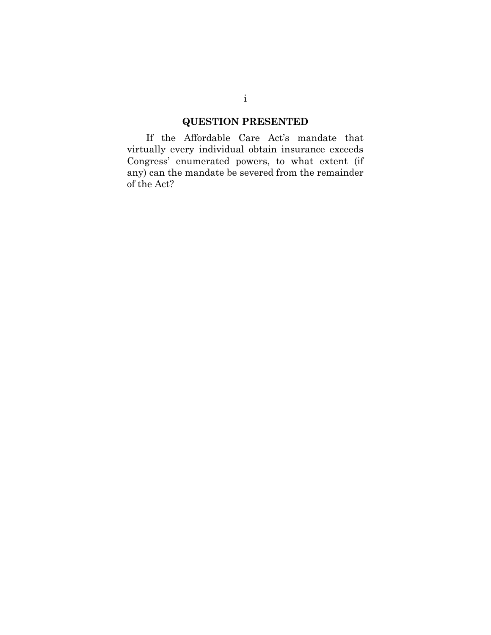# **QUESTION PRESENTED**

<span id="page-4-0"></span>If the Affordable Care Act's mandate that virtually every individual obtain insurance exceeds Congress' enumerated powers, to what extent (if any) can the mandate be severed from the remainder of the Act?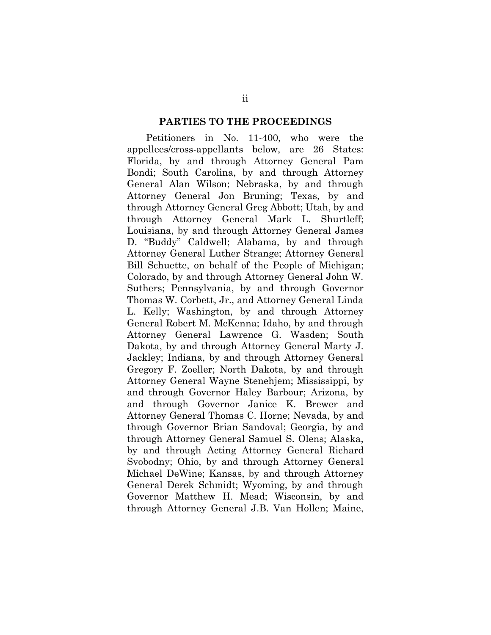#### **PARTIES TO THE PROCEEDINGS**

<span id="page-5-0"></span>Petitioners in No. 11-400, who were the appellees/cross-appellants below, are 26 States: Florida, by and through Attorney General Pam Bondi; South Carolina, by and through Attorney General Alan Wilson; Nebraska, by and through Attorney General Jon Bruning; Texas, by and through Attorney General Greg Abbott; Utah, by and through Attorney General Mark L. Shurtleff; Louisiana, by and through Attorney General James D. "Buddy" Caldwell; Alabama, by and through Attorney General Luther Strange; Attorney General Bill Schuette, on behalf of the People of Michigan; Colorado, by and through Attorney General John W. Suthers; Pennsylvania, by and through Governor Thomas W. Corbett, Jr., and Attorney General Linda L. Kelly; Washington, by and through Attorney General Robert M. McKenna; Idaho, by and through Attorney General Lawrence G. Wasden; South Dakota, by and through Attorney General Marty J. Jackley; Indiana, by and through Attorney General Gregory F. Zoeller; North Dakota, by and through Attorney General Wayne Stenehjem; Mississippi, by and through Governor Haley Barbour; Arizona, by and through Governor Janice K. Brewer and Attorney General Thomas C. Horne; Nevada, by and through Governor Brian Sandoval; Georgia, by and through Attorney General Samuel S. Olens; Alaska, by and through Acting Attorney General Richard Svobodny; Ohio, by and through Attorney General Michael DeWine; Kansas, by and through Attorney General Derek Schmidt; Wyoming, by and through Governor Matthew H. Mead; Wisconsin, by and through Attorney General J.B. Van Hollen; Maine,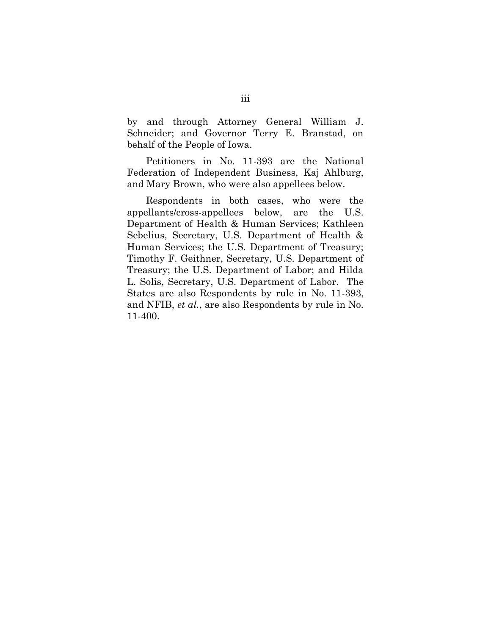by and through Attorney General William J. Schneider; and Governor Terry E. Branstad, on behalf of the People of Iowa.

Petitioners in No. 11-393 are the National Federation of Independent Business, Kaj Ahlburg, and Mary Brown, who were also appellees below.

Respondents in both cases, who were the appellants/cross-appellees below, are the U.S. Department of Health & Human Services; Kathleen Sebelius, Secretary, U.S. Department of Health & Human Services; the U.S. Department of Treasury; Timothy F. Geithner, Secretary, U.S. Department of Treasury; the U.S. Department of Labor; and Hilda L. Solis, Secretary, U.S. Department of Labor. The States are also Respondents by rule in No. 11-393, and NFIB, *et al.*, are also Respondents by rule in No. 11-400.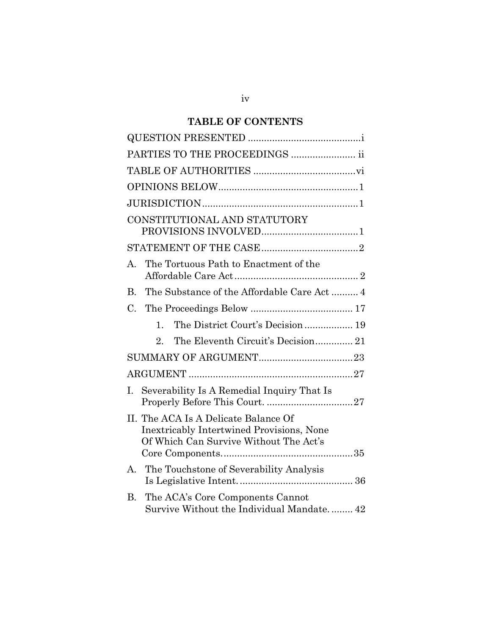## **TABLE OF CONTENTS**

| PARTIES TO THE PROCEEDINGS  ii                                                                                                     |  |
|------------------------------------------------------------------------------------------------------------------------------------|--|
|                                                                                                                                    |  |
|                                                                                                                                    |  |
|                                                                                                                                    |  |
| CONSTITUTIONAL AND STATUTORY                                                                                                       |  |
|                                                                                                                                    |  |
| The Tortuous Path to Enactment of the<br>A.                                                                                        |  |
| The Substance of the Affordable Care Act 4<br>B.                                                                                   |  |
| $C_{\cdot}$                                                                                                                        |  |
| The District Court's Decision  19<br>$\mathbf{1}$ .                                                                                |  |
| $2_{-}$                                                                                                                            |  |
|                                                                                                                                    |  |
|                                                                                                                                    |  |
| Severability Is A Remedial Inquiry That Is<br>L.                                                                                   |  |
| II. The ACA Is A Delicate Balance Of<br><b>Inextricably Intertwined Provisions, None</b><br>Of Which Can Survive Without The Act's |  |
| The Touchstone of Severability Analysis<br>А.                                                                                      |  |
| The ACA's Core Components Cannot<br>В.<br>Survive Without the Individual Mandate 42                                                |  |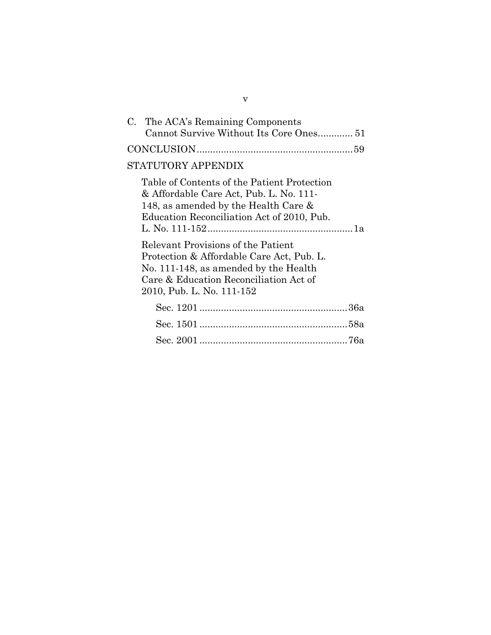| C. The ACA's Remaining Components<br>Cannot Survive Without Its Core Ones 51                                                                                                                                                                                                                                                                                                    |
|---------------------------------------------------------------------------------------------------------------------------------------------------------------------------------------------------------------------------------------------------------------------------------------------------------------------------------------------------------------------------------|
|                                                                                                                                                                                                                                                                                                                                                                                 |
| STATUTORY APPENDIX                                                                                                                                                                                                                                                                                                                                                              |
| Table of Contents of the Patient Protection<br>& Affordable Care Act, Pub. L. No. 111-<br>148, as amended by the Health Care &<br>Education Reconciliation Act of 2010, Pub.<br>Relevant Provisions of the Patient<br>Protection & Affordable Care Act, Pub. L.<br>No. 111-148, as amended by the Health<br>Care & Education Reconciliation Act of<br>2010, Pub. L. No. 111-152 |
|                                                                                                                                                                                                                                                                                                                                                                                 |
|                                                                                                                                                                                                                                                                                                                                                                                 |
|                                                                                                                                                                                                                                                                                                                                                                                 |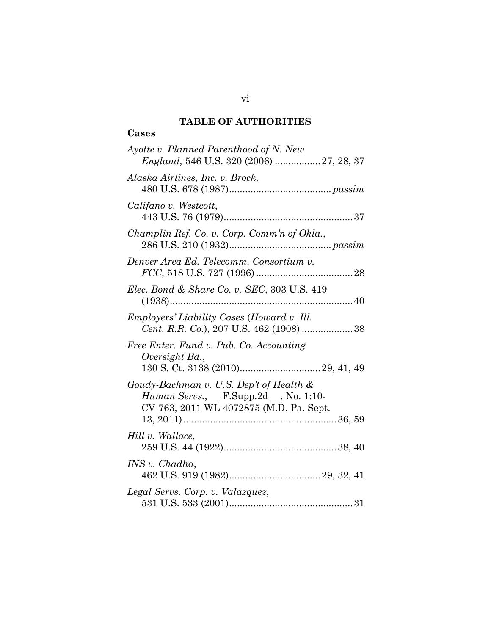### **TABLE OF AUTHORITIES**

### <span id="page-9-0"></span>**Cases**

| Ayotte v. Planned Parenthood of N. New<br>England, 546 U.S. 320 (2006)  27, 28, 37                                                     |
|----------------------------------------------------------------------------------------------------------------------------------------|
| Alaska Airlines, Inc. v. Brock,                                                                                                        |
| Califano v. Westcott,                                                                                                                  |
| Champlin Ref. Co. v. Corp. Comm'n of Okla.,                                                                                            |
| Denver Area Ed. Telecomm. Consortium v.                                                                                                |
| Elec. Bond & Share Co. v. SEC, 303 U.S. 419                                                                                            |
| <i>Employers' Liability Cases (Howard v. Ill.</i><br>Cent. R.R. Co.), 207 U.S. 462 (1908) 38                                           |
| Free Enter. Fund v. Pub. Co. Accounting<br>Oversight Bd.,                                                                              |
| Goudy-Bachman v. U.S. Dep't of Health &<br><i>Human Servs.</i> , __ F.Supp.2d __, No. 1:10-<br>CV-763, 2011 WL 4072875 (M.D. Pa. Sept. |
| Hill v. Wallace,                                                                                                                       |
| INS v. Chadha,                                                                                                                         |
| Legal Servs. Corp. v. Valazquez,                                                                                                       |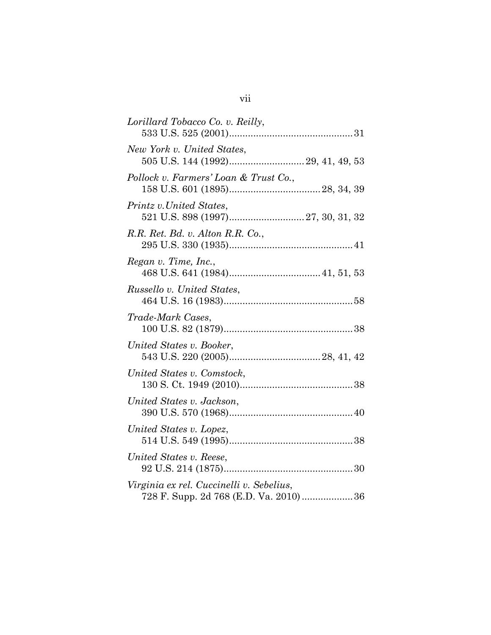| Lorillard Tobacco Co. v. Reilly,                                                   |  |
|------------------------------------------------------------------------------------|--|
| New York v. United States,                                                         |  |
| Pollock v. Farmers' Loan & Trust Co.,                                              |  |
| Printz v. United States,                                                           |  |
| R.R. Ret. Bd. v. Alton R.R. Co.,                                                   |  |
| Regan v. Time, Inc.,                                                               |  |
| Russello v. United States,                                                         |  |
| Trade-Mark Cases,                                                                  |  |
| United States v. Booker,                                                           |  |
| United States v. Comstock,                                                         |  |
| United States v. Jackson,                                                          |  |
| United States v. Lopez,                                                            |  |
| United States v. Reese,                                                            |  |
| Virginia ex rel. Cuccinelli v. Sebelius,<br>728 F. Supp. 2d 768 (E.D. Va. 2010) 36 |  |
|                                                                                    |  |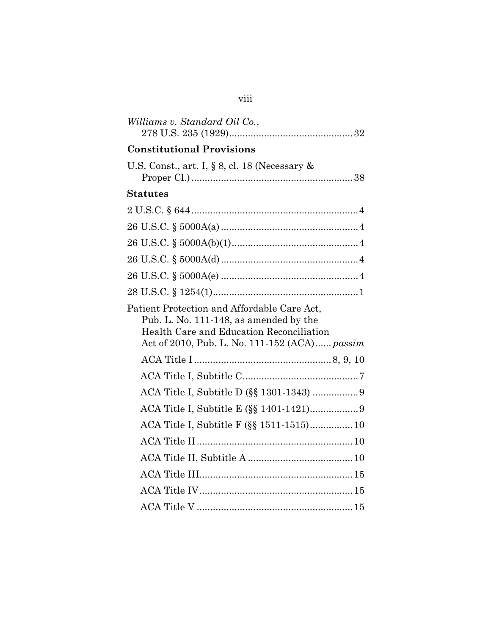| Williams v. Standard Oil Co.,                                                                                                                                                      |
|------------------------------------------------------------------------------------------------------------------------------------------------------------------------------------|
| <b>Constitutional Provisions</b>                                                                                                                                                   |
| U.S. Const., art. I, § 8, cl. 18 (Necessary $\&$                                                                                                                                   |
| Statutes                                                                                                                                                                           |
|                                                                                                                                                                                    |
|                                                                                                                                                                                    |
|                                                                                                                                                                                    |
|                                                                                                                                                                                    |
|                                                                                                                                                                                    |
|                                                                                                                                                                                    |
| Patient Protection and Affordable Care Act,<br>Pub. L. No. 111-148, as amended by the<br>Health Care and Education Reconciliation<br>Act of 2010, Pub. L. No. 111-152 (ACA) passim |
|                                                                                                                                                                                    |
|                                                                                                                                                                                    |
|                                                                                                                                                                                    |
|                                                                                                                                                                                    |
| ACA Title I, Subtitle F (§§ 1511-1515) 10                                                                                                                                          |
|                                                                                                                                                                                    |
|                                                                                                                                                                                    |
|                                                                                                                                                                                    |
|                                                                                                                                                                                    |
|                                                                                                                                                                                    |

# viii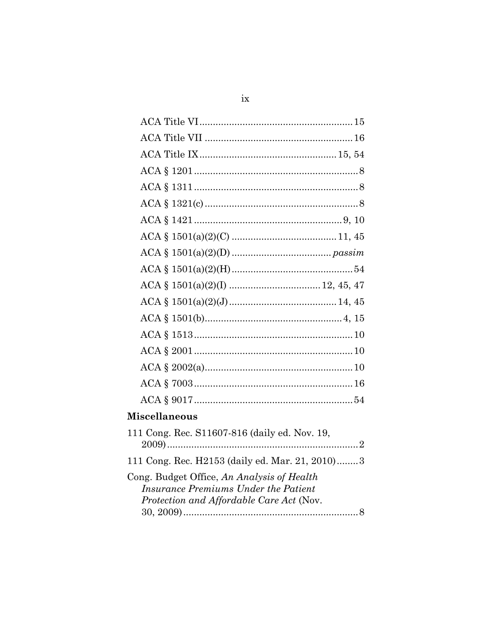| <b>Miscellaneous</b>                                                                      |  |
|-------------------------------------------------------------------------------------------|--|
| 111 Cong. Rec. S11607-816 (daily ed. Nov. 19,                                             |  |
| 111 Cong. Rec. H2153 (daily ed. Mar. 21, 2010)3                                           |  |
| Cong. Budget Office, An Analysis of Health<br><b>Insurance Premiums Under the Patient</b> |  |
| Protection and Affordable Care Act (Nov.                                                  |  |
|                                                                                           |  |

 $ix$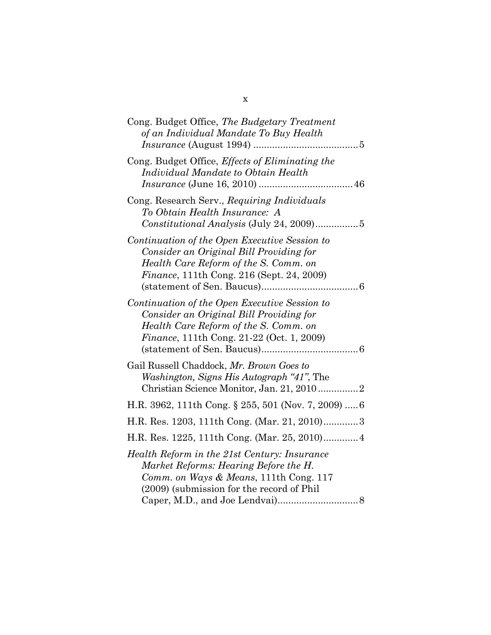| Cong. Budget Office, The Budgetary Treatment<br>of an Individual Mandate To Buy Health                                                                                                 |
|----------------------------------------------------------------------------------------------------------------------------------------------------------------------------------------|
| Cong. Budget Office, <i>Effects of Eliminating the</i><br>Individual Mandate to Obtain Health                                                                                          |
| Cong. Research Serv., Requiring Individuals<br>To Obtain Health Insurance: A<br>$Constitutional Analysis (July 24, 2009) \dots 5$                                                      |
| Continuation of the Open Executive Session to<br>Consider an Original Bill Providing for<br>Health Care Reform of the S. Comm. on<br><i>Finance</i> , 111th Cong. 216 (Sept. 24, 2009) |
| Continuation of the Open Executive Session to<br>Consider an Original Bill Providing for<br>Health Care Reform of the S. Comm. on<br><i>Finance</i> , 111th Cong. 21-22 (Oct. 1, 2009) |
| Gail Russell Chaddock, Mr. Brown Goes to<br>Washington, Signs His Autograph "41", The                                                                                                  |
| H.R. 3962, 111th Cong. § 255, 501 (Nov. 7, 2009)  6                                                                                                                                    |
| H.R. Res. 1203, 111th Cong. (Mar. 21, 2010)3                                                                                                                                           |
| H.R. Res. 1225, 111th Cong. (Mar. 25, 2010) 4                                                                                                                                          |
| Health Reform in the 21st Century: Insurance<br>Market Reforms: Hearing Before the H.<br>Comm. on Ways & Means, 111th Cong. 117<br>(2009) (submission for the record of Phil           |

x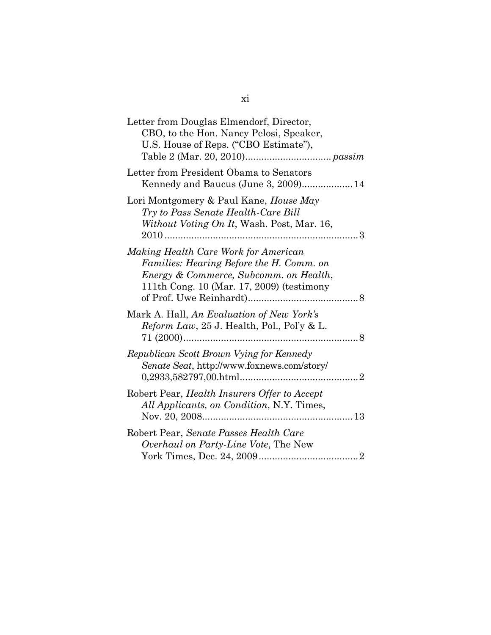| Letter from Douglas Elmendorf, Director,<br>CBO, to the Hon. Nancy Pelosi, Speaker,<br>U.S. House of Reps. ("CBO Estimate"),                                            |
|-------------------------------------------------------------------------------------------------------------------------------------------------------------------------|
| Letter from President Obama to Senators<br>Kennedy and Baucus (June 3, 2009) 14                                                                                         |
| Lori Montgomery & Paul Kane, House May<br>Try to Pass Senate Health-Care Bill<br>Without Voting On It, Wash. Post, Mar. 16,                                             |
| Making Health Care Work for American<br>Families: Hearing Before the H. Comm. on<br>Energy & Commerce, Subcomm. on Health,<br>111th Cong. 10 (Mar. 17, 2009) (testimony |
| Mark A. Hall, An Evaluation of New York's<br>Reform Law, 25 J. Health, Pol., Pol'y & L.                                                                                 |
| Republican Scott Brown Vying for Kennedy<br>Senate Seat, http://www.foxnews.com/story/                                                                                  |
| Robert Pear, Health Insurers Offer to Accept<br>All Applicants, on Condition, N.Y. Times,                                                                               |
| Robert Pear, Senate Passes Health Care<br>Overhaul on Party-Line Vote, The New                                                                                          |
|                                                                                                                                                                         |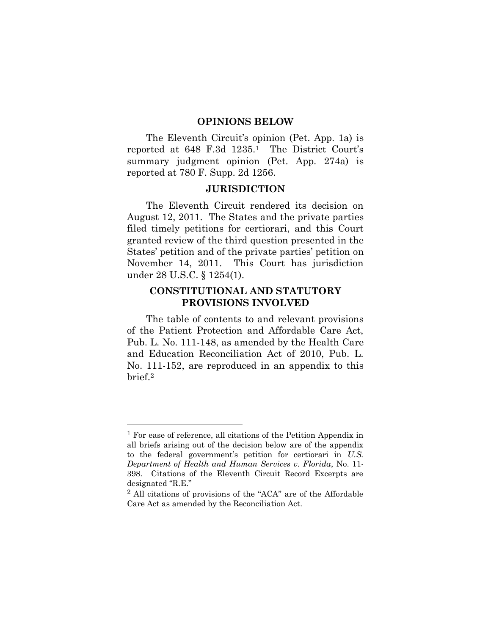#### **OPINIONS BELOW**

<span id="page-15-0"></span>The Eleventh Circuit's opinion (Pet. App. 1a) is reported at 648 F.3d 1235.1 The District Court's summary judgment opinion (Pet. App. 274a) is reported at 780 F. Supp. 2d 1256.

#### **JURISDICTION**

<span id="page-15-1"></span>The Eleventh Circuit rendered its decision on August 12, 2011. The States and the private parties filed timely petitions for certiorari, and this Court granted review of the third question presented in the States' petition and of the private parties' petition on November 14, 2011. This Court has jurisdiction under 28 U.S.C. § 1254(1).

#### <span id="page-15-2"></span>**CONSTITUTIONAL AND STATUTORY PROVISIONS INVOLVED**

The table of contents to and relevant provisions of the Patient Protection and Affordable Care Act, Pub. L. No. 111-148, as amended by the Health Care and Education Reconciliation Act of 2010, Pub. L. No. 111-152, are reproduced in an appendix to this brief. 2

<sup>1</sup> For ease of reference, all citations of the Petition Appendix in all briefs arising out of the decision below are of the appendix to the federal government's petition for certiorari in *U.S. Department of Health and Human Services v. Florida*, No. 11- 398. Citations of the Eleventh Circuit Record Excerpts are designated "R.E."

<sup>2</sup> All citations of provisions of the "ACA" are of the Affordable Care Act as amended by the Reconciliation Act.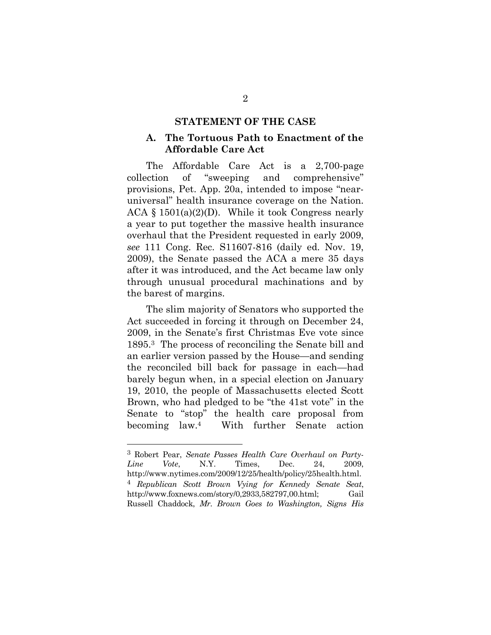#### **STATEMENT OF THE CASE**

#### <span id="page-16-1"></span><span id="page-16-0"></span>**A. The Tortuous Path to Enactment of the Affordable Care Act**

The Affordable Care Act is a 2,700-page collection of "sweeping and comprehensive" provisions, Pet. App. 20a, intended to impose "nearuniversal" health insurance coverage on the Nation. ACA  $\S$  1501(a)(2)(D). While it took Congress nearly a year to put together the massive health insurance overhaul that the President requested in early 2009, *see* 111 Cong. Rec. S11607-816 (daily ed. Nov. 19, 2009), the Senate passed the ACA a mere 35 days after it was introduced, and the Act became law only through unusual procedural machinations and by the barest of margins.

The slim majority of Senators who supported the Act succeeded in forcing it through on December 24, 2009, in the Senate's first Christmas Eve vote since 1895. <sup>3</sup> The process of reconciling the Senate bill and an earlier version passed by the House—and sending the reconciled bill back for passage in each—had barely begun when, in a special election on January 19, 2010, the people of Massachusetts elected Scott Brown, who had pledged to be "the 41st vote" in the Senate to "stop" the health care proposal from becoming law. With further Senate action

<sup>3</sup> Robert Pear, *Senate Passes Health Care Overhaul on Party-Line Vote*, N.Y. Times, Dec. 24, 2009, http://www.nytimes.com/2009/12/25/health/policy/25health.html. 4 *Republican Scott Brown Vying for Kennedy Senate Seat*, http://www.foxnews.com/story/0,2933,582797,00.html; Gail Russell Chaddock, *Mr. Brown Goes to Washington, Signs His*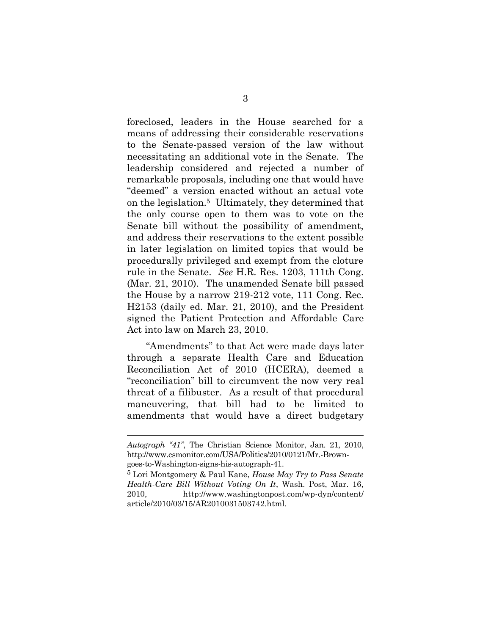foreclosed, leaders in the House searched for a means of addressing their considerable reservations to the Senate-passed version of the law without necessitating an additional vote in the Senate. The leadership considered and rejected a number of remarkable proposals, including one that would have "deemed" a version enacted without an actual vote on the legislation. <sup>5</sup> Ultimately, they determined that the only course open to them was to vote on the Senate bill without the possibility of amendment, and address their reservations to the extent possible in later legislation on limited topics that would be procedurally privileged and exempt from the cloture rule in the Senate. *See* H.R. Res. 1203, 111th Cong. (Mar. 21, 2010). The unamended Senate bill passed the House by a narrow 219-212 vote, 111 Cong. Rec. H2153 (daily ed. Mar. 21, 2010), and the President signed the Patient Protection and Affordable Care Act into law on March 23, 2010.

"Amendments" to that Act were made days later through a separate Health Care and Education Reconciliation Act of 2010 (HCERA), deemed a "reconciliation" bill to circumvent the now very real threat of a filibuster. As a result of that procedural maneuvering, that bill had to be limited to amendments that would have a direct budgetary

*Autograph "41"*, The Christian Science Monitor, Jan. 21, 2010, http://www.csmonitor.com/USA/Politics/2010/0121/Mr.-Browngoes-to-Washington-signs-his-autograph-41.

<sup>5</sup> Lori Montgomery & Paul Kane, *House May Try to Pass Senate Health-Care Bill Without Voting On It*, Wash. Post, Mar. 16, 2010, http://www.washingtonpost.com/wp-dyn/content/ article/2010/03/15/AR2010031503742.html.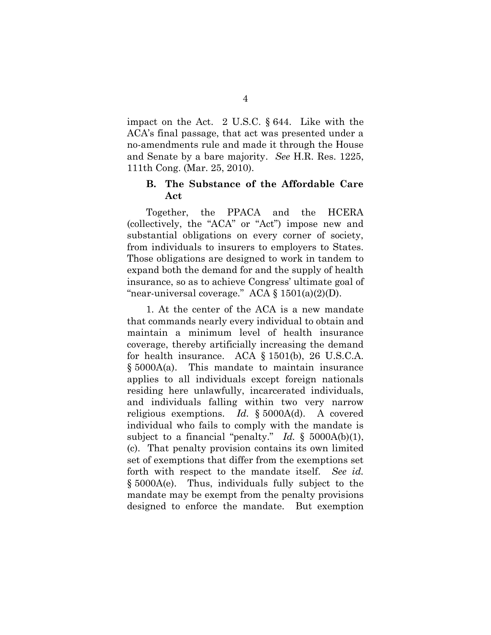impact on the Act. 2 U.S.C. § 644. Like with the ACA's final passage, that act was presented under a no-amendments rule and made it through the House and Senate by a bare majority. *See* H.R. Res. 1225, 111th Cong. (Mar. 25, 2010).

#### <span id="page-18-0"></span>**B. The Substance of the Affordable Care Act**

Together, the PPACA and the HCERA (collectively, the "ACA" or "Act") impose new and substantial obligations on every corner of society, from individuals to insurers to employers to States. Those obligations are designed to work in tandem to expand both the demand for and the supply of health insurance, so as to achieve Congress' ultimate goal of "near-universal coverage." ACA  $\S 1501(a)(2)(D)$ .

1. At the center of the ACA is a new mandate that commands nearly every individual to obtain and maintain a minimum level of health insurance coverage, thereby artificially increasing the demand for health insurance. ACA § 1501(b), 26 U.S.C.A. § 5000A(a). This mandate to maintain insurance applies to all individuals except foreign nationals residing here unlawfully, incarcerated individuals, and individuals falling within two very narrow religious exemptions. *Id.* § 5000A(d). A covered individual who fails to comply with the mandate is subject to a financial "penalty." *Id.* § 5000A(b)(1), (c). That penalty provision contains its own limited set of exemptions that differ from the exemptions set forth with respect to the mandate itself. *See id.* § 5000A(e). Thus, individuals fully subject to the mandate may be exempt from the penalty provisions designed to enforce the mandate. But exemption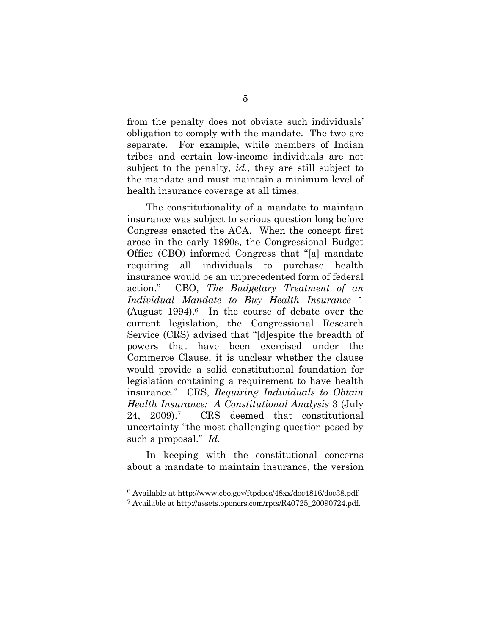from the penalty does not obviate such individuals' obligation to comply with the mandate. The two are separate. For example, while members of Indian tribes and certain low-income individuals are not subject to the penalty, *id.*, they are still subject to the mandate and must maintain a minimum level of health insurance coverage at all times.

The constitutionality of a mandate to maintain insurance was subject to serious question long before Congress enacted the ACA. When the concept first arose in the early 1990s, the Congressional Budget Office (CBO) informed Congress that "[a] mandate requiring all individuals to purchase health insurance would be an unprecedented form of federal action." CBO, *The Budgetary Treatment of an Individual Mandate to Buy Health Insurance* 1 (August  $1994$ ).<sup>6</sup> In the course of debate over the current legislation, the Congressional Research Service (CRS) advised that "[d]espite the breadth of powers that have been exercised under the Commerce Clause, it is unclear whether the clause would provide a solid constitutional foundation for legislation containing a requirement to have health insurance." CRS, *Requiring Individuals to Obtain Health Insurance: A Constitutional Analysis* 3 (July 24, 2009).7 CRS deemed that constitutional uncertainty "the most challenging question posed by such a proposal." *Id.*

In keeping with the constitutional concerns about a mandate to maintain insurance, the version

l

<sup>6</sup> Available at http://www.cbo.gov/ftpdocs/48xx/doc4816/doc38.pdf.

<sup>7</sup> Available at http://assets.opencrs.com/rpts/R40725\_20090724.pdf.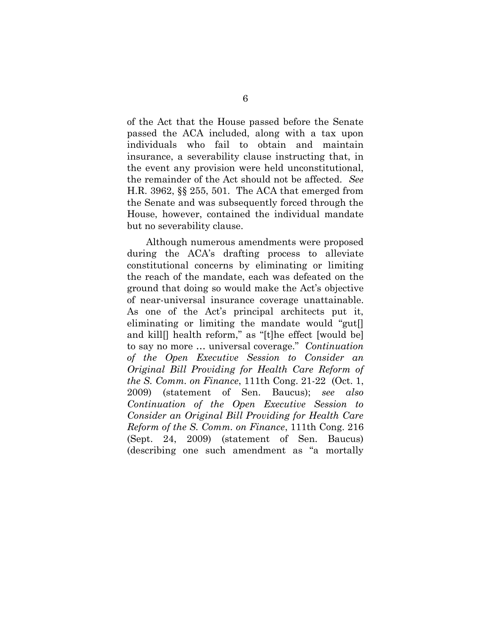of the Act that the House passed before the Senate passed the ACA included, along with a tax upon individuals who fail to obtain and maintain insurance, a severability clause instructing that, in the event any provision were held unconstitutional, the remainder of the Act should not be affected. *See* H.R. 3962, §§ 255, 501. The ACA that emerged from the Senate and was subsequently forced through the House, however, contained the individual mandate but no severability clause.

Although numerous amendments were proposed during the ACA's drafting process to alleviate constitutional concerns by eliminating or limiting the reach of the mandate, each was defeated on the ground that doing so would make the Act's objective of near-universal insurance coverage unattainable. As one of the Act's principal architects put it, eliminating or limiting the mandate would "gut[] and kill[] health reform," as "[t]he effect [would be] to say no more … universal coverage." *Continuation of the Open Executive Session to Consider an Original Bill Providing for Health Care Reform of the S. Comm. on Finance*, 111th Cong. 21-22 (Oct. 1, 2009) (statement of Sen. Baucus); *see also Continuation of the Open Executive Session to Consider an Original Bill Providing for Health Care Reform of the S. Comm. on Finance*, 111th Cong. 216 (Sept. 24, 2009) (statement of Sen. Baucus) (describing one such amendment as "a mortally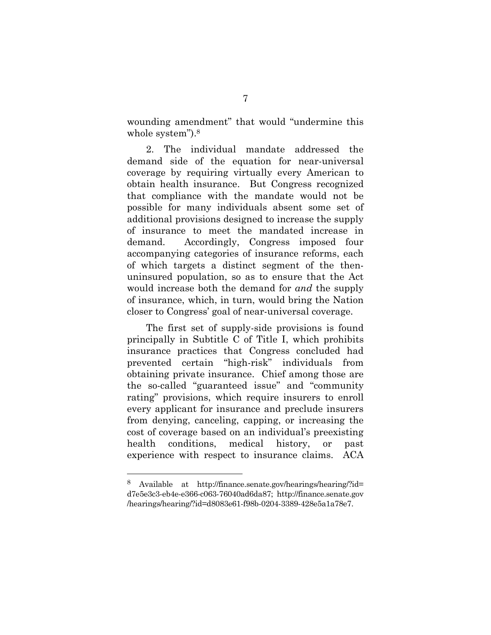wounding amendment" that would "undermine this whole system"). 8

2. The individual mandate addressed the demand side of the equation for near-universal coverage by requiring virtually every American to obtain health insurance. But Congress recognized that compliance with the mandate would not be possible for many individuals absent some set of additional provisions designed to increase the supply of insurance to meet the mandated increase in demand. Accordingly, Congress imposed four accompanying categories of insurance reforms, each of which targets a distinct segment of the thenuninsured population, so as to ensure that the Act would increase both the demand for *and* the supply of insurance, which, in turn, would bring the Nation closer to Congress' goal of near-universal coverage.

The first set of supply-side provisions is found principally in Subtitle C of Title I, which prohibits insurance practices that Congress concluded had prevented certain "high-risk" individuals from obtaining private insurance. Chief among those are the so-called "guaranteed issue" and "community rating" provisions, which require insurers to enroll every applicant for insurance and preclude insurers from denying, canceling, capping, or increasing the cost of coverage based on an individual's preexisting health conditions, medical history, or past experience with respect to insurance claims. ACA

<sup>8</sup> Available at http://finance.senate.gov/hearings/hearing/?id= d7e5e3c3-eb4e-e366-c063-76040ad6da87; http://finance.senate.gov /hearings/hearing/?id=d8083e61-f98b-0204-3389-428e5a1a78e7.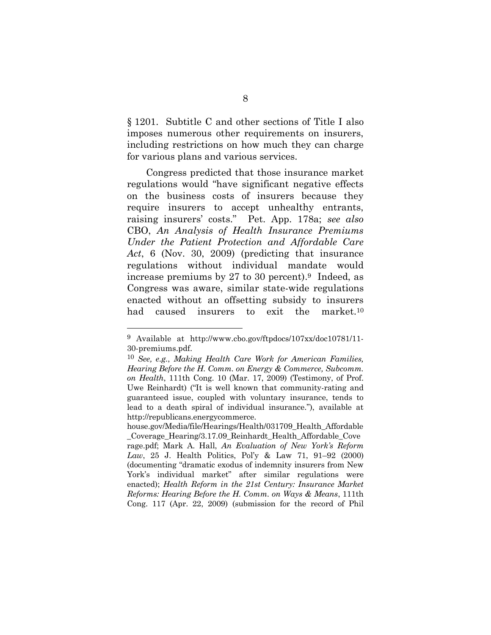§ 1201. Subtitle C and other sections of Title I also imposes numerous other requirements on insurers, including restrictions on how much they can charge for various plans and various services.

Congress predicted that those insurance market regulations would "have significant negative effects on the business costs of insurers because they require insurers to accept unhealthy entrants, raising insurers' costs." Pet. App. 178a; *see also* CBO, *An Analysis of Health Insurance Premiums Under the Patient Protection and Affordable Care Act*, 6 (Nov. 30, 2009) (predicting that insurance regulations without individual mandate would increase premiums by 27 to 30 percent). <sup>9</sup> Indeed, as Congress was aware, similar state-wide regulations enacted without an offsetting subsidy to insurers had caused insurers to exit the market.<sup>10</sup>

<sup>9</sup> Available at http://www.cbo.gov/ftpdocs/107xx/doc10781/11- 30-premiums.pdf.

<sup>10</sup> *See, e.g.*, *Making Health Care Work for American Families, Hearing Before the H. Comm. on Energy & Commerce, Subcomm. on Health*, 111th Cong. 10 (Mar. 17, 2009) (Testimony, of Prof. Uwe Reinhardt) ("It is well known that community-rating and guaranteed issue, coupled with voluntary insurance, tends to lead to a death spiral of individual insurance."), available at http://republicans.energycommerce.

house.gov/Media/file/Hearings/Health/031709\_Health\_Affordable \_Coverage\_Hearing/3.17.09\_Reinhardt\_Health\_Affordable\_Cove rage.pdf; Mark A. Hall, *An Evaluation of New York's Reform Law*, 25 J. Health Politics, Pol'y & Law 71, 91–92 (2000) (documenting "dramatic exodus of indemnity insurers from New York's individual market" after similar regulations were enacted); *Health Reform in the 21st Century: Insurance Market Reforms: Hearing Before the H. Comm. on Ways & Means*, 111th Cong. 117 (Apr. 22, 2009) (submission for the record of Phil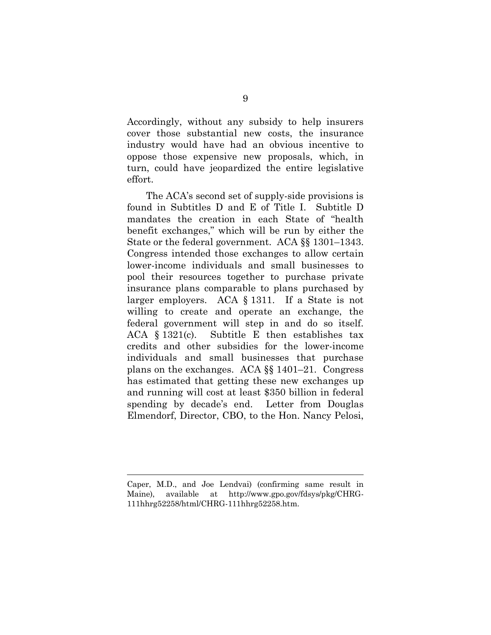Accordingly, without any subsidy to help insurers cover those substantial new costs, the insurance industry would have had an obvious incentive to oppose those expensive new proposals, which, in turn, could have jeopardized the entire legislative effort.

The ACA's second set of supply-side provisions is found in Subtitles D and E of Title I. Subtitle D mandates the creation in each State of "health benefit exchanges," which will be run by either the State or the federal government. ACA §§ 1301–1343. Congress intended those exchanges to allow certain lower-income individuals and small businesses to pool their resources together to purchase private insurance plans comparable to plans purchased by larger employers. ACA § 1311. If a State is not willing to create and operate an exchange, the federal government will step in and do so itself. ACA § 1321(c). Subtitle E then establishes tax credits and other subsidies for the lower-income individuals and small businesses that purchase plans on the exchanges. ACA §§ 1401–21. Congress has estimated that getting these new exchanges up and running will cost at least \$350 billion in federal spending by decade's end. Letter from Douglas Elmendorf, Director, CBO, to the Hon. Nancy Pelosi,

Caper, M.D., and Joe Lendvai) (confirming same result in Maine), available at http://www.gpo.gov/fdsys/pkg/CHRG-111hhrg52258/html/CHRG-111hhrg52258.htm.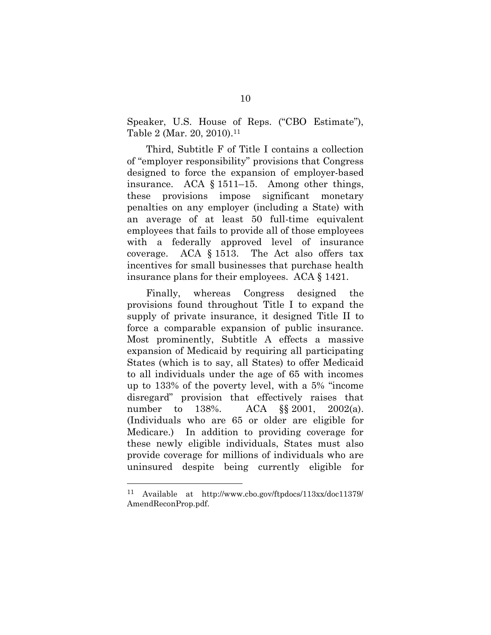Speaker, U.S. House of Reps. ("CBO Estimate"), Table 2 (Mar. 20, 2010). 11

Third, Subtitle F of Title I contains a collection of "employer responsibility" provisions that Congress designed to force the expansion of employer-based insurance. ACA § 1511–15. Among other things, these provisions impose significant monetary penalties on any employer (including a State) with an average of at least 50 full-time equivalent employees that fails to provide all of those employees with a federally approved level of insurance coverage. ACA § 1513. The Act also offers tax incentives for small businesses that purchase health insurance plans for their employees. ACA § 1421.

Finally, whereas Congress designed the provisions found throughout Title I to expand the supply of private insurance, it designed Title II to force a comparable expansion of public insurance. Most prominently, Subtitle A effects a massive expansion of Medicaid by requiring all participating States (which is to say, all States) to offer Medicaid to all individuals under the age of 65 with incomes up to 133% of the poverty level, with a 5% "income disregard" provision that effectively raises that number to 138%. ACA §§ 2001, 2002(a). (Individuals who are 65 or older are eligible for Medicare.) In addition to providing coverage for these newly eligible individuals, States must also provide coverage for millions of individuals who are uninsured despite being currently eligible for

<sup>11</sup> Available at http://www.cbo.gov/ftpdocs/113xx/doc11379/ AmendReconProp.pdf.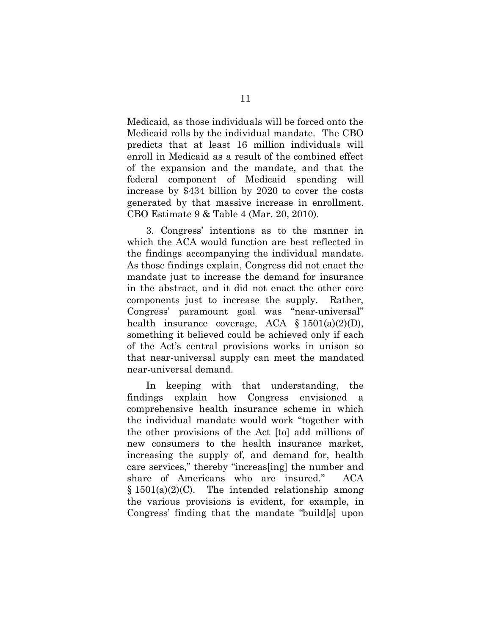Medicaid, as those individuals will be forced onto the Medicaid rolls by the individual mandate. The CBO predicts that at least 16 million individuals will enroll in Medicaid as a result of the combined effect of the expansion and the mandate, and that the federal component of Medicaid spending will increase by \$434 billion by 2020 to cover the costs generated by that massive increase in enrollment. CBO Estimate 9 & Table 4 (Mar. 20, 2010).

3. Congress' intentions as to the manner in which the ACA would function are best reflected in the findings accompanying the individual mandate. As those findings explain, Congress did not enact the mandate just to increase the demand for insurance in the abstract, and it did not enact the other core components just to increase the supply. Rather, Congress' paramount goal was "near-universal" health insurance coverage, ACA  $\S$  1501(a)(2)(D), something it believed could be achieved only if each of the Act's central provisions works in unison so that near-universal supply can meet the mandated near-universal demand.

In keeping with that understanding, the findings explain how Congress envisioned a comprehensive health insurance scheme in which the individual mandate would work "together with the other provisions of the Act [to] add millions of new consumers to the health insurance market, increasing the supply of, and demand for, health care services," thereby "increas[ing] the number and share of Americans who are insured." ACA  $§ 1501(a)(2)(C)$ . The intended relationship among the various provisions is evident, for example, in Congress' finding that the mandate "build[s] upon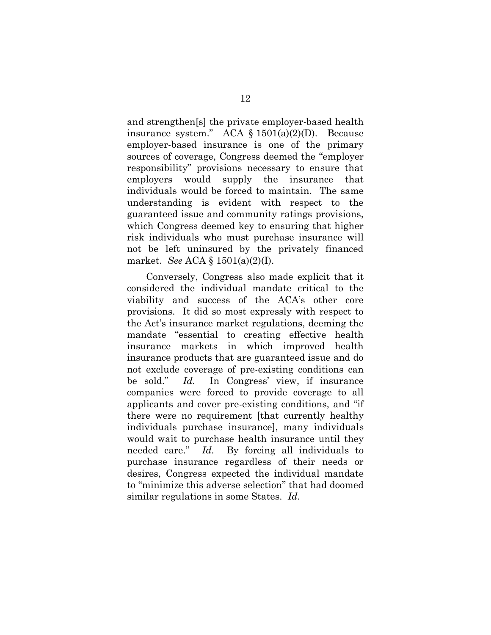and strengthen[s] the private employer-based health insurance system." ACA § 1501(a)(2)(D). Because employer-based insurance is one of the primary sources of coverage, Congress deemed the "employer responsibility" provisions necessary to ensure that employers would supply the insurance that individuals would be forced to maintain. The same understanding is evident with respect to the guaranteed issue and community ratings provisions, which Congress deemed key to ensuring that higher risk individuals who must purchase insurance will not be left uninsured by the privately financed market. *See* ACA § 1501(a)(2)(I).

Conversely, Congress also made explicit that it considered the individual mandate critical to the viability and success of the ACA's other core provisions. It did so most expressly with respect to the Act's insurance market regulations, deeming the mandate "essential to creating effective health insurance markets in which improved health insurance products that are guaranteed issue and do not exclude coverage of pre-existing conditions can be sold." *Id.* In Congress' view, if insurance companies were forced to provide coverage to all applicants and cover pre-existing conditions, and "if there were no requirement [that currently healthy individuals purchase insurance], many individuals would wait to purchase health insurance until they needed care." *Id.* By forcing all individuals to purchase insurance regardless of their needs or desires, Congress expected the individual mandate to "minimize this adverse selection" that had doomed similar regulations in some States. *Id*.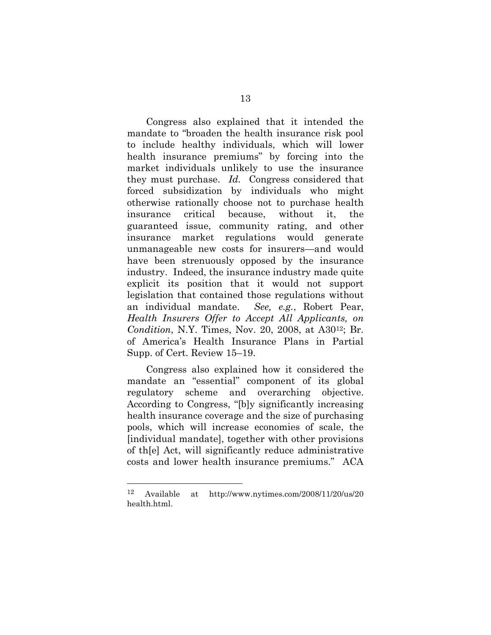Congress also explained that it intended the mandate to "broaden the health insurance risk pool to include healthy individuals, which will lower health insurance premiums" by forcing into the market individuals unlikely to use the insurance they must purchase. *Id.* Congress considered that forced subsidization by individuals who might otherwise rationally choose not to purchase health insurance critical because, without it, the guaranteed issue, community rating, and other insurance market regulations would generate unmanageable new costs for insurers—and would have been strenuously opposed by the insurance industry. Indeed, the insurance industry made quite explicit its position that it would not support legislation that contained those regulations without an individual mandate. *See, e.g.*, Robert Pear, *Health Insurers Offer to Accept All Applicants, on Condition*, N.Y. Times, Nov. 20, 2008, at A3012; Br. of America's Health Insurance Plans in Partial Supp. of Cert. Review 15–19.

Congress also explained how it considered the mandate an "essential" component of its global regulatory scheme and overarching objective. According to Congress, "[b]y significantly increasing health insurance coverage and the size of purchasing pools, which will increase economies of scale, the [individual mandate], together with other provisions of th[e] Act, will significantly reduce administrative costs and lower health insurance premiums." ACA

<sup>12</sup> Available at http://www.nytimes.com/2008/11/20/us/20 health.html.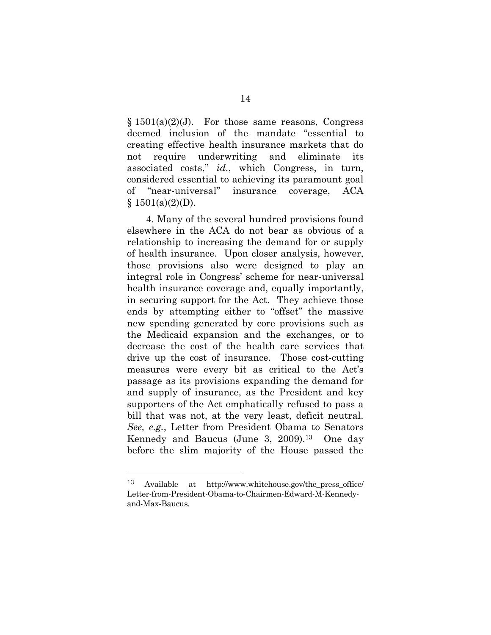$§ 1501(a)(2)(J)$ . For those same reasons, Congress deemed inclusion of the mandate "essential to creating effective health insurance markets that do not require underwriting and eliminate its associated costs," *id.*, which Congress, in turn, considered essential to achieving its paramount goal of "near-universal" insurance coverage, ACA  $§ 1501(a)(2)(D).$ 

4. Many of the several hundred provisions found elsewhere in the ACA do not bear as obvious of a relationship to increasing the demand for or supply of health insurance. Upon closer analysis, however, those provisions also were designed to play an integral role in Congress' scheme for near-universal health insurance coverage and, equally importantly, in securing support for the Act. They achieve those ends by attempting either to "offset" the massive new spending generated by core provisions such as the Medicaid expansion and the exchanges, or to decrease the cost of the health care services that drive up the cost of insurance. Those cost-cutting measures were every bit as critical to the Act's passage as its provisions expanding the demand for and supply of insurance, as the President and key supporters of the Act emphatically refused to pass a bill that was not, at the very least, deficit neutral. *See, e.g.*, Letter from President Obama to Senators Kennedy and Baucus (June 3, 2009).13 One day before the slim majority of the House passed the

<sup>13</sup> Available at http://www.whitehouse.gov/the\_press\_office/ Letter-from-President-Obama-to-Chairmen-Edward-M-Kennedyand-Max-Baucus.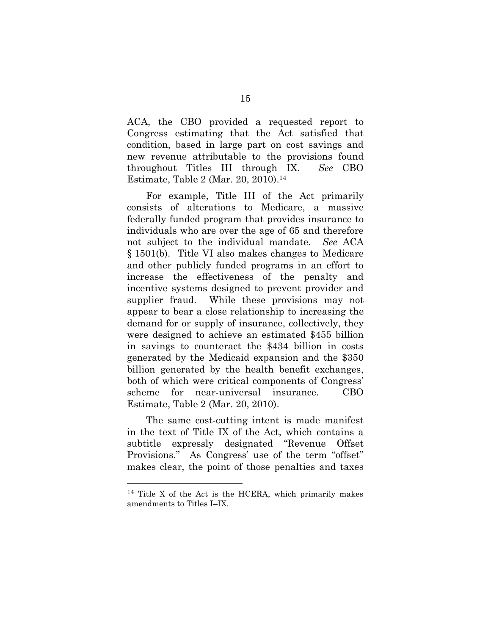ACA, the CBO provided a requested report to Congress estimating that the Act satisfied that condition, based in large part on cost savings and new revenue attributable to the provisions found throughout Titles III through IX. *See* CBO Estimate, Table 2 (Mar. 20, 2010). 14

For example, Title III of the Act primarily consists of alterations to Medicare, a massive federally funded program that provides insurance to individuals who are over the age of 65 and therefore not subject to the individual mandate. *See* ACA § 1501(b). Title VI also makes changes to Medicare and other publicly funded programs in an effort to increase the effectiveness of the penalty and incentive systems designed to prevent provider and supplier fraud. While these provisions may not appear to bear a close relationship to increasing the demand for or supply of insurance, collectively, they were designed to achieve an estimated \$455 billion in savings to counteract the \$434 billion in costs generated by the Medicaid expansion and the \$350 billion generated by the health benefit exchanges, both of which were critical components of Congress' scheme for near-universal insurance. CBO Estimate, Table 2 (Mar. 20, 2010).

The same cost-cutting intent is made manifest in the text of Title IX of the Act, which contains a subtitle expressly designated "Revenue Offset Provisions." As Congress' use of the term "offset" makes clear, the point of those penalties and taxes

<sup>14</sup> Title X of the Act is the HCERA, which primarily makes amendments to Titles I–IX.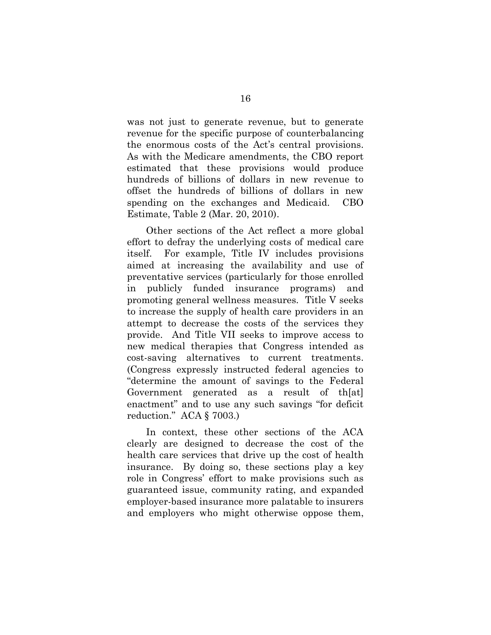was not just to generate revenue, but to generate revenue for the specific purpose of counterbalancing the enormous costs of the Act's central provisions. As with the Medicare amendments, the CBO report estimated that these provisions would produce hundreds of billions of dollars in new revenue to offset the hundreds of billions of dollars in new spending on the exchanges and Medicaid. CBO Estimate, Table 2 (Mar. 20, 2010).

Other sections of the Act reflect a more global effort to defray the underlying costs of medical care itself. For example, Title IV includes provisions aimed at increasing the availability and use of preventative services (particularly for those enrolled in publicly funded insurance programs) and promoting general wellness measures. Title V seeks to increase the supply of health care providers in an attempt to decrease the costs of the services they provide. And Title VII seeks to improve access to new medical therapies that Congress intended as cost-saving alternatives to current treatments. (Congress expressly instructed federal agencies to "determine the amount of savings to the Federal Government generated as a result of th[at] enactment" and to use any such savings "for deficit reduction." ACA § 7003.)

In context, these other sections of the ACA clearly are designed to decrease the cost of the health care services that drive up the cost of health insurance. By doing so, these sections play a key role in Congress' effort to make provisions such as guaranteed issue, community rating, and expanded employer-based insurance more palatable to insurers and employers who might otherwise oppose them,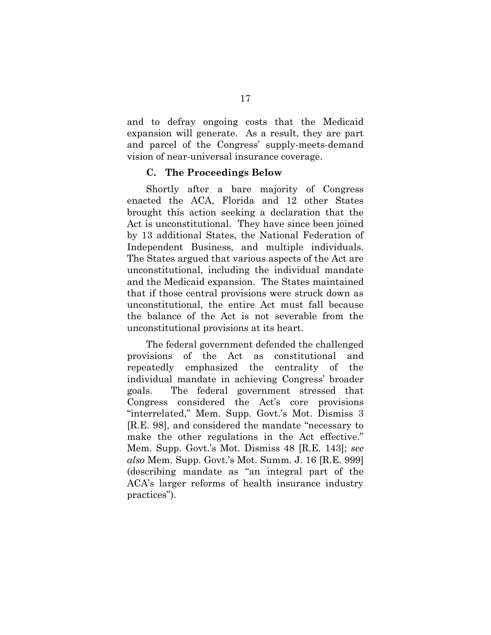and to defray ongoing costs that the Medicaid expansion will generate. As a result, they are part and parcel of the Congress' supply-meets-demand vision of near-universal insurance coverage.

#### **C. The Proceedings Below**

<span id="page-31-0"></span>Shortly after a bare majority of Congress enacted the ACA, Florida and 12 other States brought this action seeking a declaration that the Act is unconstitutional. They have since been joined by 13 additional States, the National Federation of Independent Business, and multiple individuals. The States argued that various aspects of the Act are unconstitutional, including the individual mandate and the Medicaid expansion. The States maintained that if those central provisions were struck down as unconstitutional, the entire Act must fall because the balance of the Act is not severable from the unconstitutional provisions at its heart.

The federal government defended the challenged provisions of the Act as constitutional and repeatedly emphasized the centrality of the individual mandate in achieving Congress' broader goals. The federal government stressed that Congress considered the Act's core provisions "interrelated," Mem. Supp. Govt.'s Mot. Dismiss 3 [R.E. 98], and considered the mandate "necessary to make the other regulations in the Act effective." Mem. Supp. Govt.'s Mot. Dismiss 48 [R.E. 143]; *see also* Mem. Supp. Govt.'s Mot. Summ. J. 16 [R.E. 999] (describing mandate as "an integral part of the ACA's larger reforms of health insurance industry practices").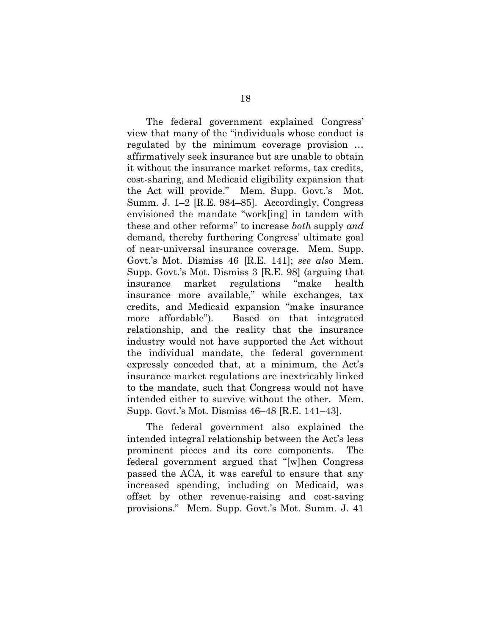The federal government explained Congress' view that many of the "individuals whose conduct is regulated by the minimum coverage provision … affirmatively seek insurance but are unable to obtain it without the insurance market reforms, tax credits, cost-sharing, and Medicaid eligibility expansion that the Act will provide." Mem. Supp. Govt.'s Mot. Summ. J. 1–2 [R.E. 984–85]. Accordingly, Congress envisioned the mandate "work[ing] in tandem with these and other reforms" to increase *both* supply *and*  demand, thereby furthering Congress' ultimate goal of near-universal insurance coverage. Mem. Supp. Govt.'s Mot. Dismiss 46 [R.E. 141]; *see also* Mem. Supp. Govt.'s Mot. Dismiss 3 [R.E. 98] (arguing that insurance market regulations "make health insurance more available," while exchanges, tax credits, and Medicaid expansion "make insurance more affordable"). Based on that integrated relationship, and the reality that the insurance industry would not have supported the Act without the individual mandate, the federal government expressly conceded that, at a minimum, the Act's insurance market regulations are inextricably linked to the mandate, such that Congress would not have intended either to survive without the other. Mem. Supp. Govt.'s Mot. Dismiss 46–48 [R.E. 141–43].

The federal government also explained the intended integral relationship between the Act's less prominent pieces and its core components. The federal government argued that "[w]hen Congress passed the ACA, it was careful to ensure that any increased spending, including on Medicaid, was offset by other revenue-raising and cost-saving provisions." Mem. Supp. Govt.'s Mot. Summ. J. 41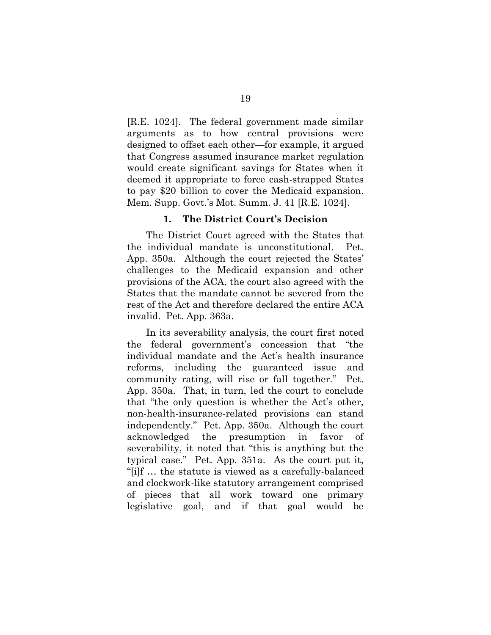[R.E. 1024]. The federal government made similar arguments as to how central provisions were designed to offset each other—for example, it argued that Congress assumed insurance market regulation would create significant savings for States when it deemed it appropriate to force cash-strapped States to pay \$20 billion to cover the Medicaid expansion. Mem. Supp. Govt.'s Mot. Summ. J. 41 [R.E. 1024].

#### **1. The District Court's Decision**

<span id="page-33-0"></span>The District Court agreed with the States that the individual mandate is unconstitutional. Pet. App. 350a. Although the court rejected the States' challenges to the Medicaid expansion and other provisions of the ACA, the court also agreed with the States that the mandate cannot be severed from the rest of the Act and therefore declared the entire ACA invalid. Pet. App. 363a.

In its severability analysis, the court first noted the federal government's concession that "the individual mandate and the Act's health insurance reforms, including the guaranteed issue and community rating, will rise or fall together." Pet. App. 350a. That, in turn, led the court to conclude that "the only question is whether the Act's other, non-health-insurance-related provisions can stand independently." Pet. App. 350a. Although the court acknowledged the presumption in favor of severability, it noted that "this is anything but the typical case." Pet. App. 351a. As the court put it, "[i]f … the statute is viewed as a carefully-balanced and clockwork-like statutory arrangement comprised of pieces that all work toward one primary legislative goal, and if that goal would be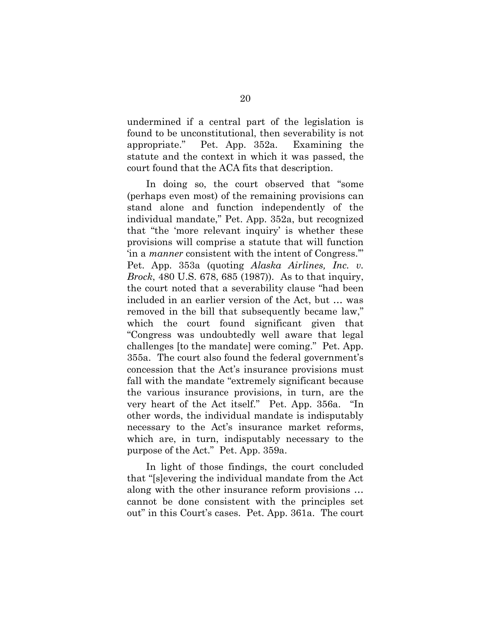undermined if a central part of the legislation is found to be unconstitutional, then severability is not appropriate." Pet. App. 352a. Examining the statute and the context in which it was passed, the court found that the ACA fits that description.

In doing so, the court observed that "some (perhaps even most) of the remaining provisions can stand alone and function independently of the individual mandate," Pet. App. 352a, but recognized that "the 'more relevant inquiry' is whether these provisions will comprise a statute that will function 'in a *manner* consistent with the intent of Congress.'" Pet. App. 353a (quoting *Alaska Airlines, Inc. v. Brock*, 480 U.S. 678, 685 (1987)). As to that inquiry, the court noted that a severability clause "had been included in an earlier version of the Act, but … was removed in the bill that subsequently became law," which the court found significant given that "Congress was undoubtedly well aware that legal challenges [to the mandate] were coming." Pet. App. 355a. The court also found the federal government's concession that the Act's insurance provisions must fall with the mandate "extremely significant because the various insurance provisions, in turn, are the very heart of the Act itself." Pet. App. 356a. "In other words, the individual mandate is indisputably necessary to the Act's insurance market reforms, which are, in turn, indisputably necessary to the purpose of the Act." Pet. App. 359a.

In light of those findings, the court concluded that "[s]evering the individual mandate from the Act along with the other insurance reform provisions … cannot be done consistent with the principles set out" in this Court's cases. Pet. App. 361a. The court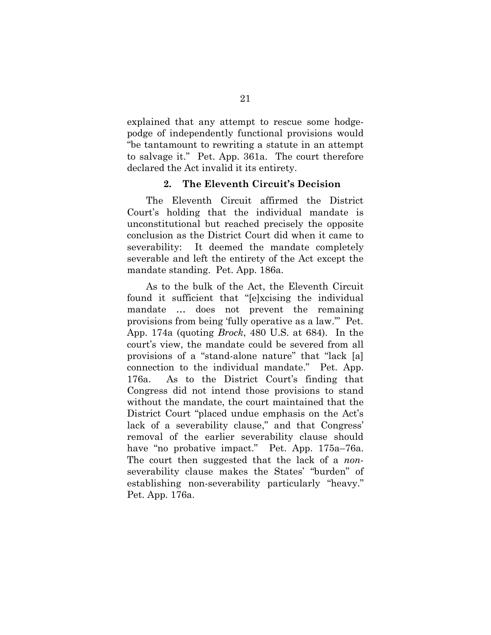explained that any attempt to rescue some hodgepodge of independently functional provisions would "be tantamount to rewriting a statute in an attempt to salvage it." Pet. App. 361a. The court therefore declared the Act invalid it its entirety.

#### **2. The Eleventh Circuit's Decision**

<span id="page-35-0"></span>The Eleventh Circuit affirmed the District Court's holding that the individual mandate is unconstitutional but reached precisely the opposite conclusion as the District Court did when it came to severability: It deemed the mandate completely severable and left the entirety of the Act except the mandate standing. Pet. App. 186a.

As to the bulk of the Act, the Eleventh Circuit found it sufficient that "[e]xcising the individual mandate … does not prevent the remaining provisions from being 'fully operative as a law.'" Pet. App. 174a (quoting *Brock*, 480 U.S. at 684). In the court's view, the mandate could be severed from all provisions of a "stand-alone nature" that "lack [a] connection to the individual mandate." Pet. App. 176a. As to the District Court's finding that Congress did not intend those provisions to stand without the mandate, the court maintained that the District Court "placed undue emphasis on the Act's lack of a severability clause," and that Congress' removal of the earlier severability clause should have "no probative impact." Pet. App. 175a–76a. The court then suggested that the lack of a *non*severability clause makes the States' "burden" of establishing non-severability particularly "heavy." Pet. App. 176a.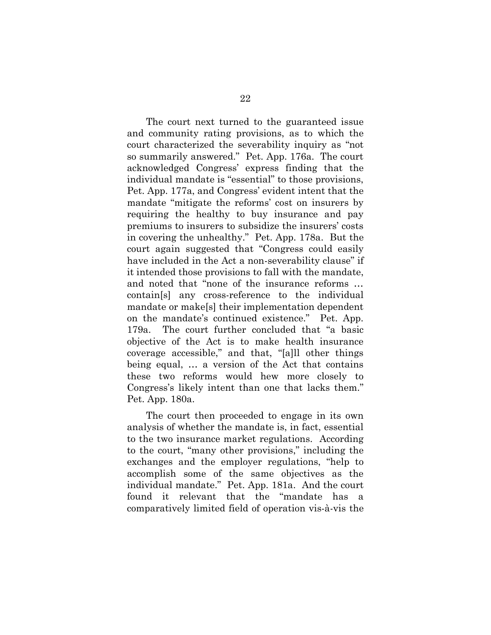The court next turned to the guaranteed issue and community rating provisions, as to which the court characterized the severability inquiry as "not so summarily answered." Pet. App. 176a. The court acknowledged Congress' express finding that the individual mandate is "essential" to those provisions, Pet. App. 177a, and Congress' evident intent that the mandate "mitigate the reforms' cost on insurers by requiring the healthy to buy insurance and pay premiums to insurers to subsidize the insurers' costs in covering the unhealthy." Pet. App. 178a. But the court again suggested that "Congress could easily have included in the Act a non-severability clause" if it intended those provisions to fall with the mandate, and noted that "none of the insurance reforms … contain[s] any cross-reference to the individual mandate or make[s] their implementation dependent on the mandate's continued existence." Pet. App. 179a. The court further concluded that "a basic objective of the Act is to make health insurance coverage accessible," and that, "[a]ll other things being equal, … a version of the Act that contains these two reforms would hew more closely to Congress's likely intent than one that lacks them." Pet. App. 180a.

The court then proceeded to engage in its own analysis of whether the mandate is, in fact, essential to the two insurance market regulations. According to the court, "many other provisions," including the exchanges and the employer regulations, "help to accomplish some of the same objectives as the individual mandate." Pet. App. 181a. And the court found it relevant that the "mandate has a comparatively limited field of operation vis-à-vis the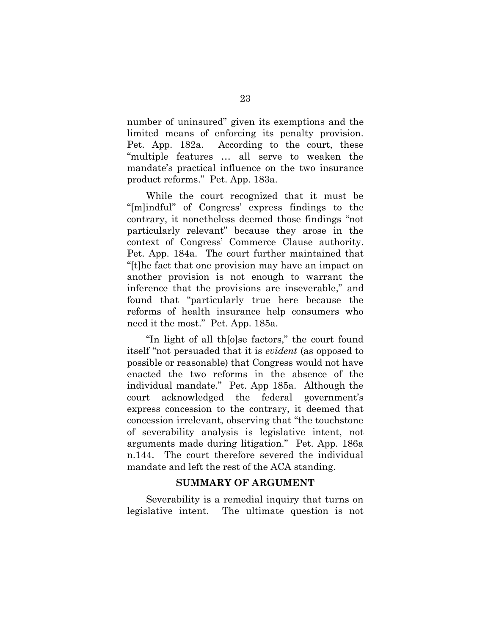number of uninsured" given its exemptions and the limited means of enforcing its penalty provision. Pet. App. 182a. According to the court, these "multiple features … all serve to weaken the mandate's practical influence on the two insurance product reforms." Pet. App. 183a.

While the court recognized that it must be "[m]indful" of Congress' express findings to the contrary, it nonetheless deemed those findings "not particularly relevant" because they arose in the context of Congress' Commerce Clause authority. Pet. App. 184a. The court further maintained that "[t]he fact that one provision may have an impact on another provision is not enough to warrant the inference that the provisions are inseverable," and found that "particularly true here because the reforms of health insurance help consumers who need it the most." Pet. App. 185a.

"In light of all th[o]se factors," the court found itself "not persuaded that it is *evident* (as opposed to possible or reasonable) that Congress would not have enacted the two reforms in the absence of the individual mandate." Pet. App 185a. Although the court acknowledged the federal government's express concession to the contrary, it deemed that concession irrelevant, observing that "the touchstone of severability analysis is legislative intent, not arguments made during litigation." Pet. App. 186a n.144. The court therefore severed the individual mandate and left the rest of the ACA standing.

#### **SUMMARY OF ARGUMENT**

Severability is a remedial inquiry that turns on legislative intent. The ultimate question is not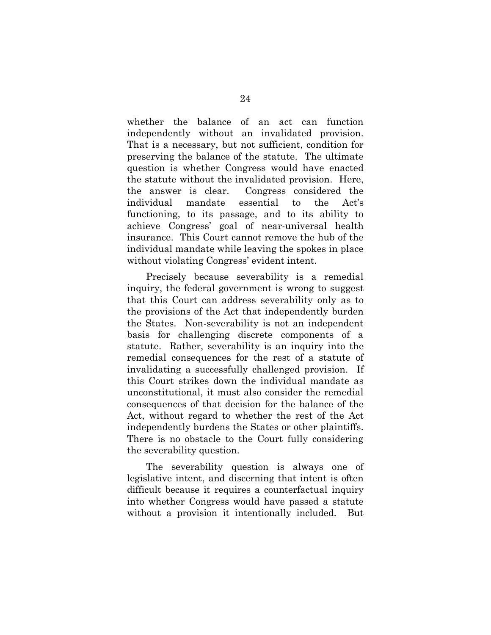whether the balance of an act can function independently without an invalidated provision. That is a necessary, but not sufficient, condition for preserving the balance of the statute. The ultimate question is whether Congress would have enacted the statute without the invalidated provision. Here, the answer is clear. Congress considered the individual mandate essential to the Act's functioning, to its passage, and to its ability to achieve Congress' goal of near-universal health insurance. This Court cannot remove the hub of the individual mandate while leaving the spokes in place without violating Congress' evident intent.

Precisely because severability is a remedial inquiry, the federal government is wrong to suggest that this Court can address severability only as to the provisions of the Act that independently burden the States. Non-severability is not an independent basis for challenging discrete components of a statute. Rather, severability is an inquiry into the remedial consequences for the rest of a statute of invalidating a successfully challenged provision. If this Court strikes down the individual mandate as unconstitutional, it must also consider the remedial consequences of that decision for the balance of the Act, without regard to whether the rest of the Act independently burdens the States or other plaintiffs. There is no obstacle to the Court fully considering the severability question.

The severability question is always one of legislative intent, and discerning that intent is often difficult because it requires a counterfactual inquiry into whether Congress would have passed a statute without a provision it intentionally included. But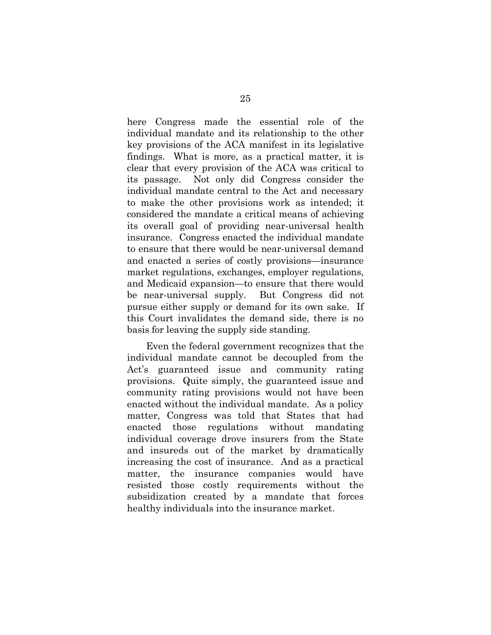here Congress made the essential role of the individual mandate and its relationship to the other key provisions of the ACA manifest in its legislative findings. What is more, as a practical matter, it is clear that every provision of the ACA was critical to its passage. Not only did Congress consider the individual mandate central to the Act and necessary to make the other provisions work as intended; it considered the mandate a critical means of achieving its overall goal of providing near-universal health insurance. Congress enacted the individual mandate to ensure that there would be near-universal demand and enacted a series of costly provisions—insurance market regulations, exchanges, employer regulations, and Medicaid expansion—to ensure that there would be near-universal supply. But Congress did not pursue either supply or demand for its own sake. If this Court invalidates the demand side, there is no basis for leaving the supply side standing.

Even the federal government recognizes that the individual mandate cannot be decoupled from the Act's guaranteed issue and community rating provisions. Quite simply, the guaranteed issue and community rating provisions would not have been enacted without the individual mandate. As a policy matter, Congress was told that States that had enacted those regulations without mandating individual coverage drove insurers from the State and insureds out of the market by dramatically increasing the cost of insurance. And as a practical matter, the insurance companies would have resisted those costly requirements without the subsidization created by a mandate that forces healthy individuals into the insurance market.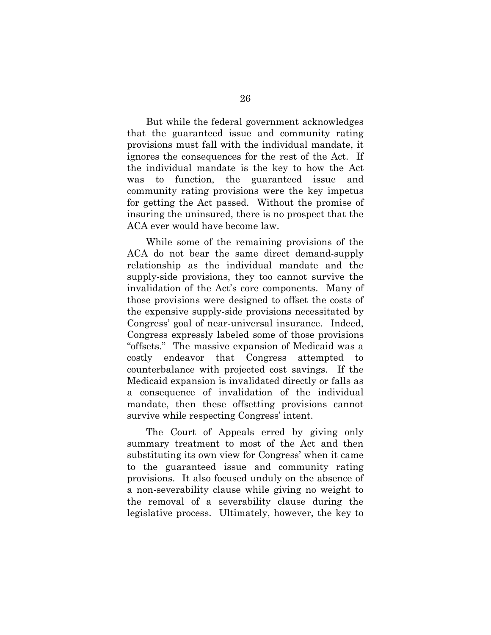But while the federal government acknowledges that the guaranteed issue and community rating provisions must fall with the individual mandate, it ignores the consequences for the rest of the Act. If the individual mandate is the key to how the Act was to function, the guaranteed issue and community rating provisions were the key impetus for getting the Act passed. Without the promise of insuring the uninsured, there is no prospect that the ACA ever would have become law.

While some of the remaining provisions of the ACA do not bear the same direct demand-supply relationship as the individual mandate and the supply-side provisions, they too cannot survive the invalidation of the Act's core components. Many of those provisions were designed to offset the costs of the expensive supply-side provisions necessitated by Congress' goal of near-universal insurance. Indeed, Congress expressly labeled some of those provisions "offsets." The massive expansion of Medicaid was a costly endeavor that Congress attempted to counterbalance with projected cost savings. If the Medicaid expansion is invalidated directly or falls as a consequence of invalidation of the individual mandate, then these offsetting provisions cannot survive while respecting Congress' intent.

The Court of Appeals erred by giving only summary treatment to most of the Act and then substituting its own view for Congress' when it came to the guaranteed issue and community rating provisions. It also focused unduly on the absence of a non-severability clause while giving no weight to the removal of a severability clause during the legislative process. Ultimately, however, the key to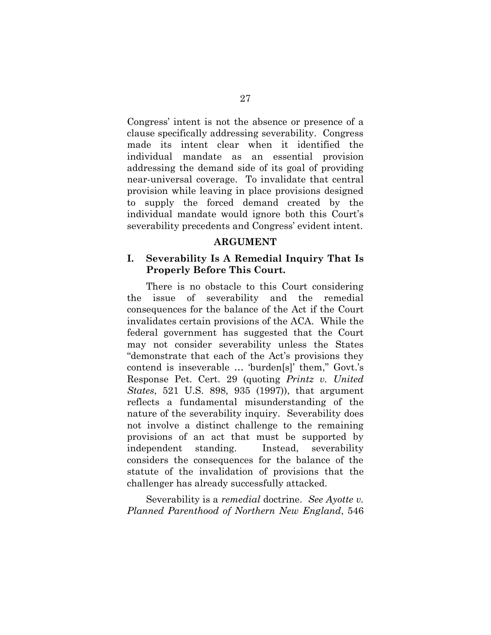Congress' intent is not the absence or presence of a clause specifically addressing severability. Congress made its intent clear when it identified the individual mandate as an essential provision addressing the demand side of its goal of providing near-universal coverage. To invalidate that central provision while leaving in place provisions designed to supply the forced demand created by the individual mandate would ignore both this Court's severability precedents and Congress' evident intent.

#### **ARGUMENT**

## **I. Severability Is A Remedial Inquiry That Is Properly Before This Court.**

There is no obstacle to this Court considering the issue of severability and the remedial consequences for the balance of the Act if the Court invalidates certain provisions of the ACA. While the federal government has suggested that the Court may not consider severability unless the States "demonstrate that each of the Act's provisions they contend is inseverable … 'burden[s]' them," Govt.'s Response Pet. Cert. 29 (quoting *Printz v. United States*, 521 U.S. 898, 935 (1997)), that argument reflects a fundamental misunderstanding of the nature of the severability inquiry. Severability does not involve a distinct challenge to the remaining provisions of an act that must be supported by independent standing. Instead, severability considers the consequences for the balance of the statute of the invalidation of provisions that the challenger has already successfully attacked.

Severability is a *remedial* doctrine. *See Ayotte v. Planned Parenthood of Northern New England*, 546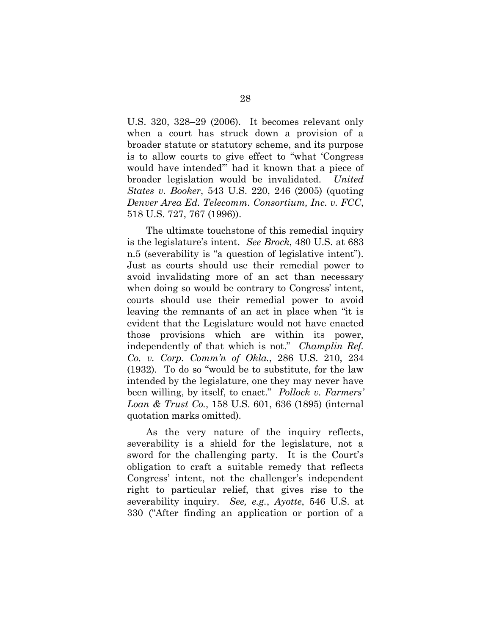U.S. 320, 328–29 (2006). It becomes relevant only when a court has struck down a provision of a broader statute or statutory scheme, and its purpose is to allow courts to give effect to "what 'Congress would have intended'" had it known that a piece of broader legislation would be invalidated. *United States v. Booker*, 543 U.S. 220, 246 (2005) (quoting *Denver Area Ed. Telecomm. Consortium, Inc. v. FCC*, 518 U.S. 727, 767 (1996)).

The ultimate touchstone of this remedial inquiry is the legislature's intent. *See Brock*, 480 U.S. at 683 n.5 (severability is "a question of legislative intent"). Just as courts should use their remedial power to avoid invalidating more of an act than necessary when doing so would be contrary to Congress' intent, courts should use their remedial power to avoid leaving the remnants of an act in place when "it is evident that the Legislature would not have enacted those provisions which are within its power, independently of that which is not." *Champlin Ref. Co. v. Corp. Comm'n of Okla.*, 286 U.S. 210, 234 (1932). To do so "would be to substitute, for the law intended by the legislature, one they may never have been willing, by itself, to enact." *Pollock v. Farmers' Loan & Trust Co.*, 158 U.S. 601, 636 (1895) (internal quotation marks omitted).

As the very nature of the inquiry reflects, severability is a shield for the legislature, not a sword for the challenging party. It is the Court's obligation to craft a suitable remedy that reflects Congress' intent, not the challenger's independent right to particular relief, that gives rise to the severability inquiry. *See, e.g.*, *Ayotte*, 546 U.S. at 330 ("After finding an application or portion of a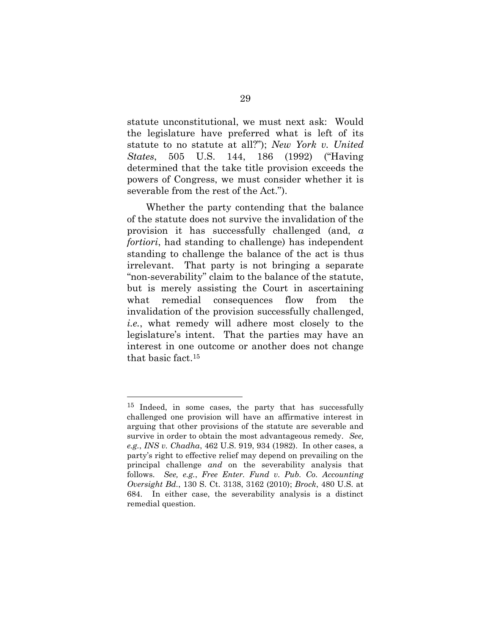statute unconstitutional, we must next ask: Would the legislature have preferred what is left of its statute to no statute at all?"); *New York v. United States*, 505 U.S. 144, 186 (1992) ("Having determined that the take title provision exceeds the powers of Congress, we must consider whether it is severable from the rest of the Act.").

Whether the party contending that the balance of the statute does not survive the invalidation of the provision it has successfully challenged (and, *a fortiori*, had standing to challenge) has independent standing to challenge the balance of the act is thus irrelevant. That party is not bringing a separate "non-severability" claim to the balance of the statute, but is merely assisting the Court in ascertaining what remedial consequences flow from the invalidation of the provision successfully challenged, *i.e.*, what remedy will adhere most closely to the legislature's intent. That the parties may have an interest in one outcome or another does not change that basic fact.<sup>15</sup>

<sup>&</sup>lt;sup>15</sup> Indeed, in some cases, the party that has successfully challenged one provision will have an affirmative interest in arguing that other provisions of the statute are severable and survive in order to obtain the most advantageous remedy. *See, e.g.*, *INS v. Chadha*, 462 U.S. 919, 934 (1982). In other cases, a party's right to effective relief may depend on prevailing on the principal challenge *and* on the severability analysis that follows. *See, e.g.*, *Free Enter. Fund v. Pub. Co. Accounting Oversight Bd.*, 130 S. Ct. 3138, 3162 (2010); *Brock*, 480 U.S. at 684. In either case, the severability analysis is a distinct remedial question.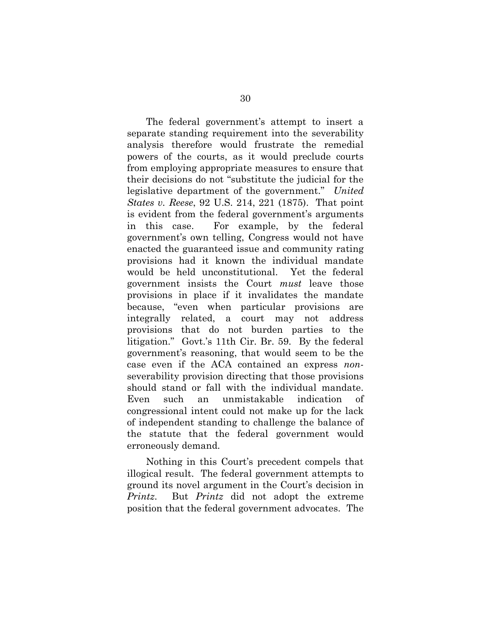The federal government's attempt to insert a separate standing requirement into the severability analysis therefore would frustrate the remedial powers of the courts, as it would preclude courts from employing appropriate measures to ensure that their decisions do not "substitute the judicial for the legislative department of the government." *United States v. Reese*, 92 U.S. 214, 221 (1875). That point is evident from the federal government's arguments in this case. For example, by the federal government's own telling, Congress would not have enacted the guaranteed issue and community rating provisions had it known the individual mandate would be held unconstitutional. Yet the federal government insists the Court *must* leave those provisions in place if it invalidates the mandate because, "even when particular provisions are integrally related, a court may not address provisions that do not burden parties to the litigation." Govt.'s 11th Cir. Br. 59. By the federal government's reasoning, that would seem to be the case even if the ACA contained an express *non*severability provision directing that those provisions should stand or fall with the individual mandate. Even such an unmistakable indication of congressional intent could not make up for the lack of independent standing to challenge the balance of the statute that the federal government would erroneously demand.

Nothing in this Court's precedent compels that illogical result. The federal government attempts to ground its novel argument in the Court's decision in *Printz*. But *Printz* did not adopt the extreme position that the federal government advocates. The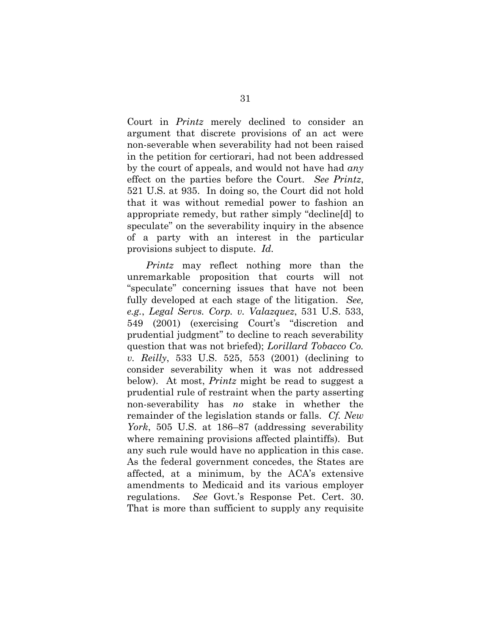Court in *Printz* merely declined to consider an argument that discrete provisions of an act were non-severable when severability had not been raised in the petition for certiorari, had not been addressed by the court of appeals, and would not have had *any*  effect on the parties before the Court. *See Printz*, 521 U.S. at 935. In doing so, the Court did not hold that it was without remedial power to fashion an appropriate remedy, but rather simply "decline[d] to speculate" on the severability inquiry in the absence of a party with an interest in the particular provisions subject to dispute. *Id.*

*Printz* may reflect nothing more than the unremarkable proposition that courts will not "speculate" concerning issues that have not been fully developed at each stage of the litigation. *See, e.g.*, *Legal Servs. Corp. v. Valazquez*, 531 U.S. 533, 549 (2001) (exercising Court's "discretion and prudential judgment" to decline to reach severability question that was not briefed); *Lorillard Tobacco Co. v. Reilly*, 533 U.S. 525, 553 (2001) (declining to consider severability when it was not addressed below). At most, *Printz* might be read to suggest a prudential rule of restraint when the party asserting non-severability has *no* stake in whether the remainder of the legislation stands or falls. *Cf. New York*, 505 U.S. at 186–87 (addressing severability where remaining provisions affected plaintiffs). But any such rule would have no application in this case. As the federal government concedes, the States are affected, at a minimum, by the ACA's extensive amendments to Medicaid and its various employer regulations. *See* Govt.'s Response Pet. Cert. 30. That is more than sufficient to supply any requisite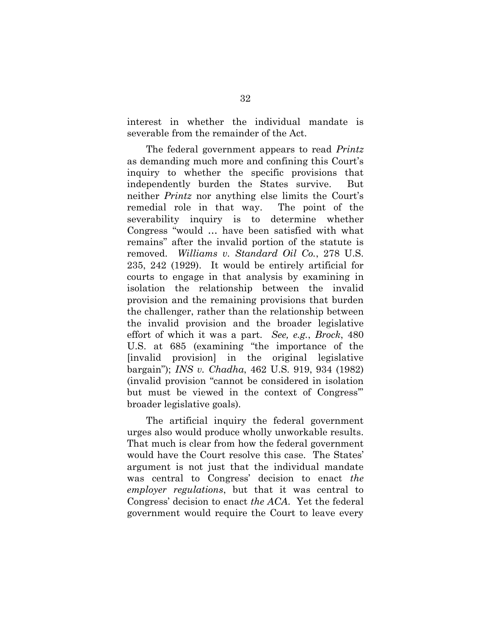interest in whether the individual mandate is severable from the remainder of the Act.

The federal government appears to read *Printz* as demanding much more and confining this Court's inquiry to whether the specific provisions that independently burden the States survive. But neither *Printz* nor anything else limits the Court's remedial role in that way. The point of the severability inquiry is to determine whether Congress "would … have been satisfied with what remains" after the invalid portion of the statute is removed. *Williams v. Standard Oil Co.*, 278 U.S. 235, 242 (1929). It would be entirely artificial for courts to engage in that analysis by examining in isolation the relationship between the invalid provision and the remaining provisions that burden the challenger, rather than the relationship between the invalid provision and the broader legislative effort of which it was a part. *See, e.g.*, *Brock*, 480 U.S. at 685 (examining "the importance of the [invalid provision] in the original legislative bargain"); *INS v. Chadha*, 462 U.S. 919, 934 (1982) (invalid provision "cannot be considered in isolation but must be viewed in the context of Congress'" broader legislative goals).

The artificial inquiry the federal government urges also would produce wholly unworkable results. That much is clear from how the federal government would have the Court resolve this case. The States' argument is not just that the individual mandate was central to Congress' decision to enact *the employer regulations*, but that it was central to Congress' decision to enact *the ACA*. Yet the federal government would require the Court to leave every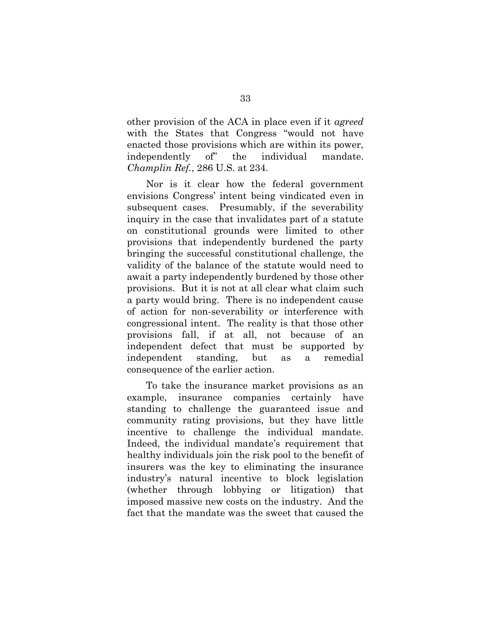other provision of the ACA in place even if it *agreed*  with the States that Congress "would not have enacted those provisions which are within its power, independently of" the individual mandate. *Champlin Ref.*, 286 U.S. at 234.

Nor is it clear how the federal government envisions Congress' intent being vindicated even in subsequent cases. Presumably, if the severability inquiry in the case that invalidates part of a statute on constitutional grounds were limited to other provisions that independently burdened the party bringing the successful constitutional challenge, the validity of the balance of the statute would need to await a party independently burdened by those other provisions. But it is not at all clear what claim such a party would bring. There is no independent cause of action for non-severability or interference with congressional intent. The reality is that those other provisions fall, if at all, not because of an independent defect that must be supported by independent standing, but as a remedial consequence of the earlier action.

To take the insurance market provisions as an example, insurance companies certainly have standing to challenge the guaranteed issue and community rating provisions, but they have little incentive to challenge the individual mandate. Indeed, the individual mandate's requirement that healthy individuals join the risk pool to the benefit of insurers was the key to eliminating the insurance industry's natural incentive to block legislation (whether through lobbying or litigation) that imposed massive new costs on the industry. And the fact that the mandate was the sweet that caused the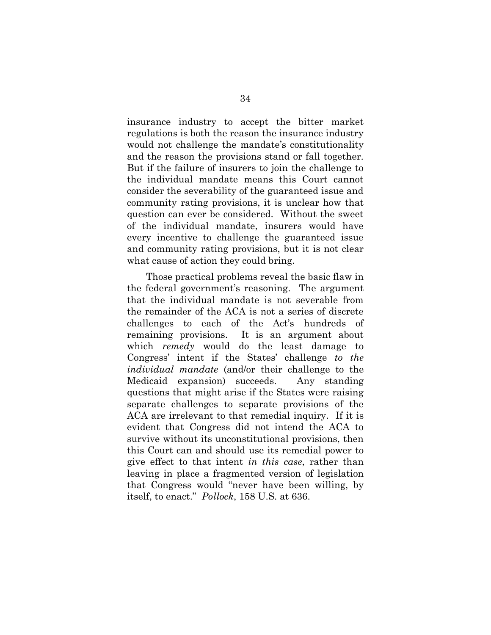insurance industry to accept the bitter market regulations is both the reason the insurance industry would not challenge the mandate's constitutionality and the reason the provisions stand or fall together. But if the failure of insurers to join the challenge to the individual mandate means this Court cannot consider the severability of the guaranteed issue and community rating provisions, it is unclear how that question can ever be considered. Without the sweet of the individual mandate, insurers would have every incentive to challenge the guaranteed issue and community rating provisions, but it is not clear what cause of action they could bring.

Those practical problems reveal the basic flaw in the federal government's reasoning. The argument that the individual mandate is not severable from the remainder of the ACA is not a series of discrete challenges to each of the Act's hundreds of remaining provisions. It is an argument about which *remedy* would do the least damage to Congress' intent if the States' challenge *to the individual mandate* (and/or their challenge to the Medicaid expansion) succeeds. Any standing questions that might arise if the States were raising separate challenges to separate provisions of the ACA are irrelevant to that remedial inquiry. If it is evident that Congress did not intend the ACA to survive without its unconstitutional provisions, then this Court can and should use its remedial power to give effect to that intent *in this case*, rather than leaving in place a fragmented version of legislation that Congress would "never have been willing, by itself, to enact." *Pollock*, 158 U.S. at 636.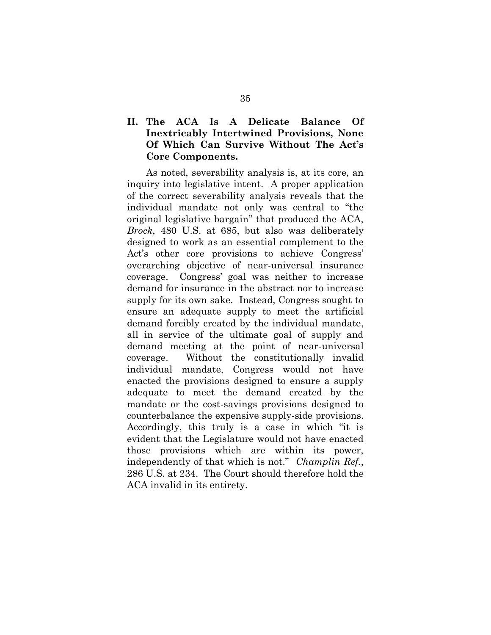# **II. The ACA Is A Delicate Balance Of Inextricably Intertwined Provisions, None Of Which Can Survive Without The Act's Core Components.**

As noted, severability analysis is, at its core, an inquiry into legislative intent. A proper application of the correct severability analysis reveals that the individual mandate not only was central to "the original legislative bargain" that produced the ACA, *Brock*, 480 U.S. at 685, but also was deliberately designed to work as an essential complement to the Act's other core provisions to achieve Congress' overarching objective of near-universal insurance coverage. Congress' goal was neither to increase demand for insurance in the abstract nor to increase supply for its own sake. Instead, Congress sought to ensure an adequate supply to meet the artificial demand forcibly created by the individual mandate, all in service of the ultimate goal of supply and demand meeting at the point of near-universal coverage. Without the constitutionally invalid individual mandate, Congress would not have enacted the provisions designed to ensure a supply adequate to meet the demand created by the mandate or the cost-savings provisions designed to counterbalance the expensive supply-side provisions. Accordingly, this truly is a case in which "it is evident that the Legislature would not have enacted those provisions which are within its power, independently of that which is not." *Champlin Ref.*, 286 U.S. at 234. The Court should therefore hold the ACA invalid in its entirety.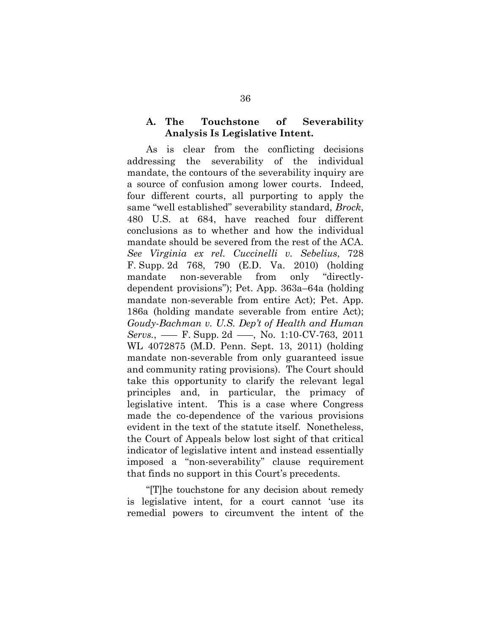### **A. The Touchstone of Severability Analysis Is Legislative Intent.**

As is clear from the conflicting decisions addressing the severability of the individual mandate, the contours of the severability inquiry are a source of confusion among lower courts. Indeed, four different courts, all purporting to apply the same "well established" severability standard, *Brock*, 480 U.S. at 684, have reached four different conclusions as to whether and how the individual mandate should be severed from the rest of the ACA. *See Virginia ex rel. Cuccinelli v. Sebelius*, 728 F. Supp. 2d 768, 790 (E.D. Va. 2010) (holding mandate non-severable from only "directlydependent provisions"); Pet. App. 363a–64a (holding mandate non-severable from entire Act); Pet. App. 186a (holding mandate severable from entire Act); *Goudy-Bachman v. U.S. Dep't of Health and Human Servs.*, —— F. Supp. 2d ——, No. 1:10-CV-763, 2011 WL 4072875 (M.D. Penn. Sept. 13, 2011) (holding mandate non-severable from only guaranteed issue and community rating provisions). The Court should take this opportunity to clarify the relevant legal principles and, in particular, the primacy of legislative intent. This is a case where Congress made the co-dependence of the various provisions evident in the text of the statute itself. Nonetheless, the Court of Appeals below lost sight of that critical indicator of legislative intent and instead essentially imposed a "non-severability" clause requirement that finds no support in this Court's precedents.

"[T]he touchstone for any decision about remedy is legislative intent, for a court cannot 'use its remedial powers to circumvent the intent of the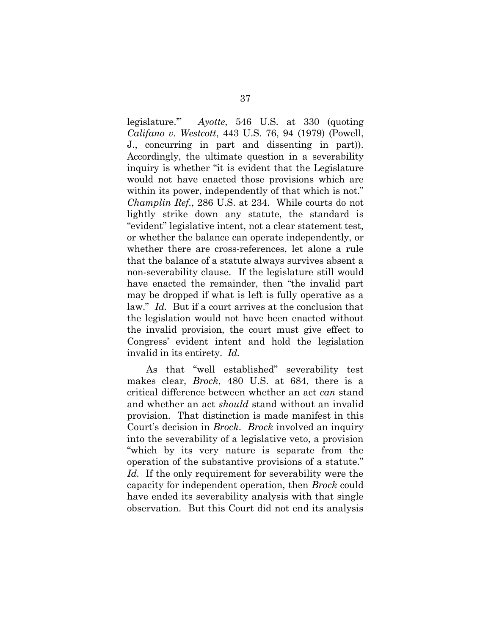legislature.'" *Ayotte*, 546 U.S. at 330 (quoting *Califano v. Westcott*, 443 U.S. 76, 94 (1979) (Powell, J., concurring in part and dissenting in part)). Accordingly, the ultimate question in a severability inquiry is whether "it is evident that the Legislature would not have enacted those provisions which are within its power, independently of that which is not." *Champlin Ref.*, 286 U.S. at 234. While courts do not lightly strike down any statute, the standard is "evident" legislative intent, not a clear statement test, or whether the balance can operate independently, or whether there are cross-references, let alone a rule that the balance of a statute always survives absent a non-severability clause. If the legislature still would have enacted the remainder, then "the invalid part may be dropped if what is left is fully operative as a law." *Id.* But if a court arrives at the conclusion that the legislation would not have been enacted without the invalid provision, the court must give effect to Congress' evident intent and hold the legislation invalid in its entirety. *Id.*

As that "well established" severability test makes clear, *Brock*, 480 U.S. at 684, there is a critical difference between whether an act *can* stand and whether an act *should* stand without an invalid provision. That distinction is made manifest in this Court's decision in *Brock*. *Brock* involved an inquiry into the severability of a legislative veto, a provision "which by its very nature is separate from the operation of the substantive provisions of a statute." *Id.* If the only requirement for severability were the capacity for independent operation, then *Brock* could have ended its severability analysis with that single observation. But this Court did not end its analysis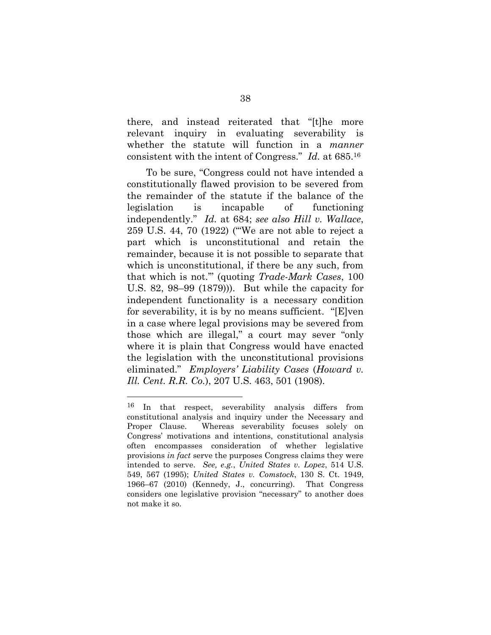there, and instead reiterated that "[t]he more relevant inquiry in evaluating severability is whether the statute will function in a *manner*  consistent with the intent of Congress." *Id.* at 685.<sup>16</sup>

To be sure, "Congress could not have intended a constitutionally flawed provision to be severed from the remainder of the statute if the balance of the legislation is incapable of functioning independently." *Id.* at 684; *see also Hill v. Wallace*, 259 U.S. 44, 70 (1922) ("'We are not able to reject a part which is unconstitutional and retain the remainder, because it is not possible to separate that which is unconstitutional, if there be any such, from that which is not.'" (quoting *Trade-Mark Cases*, 100 U.S. 82, 98–99 (1879))). But while the capacity for independent functionality is a necessary condition for severability, it is by no means sufficient. "[E]ven in a case where legal provisions may be severed from those which are illegal," a court may sever "only where it is plain that Congress would have enacted the legislation with the unconstitutional provisions eliminated." *Employers' Liability Cases* (*Howard v. Ill. Cent. R.R. Co.*), 207 U.S. 463, 501 (1908).

<sup>16</sup> In that respect, severability analysis differs from constitutional analysis and inquiry under the Necessary and Proper Clause. Whereas severability focuses solely on Congress' motivations and intentions, constitutional analysis often encompasses consideration of whether legislative provisions *in fact* serve the purposes Congress claims they were intended to serve. *See, e.g.*, *United States v. Lopez*, 514 U.S. 549, 567 (1995); *United States v. Comstock*, 130 S. Ct. 1949, 1966–67 (2010) (Kennedy, J., concurring). That Congress considers one legislative provision "necessary" to another does not make it so.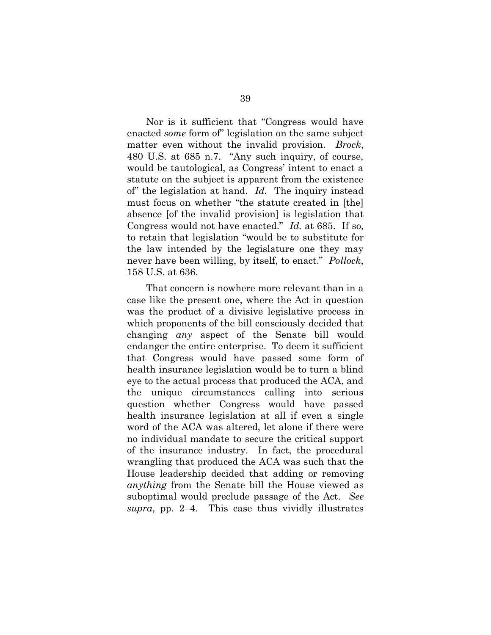Nor is it sufficient that "Congress would have enacted *some* form of" legislation on the same subject matter even without the invalid provision. *Brock*, 480 U.S. at 685 n.7. "Any such inquiry, of course, would be tautological, as Congress' intent to enact a statute on the subject is apparent from the existence of" the legislation at hand. *Id.* The inquiry instead must focus on whether "the statute created in [the] absence [of the invalid provision] is legislation that Congress would not have enacted." *Id.* at 685. If so, to retain that legislation "would be to substitute for the law intended by the legislature one they may never have been willing, by itself, to enact." *Pollock*, 158 U.S. at 636.

That concern is nowhere more relevant than in a case like the present one, where the Act in question was the product of a divisive legislative process in which proponents of the bill consciously decided that changing *any* aspect of the Senate bill would endanger the entire enterprise. To deem it sufficient that Congress would have passed some form of health insurance legislation would be to turn a blind eye to the actual process that produced the ACA, and the unique circumstances calling into serious question whether Congress would have passed health insurance legislation at all if even a single word of the ACA was altered, let alone if there were no individual mandate to secure the critical support of the insurance industry. In fact, the procedural wrangling that produced the ACA was such that the House leadership decided that adding or removing *anything* from the Senate bill the House viewed as suboptimal would preclude passage of the Act. *See supra*, pp. 2–4. This case thus vividly illustrates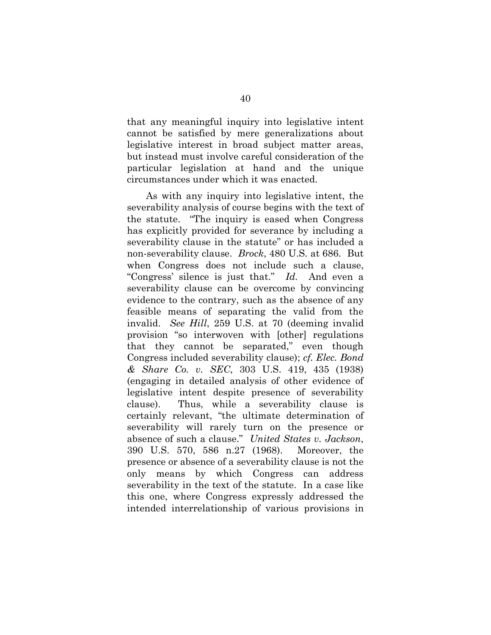that any meaningful inquiry into legislative intent cannot be satisfied by mere generalizations about legislative interest in broad subject matter areas, but instead must involve careful consideration of the particular legislation at hand and the unique circumstances under which it was enacted.

As with any inquiry into legislative intent, the severability analysis of course begins with the text of the statute. "The inquiry is eased when Congress has explicitly provided for severance by including a severability clause in the statute" or has included a non-severability clause. *Brock*, 480 U.S. at 686. But when Congress does not include such a clause, "Congress' silence is just that." *Id.* And even a severability clause can be overcome by convincing evidence to the contrary, such as the absence of any feasible means of separating the valid from the invalid. *See Hill*, 259 U.S. at 70 (deeming invalid provision "so interwoven with [other] regulations that they cannot be separated," even though Congress included severability clause); *cf. Elec. Bond & Share Co. v. SEC*, 303 U.S. 419, 435 (1938) (engaging in detailed analysis of other evidence of legislative intent despite presence of severability clause). Thus, while a severability clause is certainly relevant, "the ultimate determination of severability will rarely turn on the presence or absence of such a clause." *United States v. Jackson*, 390 U.S. 570, 586 n.27 (1968). Moreover, the presence or absence of a severability clause is not the only means by which Congress can address severability in the text of the statute. In a case like this one, where Congress expressly addressed the intended interrelationship of various provisions in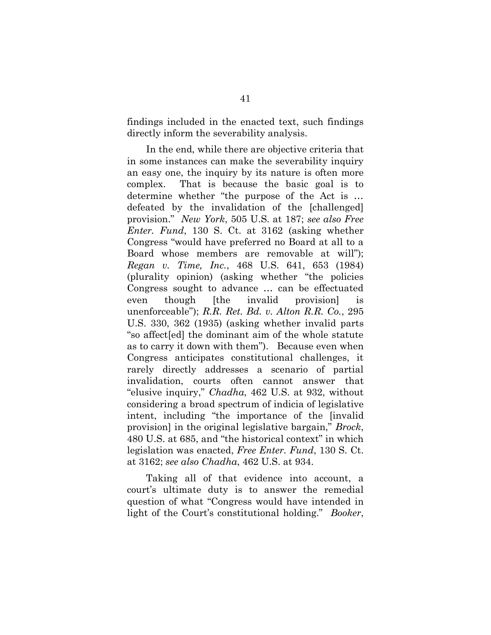findings included in the enacted text, such findings directly inform the severability analysis.

In the end, while there are objective criteria that in some instances can make the severability inquiry an easy one, the inquiry by its nature is often more complex. That is because the basic goal is to determine whether "the purpose of the Act is … defeated by the invalidation of the [challenged] provision." *New York*, 505 U.S. at 187; *see also Free Enter. Fund*, 130 S. Ct. at 3162 (asking whether Congress "would have preferred no Board at all to a Board whose members are removable at will"); *Regan v. Time, Inc.*, 468 U.S. 641, 653 (1984) (plurality opinion) (asking whether "the policies Congress sought to advance … can be effectuated even though [the invalid provision] is unenforceable"); *R.R. Ret. Bd. v. Alton R.R. Co.*, 295 U.S. 330, 362 (1935) (asking whether invalid parts "so affect[ed] the dominant aim of the whole statute as to carry it down with them"). Because even when Congress anticipates constitutional challenges, it rarely directly addresses a scenario of partial invalidation, courts often cannot answer that "elusive inquiry," *Chadha*, 462 U.S. at 932, without considering a broad spectrum of indicia of legislative intent, including "the importance of the [invalid provision] in the original legislative bargain," *Brock*, 480 U.S. at 685, and "the historical context" in which legislation was enacted, *Free Enter. Fund*, 130 S. Ct. at 3162; *see also Chadha*, 462 U.S. at 934.

Taking all of that evidence into account, a court's ultimate duty is to answer the remedial question of what "Congress would have intended in light of the Court's constitutional holding." *Booker*,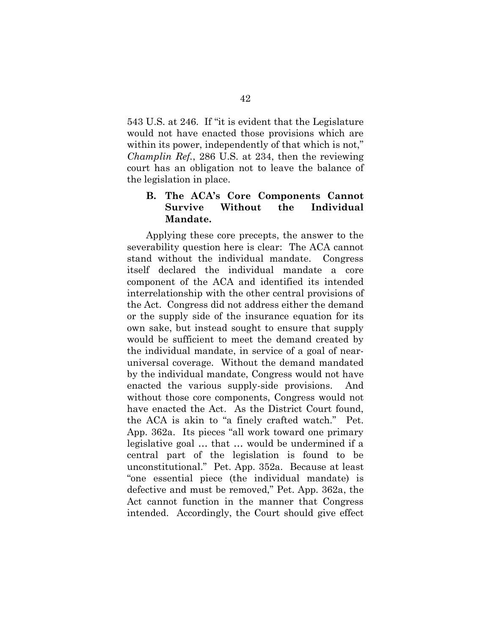543 U.S. at 246. If "it is evident that the Legislature would not have enacted those provisions which are within its power, independently of that which is not," *Champlin Ref.*, 286 U.S. at 234, then the reviewing court has an obligation not to leave the balance of the legislation in place.

# **B. The ACA's Core Components Cannot Survive Without the Individual Mandate.**

Applying these core precepts, the answer to the severability question here is clear: The ACA cannot stand without the individual mandate. Congress itself declared the individual mandate a core component of the ACA and identified its intended interrelationship with the other central provisions of the Act. Congress did not address either the demand or the supply side of the insurance equation for its own sake, but instead sought to ensure that supply would be sufficient to meet the demand created by the individual mandate, in service of a goal of nearuniversal coverage. Without the demand mandated by the individual mandate, Congress would not have enacted the various supply-side provisions. And without those core components, Congress would not have enacted the Act. As the District Court found, the ACA is akin to "a finely crafted watch." Pet. App. 362a. Its pieces "all work toward one primary legislative goal … that … would be undermined if a central part of the legislation is found to be unconstitutional." Pet. App. 352a. Because at least "one essential piece (the individual mandate) is defective and must be removed," Pet. App. 362a, the Act cannot function in the manner that Congress intended. Accordingly, the Court should give effect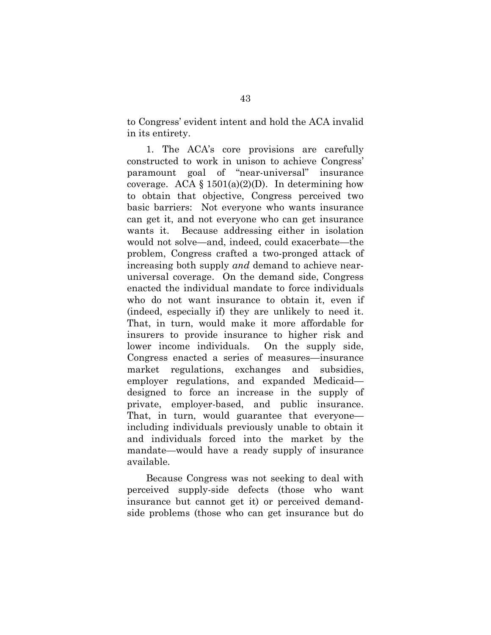to Congress' evident intent and hold the ACA invalid in its entirety.

1. The ACA's core provisions are carefully constructed to work in unison to achieve Congress' paramount goal of "near-universal" insurance coverage. ACA  $\S$  1501(a)(2)(D). In determining how to obtain that objective, Congress perceived two basic barriers: Not everyone who wants insurance can get it, and not everyone who can get insurance wants it. Because addressing either in isolation would not solve—and, indeed, could exacerbate—the problem, Congress crafted a two-pronged attack of increasing both supply *and* demand to achieve nearuniversal coverage. On the demand side, Congress enacted the individual mandate to force individuals who do not want insurance to obtain it, even if (indeed, especially if) they are unlikely to need it. That, in turn, would make it more affordable for insurers to provide insurance to higher risk and lower income individuals. On the supply side, Congress enacted a series of measures—insurance market regulations, exchanges and subsidies, employer regulations, and expanded Medicaid designed to force an increase in the supply of private, employer-based, and public insurance. That, in turn, would guarantee that everyone including individuals previously unable to obtain it and individuals forced into the market by the mandate—would have a ready supply of insurance available.

Because Congress was not seeking to deal with perceived supply-side defects (those who want insurance but cannot get it) or perceived demandside problems (those who can get insurance but do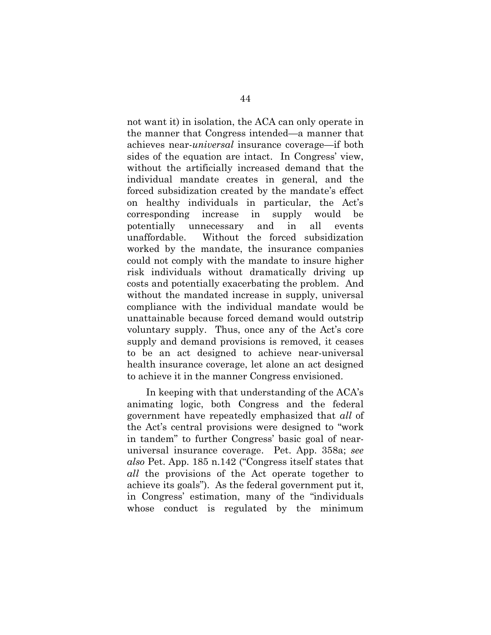not want it) in isolation, the ACA can only operate in the manner that Congress intended—a manner that achieves near-*universal* insurance coverage—if both sides of the equation are intact. In Congress' view, without the artificially increased demand that the individual mandate creates in general, and the forced subsidization created by the mandate's effect on healthy individuals in particular, the Act's corresponding increase in supply would be potentially unnecessary and in all events unaffordable. Without the forced subsidization worked by the mandate, the insurance companies could not comply with the mandate to insure higher risk individuals without dramatically driving up costs and potentially exacerbating the problem. And without the mandated increase in supply, universal compliance with the individual mandate would be unattainable because forced demand would outstrip voluntary supply. Thus, once any of the Act's core supply and demand provisions is removed, it ceases to be an act designed to achieve near-universal health insurance coverage, let alone an act designed to achieve it in the manner Congress envisioned.

In keeping with that understanding of the ACA's animating logic, both Congress and the federal government have repeatedly emphasized that *all* of the Act's central provisions were designed to "work in tandem" to further Congress' basic goal of nearuniversal insurance coverage. Pet. App. 358a; *see also* Pet. App. 185 n.142 ("Congress itself states that *all* the provisions of the Act operate together to achieve its goals"). As the federal government put it, in Congress' estimation, many of the "individuals whose conduct is regulated by the minimum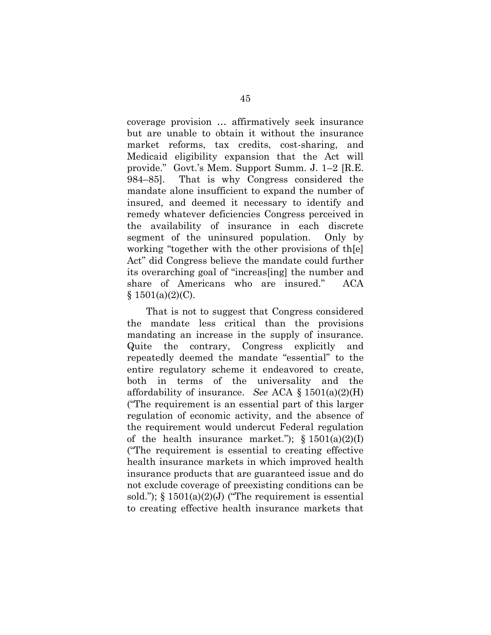coverage provision … affirmatively seek insurance but are unable to obtain it without the insurance market reforms, tax credits, cost-sharing, and Medicaid eligibility expansion that the Act will provide." Govt.'s Mem. Support Summ. J. 1–2 [R.E. 984–85]. That is why Congress considered the mandate alone insufficient to expand the number of insured, and deemed it necessary to identify and remedy whatever deficiencies Congress perceived in the availability of insurance in each discrete segment of the uninsured population. Only by working "together with the other provisions of th[e] Act" did Congress believe the mandate could further its overarching goal of "increas[ing] the number and share of Americans who are insured." ACA  $§ 1501(a)(2)(C).$ 

That is not to suggest that Congress considered the mandate less critical than the provisions mandating an increase in the supply of insurance. Quite the contrary, Congress explicitly and repeatedly deemed the mandate "essential" to the entire regulatory scheme it endeavored to create, both in terms of the universality and the affordability of insurance. *See* ACA § 1501(a)(2)(H) ("The requirement is an essential part of this larger regulation of economic activity, and the absence of the requirement would undercut Federal regulation of the health insurance market.");  $\S 1501(a)(2)(I)$ ("The requirement is essential to creating effective health insurance markets in which improved health insurance products that are guaranteed issue and do not exclude coverage of preexisting conditions can be sold.");  $\S 1501(a)(2)(J)$  ("The requirement is essential to creating effective health insurance markets that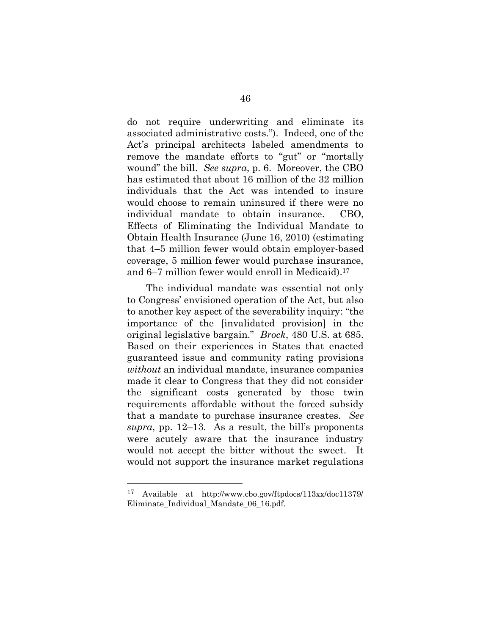do not require underwriting and eliminate its associated administrative costs."). Indeed, one of the Act's principal architects labeled amendments to remove the mandate efforts to "gut" or "mortally wound" the bill. *See supra*, p. 6. Moreover, the CBO has estimated that about 16 million of the 32 million individuals that the Act was intended to insure would choose to remain uninsured if there were no individual mandate to obtain insurance. CBO, Effects of Eliminating the Individual Mandate to Obtain Health Insurance (June 16, 2010) (estimating that 4–5 million fewer would obtain employer-based coverage, 5 million fewer would purchase insurance, and 6–7 million fewer would enroll in Medicaid). 17

The individual mandate was essential not only to Congress' envisioned operation of the Act, but also to another key aspect of the severability inquiry: "the importance of the [invalidated provision] in the original legislative bargain." *Brock*, 480 U.S. at 685. Based on their experiences in States that enacted guaranteed issue and community rating provisions *without* an individual mandate, insurance companies made it clear to Congress that they did not consider the significant costs generated by those twin requirements affordable without the forced subsidy that a mandate to purchase insurance creates. *See supra*, pp. 12–13. As a result, the bill's proponents were acutely aware that the insurance industry would not accept the bitter without the sweet. It would not support the insurance market regulations

l

<sup>17</sup> Available at http://www.cbo.gov/ftpdocs/113xx/doc11379/ Eliminate Individual Mandate 06 16.pdf.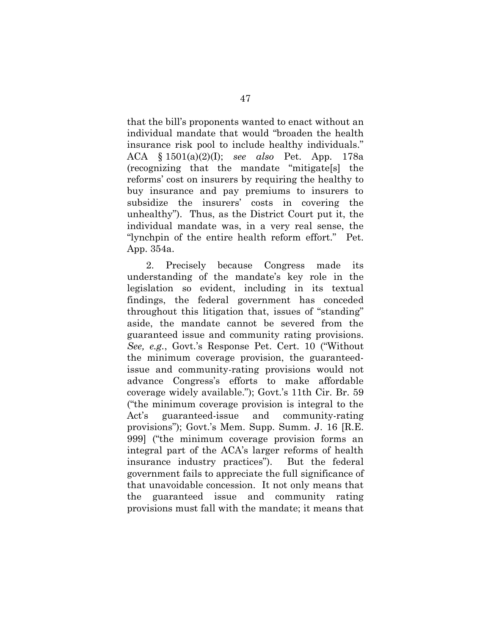that the bill's proponents wanted to enact without an individual mandate that would "broaden the health insurance risk pool to include healthy individuals." ACA § 1501(a)(2)(I); *see also* Pet. App. 178a (recognizing that the mandate "mitigate[s] the reforms' cost on insurers by requiring the healthy to buy insurance and pay premiums to insurers to subsidize the insurers' costs in covering the unhealthy"). Thus, as the District Court put it, the individual mandate was, in a very real sense, the "lynchpin of the entire health reform effort." Pet. App. 354a.

2. Precisely because Congress made its understanding of the mandate's key role in the legislation so evident, including in its textual findings, the federal government has conceded throughout this litigation that, issues of "standing" aside, the mandate cannot be severed from the guaranteed issue and community rating provisions. *See, e.g.*, Govt.'s Response Pet. Cert. 10 ("Without the minimum coverage provision, the guaranteedissue and community-rating provisions would not advance Congress's efforts to make affordable coverage widely available."); Govt.'s 11th Cir. Br. 59 ("the minimum coverage provision is integral to the Act's guaranteed-issue and community-rating provisions"); Govt.'s Mem. Supp. Summ. J. 16 [R.E. 999] ("the minimum coverage provision forms an integral part of the ACA's larger reforms of health insurance industry practices"). But the federal government fails to appreciate the full significance of that unavoidable concession. It not only means that the guaranteed issue and community rating provisions must fall with the mandate; it means that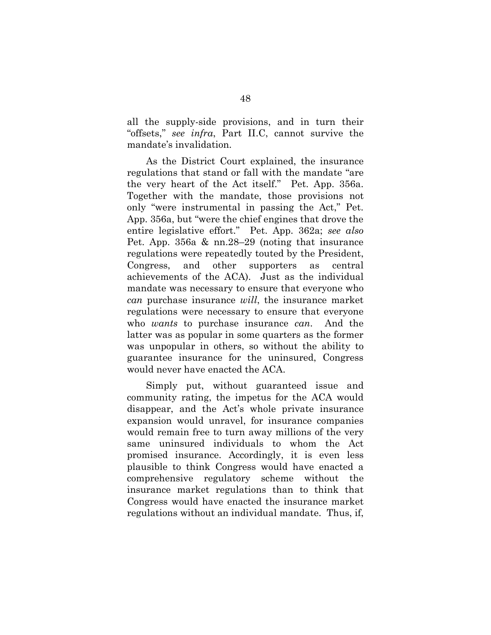all the supply-side provisions, and in turn their "offsets," *see infra*, Part II.C, cannot survive the mandate's invalidation.

As the District Court explained, the insurance regulations that stand or fall with the mandate "are the very heart of the Act itself." Pet. App. 356a. Together with the mandate, those provisions not only "were instrumental in passing the Act," Pet. App. 356a, but "were the chief engines that drove the entire legislative effort." Pet. App. 362a; *see also* Pet. App. 356a & nn.28–29 (noting that insurance regulations were repeatedly touted by the President, Congress, and other supporters as central achievements of the ACA). Just as the individual mandate was necessary to ensure that everyone who *can* purchase insurance *will*, the insurance market regulations were necessary to ensure that everyone who *wants* to purchase insurance *can*. And the latter was as popular in some quarters as the former was unpopular in others, so without the ability to guarantee insurance for the uninsured, Congress would never have enacted the ACA.

Simply put, without guaranteed issue and community rating, the impetus for the ACA would disappear, and the Act's whole private insurance expansion would unravel, for insurance companies would remain free to turn away millions of the very same uninsured individuals to whom the Act promised insurance. Accordingly, it is even less plausible to think Congress would have enacted a comprehensive regulatory scheme without the insurance market regulations than to think that Congress would have enacted the insurance market regulations without an individual mandate. Thus, if,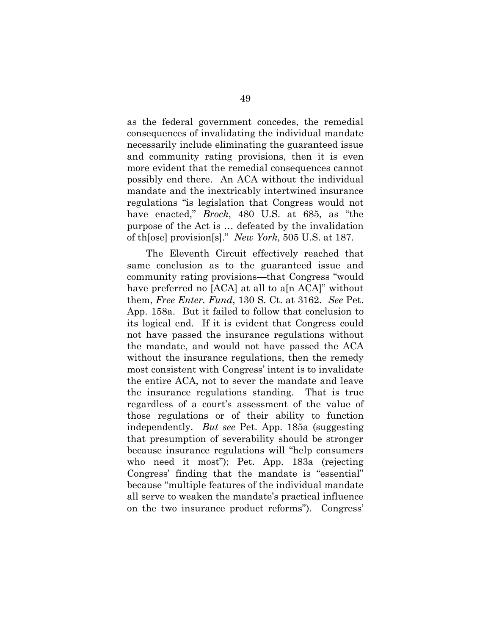as the federal government concedes, the remedial consequences of invalidating the individual mandate necessarily include eliminating the guaranteed issue and community rating provisions, then it is even more evident that the remedial consequences cannot possibly end there. An ACA without the individual mandate and the inextricably intertwined insurance regulations "is legislation that Congress would not have enacted," *Brock*, 480 U.S. at 685, as "the purpose of the Act is … defeated by the invalidation of th[ose] provision[s]." *New York*, 505 U.S. at 187.

The Eleventh Circuit effectively reached that same conclusion as to the guaranteed issue and community rating provisions—that Congress "would have preferred no [ACA] at all to a<sup>[n ACA]</sup>" without them, *Free Enter. Fund*, 130 S. Ct. at 3162. *See* Pet. App. 158a. But it failed to follow that conclusion to its logical end. If it is evident that Congress could not have passed the insurance regulations without the mandate, and would not have passed the ACA without the insurance regulations, then the remedy most consistent with Congress' intent is to invalidate the entire ACA, not to sever the mandate and leave the insurance regulations standing. That is true regardless of a court's assessment of the value of those regulations or of their ability to function independently. *But see* Pet. App. 185a (suggesting that presumption of severability should be stronger because insurance regulations will "help consumers who need it most"); Pet. App. 183a (rejecting Congress' finding that the mandate is "essential" because "multiple features of the individual mandate all serve to weaken the mandate's practical influence on the two insurance product reforms"). Congress'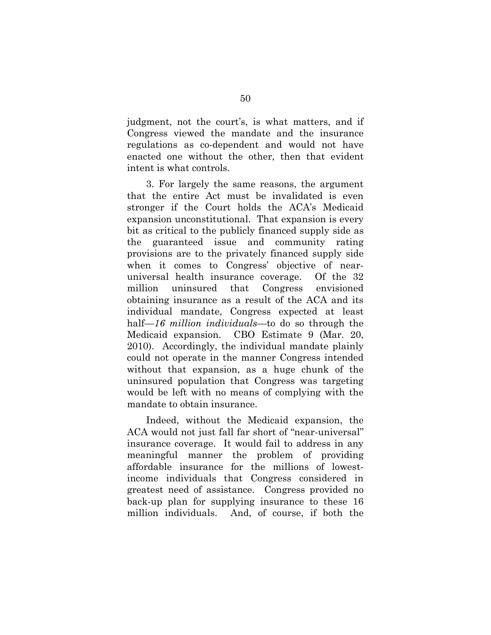judgment, not the court's, is what matters, and if Congress viewed the mandate and the insurance regulations as co-dependent and would not have enacted one without the other, then that evident intent is what controls.

3. For largely the same reasons, the argument that the entire Act must be invalidated is even stronger if the Court holds the ACA's Medicaid expansion unconstitutional. That expansion is every bit as critical to the publicly financed supply side as the guaranteed issue and community rating provisions are to the privately financed supply side when it comes to Congress' objective of nearuniversal health insurance coverage. Of the 32 million uninsured that Congress envisioned obtaining insurance as a result of the ACA and its individual mandate, Congress expected at least half—*16 million individuals*—to do so through the Medicaid expansion. CBO Estimate 9 (Mar. 20, 2010). Accordingly, the individual mandate plainly could not operate in the manner Congress intended without that expansion, as a huge chunk of the uninsured population that Congress was targeting would be left with no means of complying with the mandate to obtain insurance.

Indeed, without the Medicaid expansion, the ACA would not just fall far short of "near-universal" insurance coverage. It would fail to address in any meaningful manner the problem of providing affordable insurance for the millions of lowestincome individuals that Congress considered in greatest need of assistance. Congress provided no back-up plan for supplying insurance to these 16 million individuals. And, of course, if both the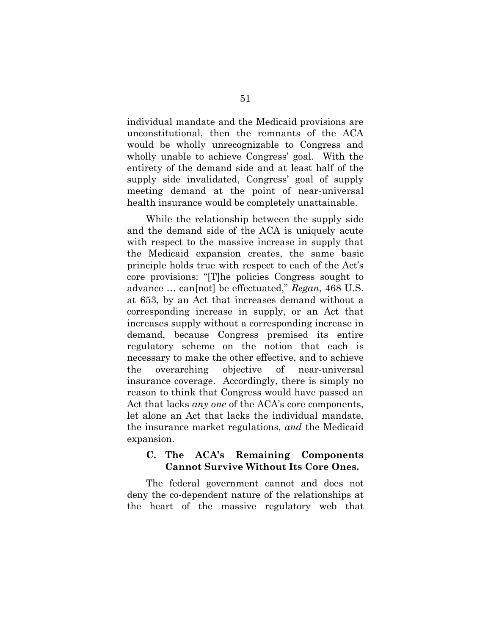individual mandate and the Medicaid provisions are unconstitutional, then the remnants of the ACA would be wholly unrecognizable to Congress and wholly unable to achieve Congress' goal. With the entirety of the demand side and at least half of the supply side invalidated, Congress' goal of supply meeting demand at the point of near-universal health insurance would be completely unattainable.

While the relationship between the supply side and the demand side of the ACA is uniquely acute with respect to the massive increase in supply that the Medicaid expansion creates, the same basic principle holds true with respect to each of the Act's core provisions: "[T]he policies Congress sought to advance … can[not] be effectuated," *Regan*, 468 U.S. at 653, by an Act that increases demand without a corresponding increase in supply, or an Act that increases supply without a corresponding increase in demand, because Congress premised its entire regulatory scheme on the notion that each is necessary to make the other effective, and to achieve the overarching objective of near-universal insurance coverage. Accordingly, there is simply no reason to think that Congress would have passed an Act that lacks *any one* of the ACA's core components, let alone an Act that lacks the individual mandate, the insurance market regulations, *and* the Medicaid expansion.

## **C. The ACA's Remaining Components Cannot Survive Without Its Core Ones.**

The federal government cannot and does not deny the co-dependent nature of the relationships at the heart of the massive regulatory web that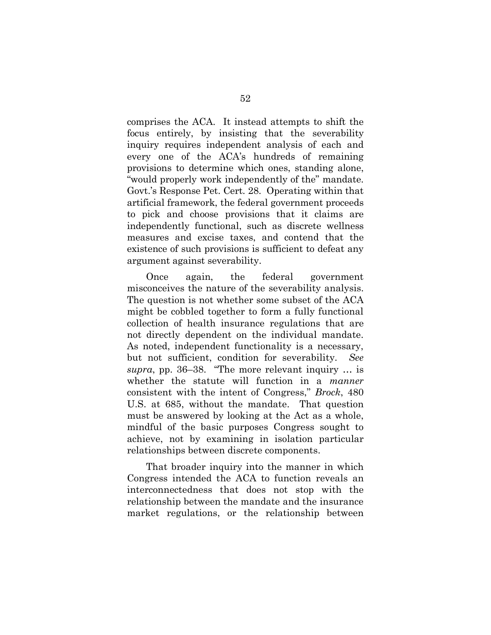comprises the ACA. It instead attempts to shift the focus entirely, by insisting that the severability inquiry requires independent analysis of each and every one of the ACA's hundreds of remaining provisions to determine which ones, standing alone, "would properly work independently of the" mandate. Govt.'s Response Pet. Cert. 28. Operating within that artificial framework, the federal government proceeds to pick and choose provisions that it claims are independently functional, such as discrete wellness measures and excise taxes, and contend that the existence of such provisions is sufficient to defeat any argument against severability.

Once again, the federal government misconceives the nature of the severability analysis. The question is not whether some subset of the ACA might be cobbled together to form a fully functional collection of health insurance regulations that are not directly dependent on the individual mandate. As noted, independent functionality is a necessary, but not sufficient, condition for severability. *See supra*, pp. 36–38. "The more relevant inquiry … is whether the statute will function in a *manner* consistent with the intent of Congress," *Brock*, 480 U.S. at 685, without the mandate. That question must be answered by looking at the Act as a whole, mindful of the basic purposes Congress sought to achieve, not by examining in isolation particular relationships between discrete components.

That broader inquiry into the manner in which Congress intended the ACA to function reveals an interconnectedness that does not stop with the relationship between the mandate and the insurance market regulations, or the relationship between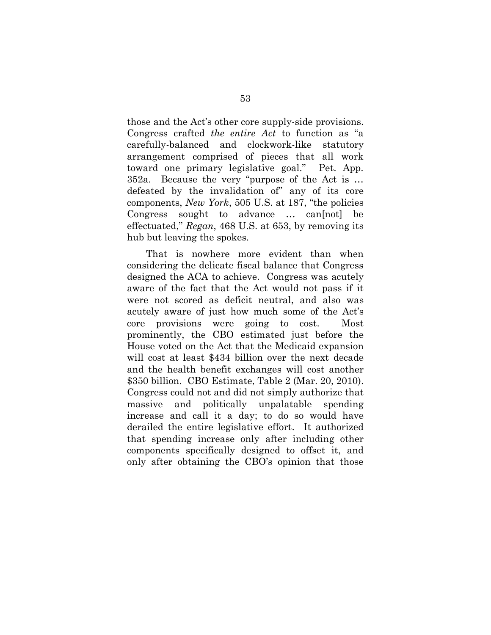those and the Act's other core supply-side provisions. Congress crafted *the entire Act* to function as "a carefully-balanced and clockwork-like statutory arrangement comprised of pieces that all work toward one primary legislative goal." Pet. App. 352a. Because the very "purpose of the Act is … defeated by the invalidation of" any of its core components, *New York*, 505 U.S. at 187, "the policies Congress sought to advance … can[not] be effectuated," *Regan*, 468 U.S. at 653, by removing its hub but leaving the spokes.

That is nowhere more evident than when considering the delicate fiscal balance that Congress designed the ACA to achieve. Congress was acutely aware of the fact that the Act would not pass if it were not scored as deficit neutral, and also was acutely aware of just how much some of the Act's core provisions were going to cost. Most prominently, the CBO estimated just before the House voted on the Act that the Medicaid expansion will cost at least \$434 billion over the next decade and the health benefit exchanges will cost another \$350 billion. CBO Estimate, Table 2 (Mar. 20, 2010). Congress could not and did not simply authorize that massive and politically unpalatable spending increase and call it a day; to do so would have derailed the entire legislative effort. It authorized that spending increase only after including other components specifically designed to offset it, and only after obtaining the CBO's opinion that those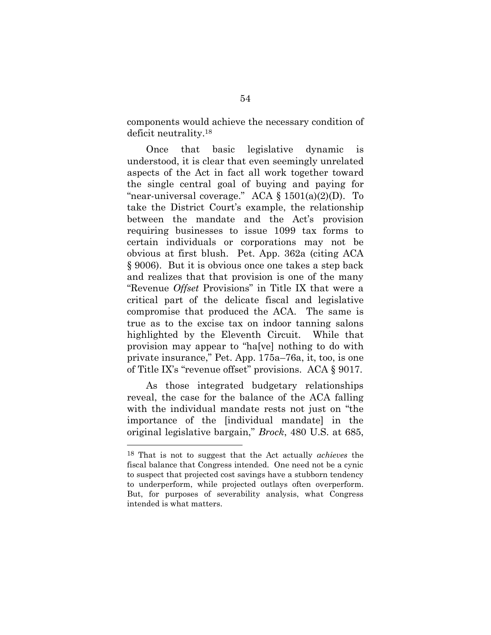components would achieve the necessary condition of deficit neutrality. <sup>18</sup>

Once that basic legislative dynamic is understood, it is clear that even seemingly unrelated aspects of the Act in fact all work together toward the single central goal of buying and paying for "near-universal coverage." ACA  $\S$  1501(a)(2)(D). To take the District Court's example, the relationship between the mandate and the Act's provision requiring businesses to issue 1099 tax forms to certain individuals or corporations may not be obvious at first blush. Pet. App. 362a (citing ACA § 9006). But it is obvious once one takes a step back and realizes that that provision is one of the many "Revenue *Offset* Provisions" in Title IX that were a critical part of the delicate fiscal and legislative compromise that produced the ACA. The same is true as to the excise tax on indoor tanning salons highlighted by the Eleventh Circuit. While that provision may appear to "ha[ve] nothing to do with private insurance," Pet. App. 175a–76a, it, too, is one of Title IX's "revenue offset" provisions. ACA § 9017.

As those integrated budgetary relationships reveal, the case for the balance of the ACA falling with the individual mandate rests not just on "the importance of the [individual mandate] in the original legislative bargain," *Brock*, 480 U.S. at 685,

<sup>18</sup> That is not to suggest that the Act actually *achieves* the fiscal balance that Congress intended. One need not be a cynic to suspect that projected cost savings have a stubborn tendency to underperform, while projected outlays often overperform. But, for purposes of severability analysis, what Congress intended is what matters.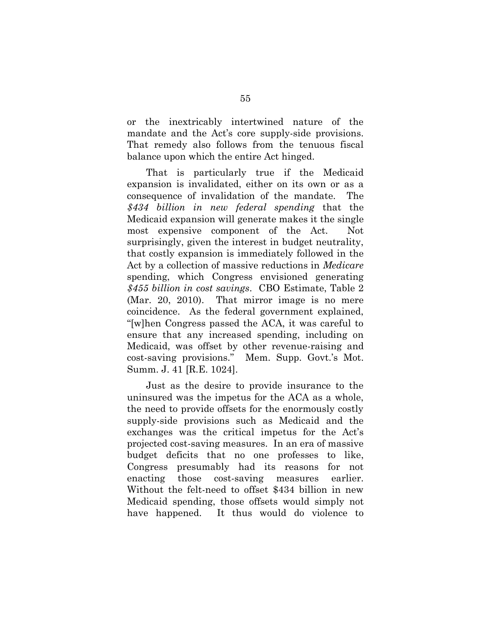or the inextricably intertwined nature of the mandate and the Act's core supply-side provisions. That remedy also follows from the tenuous fiscal balance upon which the entire Act hinged.

That is particularly true if the Medicaid expansion is invalidated, either on its own or as a consequence of invalidation of the mandate. The *\$434 billion in new federal spending* that the Medicaid expansion will generate makes it the single most expensive component of the Act. Not surprisingly, given the interest in budget neutrality, that costly expansion is immediately followed in the Act by a collection of massive reductions in *Medicare*  spending, which Congress envisioned generating *\$455 billion in cost savings*. CBO Estimate, Table 2 (Mar. 20, 2010). That mirror image is no mere coincidence. As the federal government explained, "[w]hen Congress passed the ACA, it was careful to ensure that any increased spending, including on Medicaid, was offset by other revenue-raising and cost-saving provisions." Mem. Supp. Govt.'s Mot. Summ. J. 41 [R.E. 1024].

Just as the desire to provide insurance to the uninsured was the impetus for the ACA as a whole, the need to provide offsets for the enormously costly supply-side provisions such as Medicaid and the exchanges was the critical impetus for the Act's projected cost-saving measures. In an era of massive budget deficits that no one professes to like, Congress presumably had its reasons for not enacting those cost-saving measures earlier. Without the felt-need to offset \$434 billion in new Medicaid spending, those offsets would simply not have happened. It thus would do violence to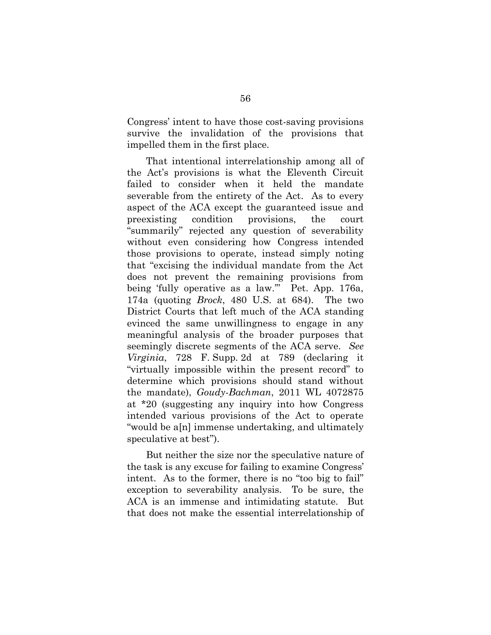Congress' intent to have those cost-saving provisions survive the invalidation of the provisions that impelled them in the first place.

That intentional interrelationship among all of the Act's provisions is what the Eleventh Circuit failed to consider when it held the mandate severable from the entirety of the Act. As to every aspect of the ACA except the guaranteed issue and preexisting condition provisions, the court "summarily" rejected any question of severability without even considering how Congress intended those provisions to operate, instead simply noting that "excising the individual mandate from the Act does not prevent the remaining provisions from being 'fully operative as a law.'" Pet. App. 176a, 174a (quoting *Brock*, 480 U.S. at 684). The two District Courts that left much of the ACA standing evinced the same unwillingness to engage in any meaningful analysis of the broader purposes that seemingly discrete segments of the ACA serve. *See Virginia*, 728 F. Supp. 2d at 789 (declaring it "virtually impossible within the present record" to determine which provisions should stand without the mandate), *Goudy-Bachman*, 2011 WL 4072875 at \*20 (suggesting any inquiry into how Congress intended various provisions of the Act to operate "would be a[n] immense undertaking, and ultimately speculative at best").

But neither the size nor the speculative nature of the task is any excuse for failing to examine Congress' intent. As to the former, there is no "too big to fail" exception to severability analysis. To be sure, the ACA is an immense and intimidating statute. But that does not make the essential interrelationship of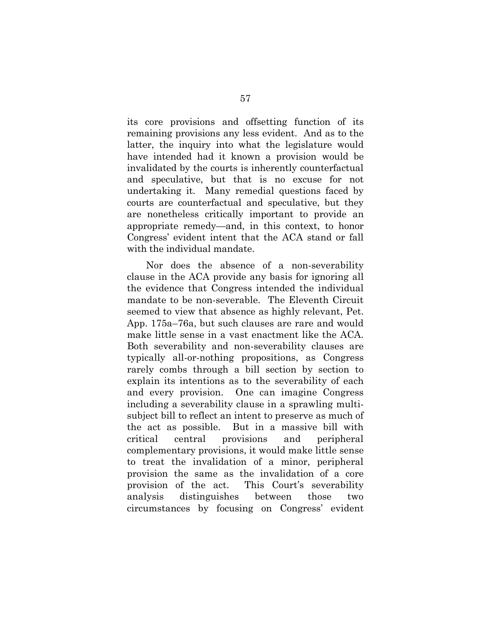its core provisions and offsetting function of its remaining provisions any less evident. And as to the latter, the inquiry into what the legislature would have intended had it known a provision would be invalidated by the courts is inherently counterfactual and speculative, but that is no excuse for not undertaking it. Many remedial questions faced by courts are counterfactual and speculative, but they are nonetheless critically important to provide an appropriate remedy—and, in this context, to honor Congress' evident intent that the ACA stand or fall with the individual mandate.

Nor does the absence of a non-severability clause in the ACA provide any basis for ignoring all the evidence that Congress intended the individual mandate to be non-severable. The Eleventh Circuit seemed to view that absence as highly relevant, Pet. App. 175a–76a, but such clauses are rare and would make little sense in a vast enactment like the ACA. Both severability and non-severability clauses are typically all-or-nothing propositions, as Congress rarely combs through a bill section by section to explain its intentions as to the severability of each and every provision. One can imagine Congress including a severability clause in a sprawling multisubject bill to reflect an intent to preserve as much of the act as possible. But in a massive bill with critical central provisions and peripheral complementary provisions, it would make little sense to treat the invalidation of a minor, peripheral provision the same as the invalidation of a core provision of the act. This Court's severability analysis distinguishes between those two circumstances by focusing on Congress' evident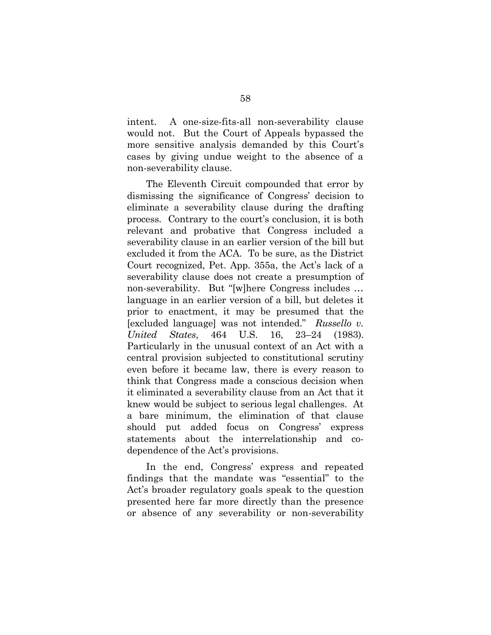intent. A one-size-fits-all non-severability clause would not. But the Court of Appeals bypassed the more sensitive analysis demanded by this Court's cases by giving undue weight to the absence of a non-severability clause.

The Eleventh Circuit compounded that error by dismissing the significance of Congress' decision to eliminate a severability clause during the drafting process. Contrary to the court's conclusion, it is both relevant and probative that Congress included a severability clause in an earlier version of the bill but excluded it from the ACA. To be sure, as the District Court recognized, Pet. App. 355a, the Act's lack of a severability clause does not create a presumption of non-severability. But "[w]here Congress includes … language in an earlier version of a bill, but deletes it prior to enactment, it may be presumed that the [excluded language] was not intended." *Russello v. United States*, 464 U.S. 16, 23–24 (1983). Particularly in the unusual context of an Act with a central provision subjected to constitutional scrutiny even before it became law, there is every reason to think that Congress made a conscious decision when it eliminated a severability clause from an Act that it knew would be subject to serious legal challenges. At a bare minimum, the elimination of that clause should put added focus on Congress' express statements about the interrelationship and codependence of the Act's provisions.

In the end, Congress' express and repeated findings that the mandate was "essential" to the Act's broader regulatory goals speak to the question presented here far more directly than the presence or absence of any severability or non-severability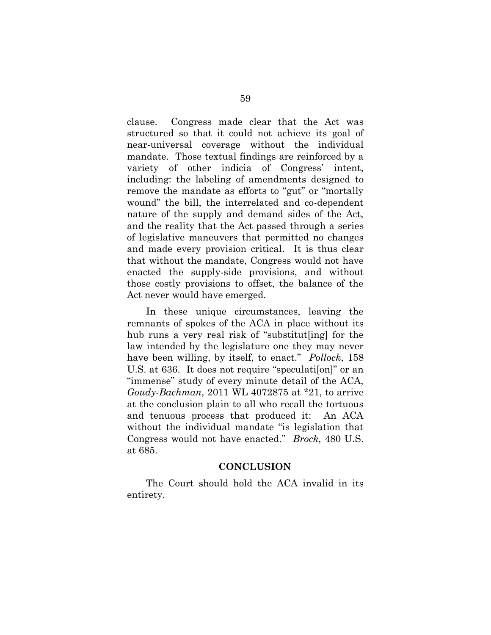clause. Congress made clear that the Act was structured so that it could not achieve its goal of near-universal coverage without the individual mandate. Those textual findings are reinforced by a variety of other indicia of Congress' intent, including: the labeling of amendments designed to remove the mandate as efforts to "gut" or "mortally wound" the bill, the interrelated and co-dependent nature of the supply and demand sides of the Act, and the reality that the Act passed through a series of legislative maneuvers that permitted no changes and made every provision critical. It is thus clear that without the mandate, Congress would not have enacted the supply-side provisions, and without those costly provisions to offset, the balance of the Act never would have emerged.

In these unique circumstances, leaving the remnants of spokes of the ACA in place without its hub runs a very real risk of "substitut[ing] for the law intended by the legislature one they may never have been willing, by itself, to enact." *Pollock*, 158 U.S. at 636. It does not require "speculation" or an "immense" study of every minute detail of the ACA, *Goudy-Bachman*, 2011 WL 4072875 at \*21, to arrive at the conclusion plain to all who recall the tortuous and tenuous process that produced it: An ACA without the individual mandate "is legislation that Congress would not have enacted." *Brock*, 480 U.S. at 685.

#### **CONCLUSION**

The Court should hold the ACA invalid in its entirety.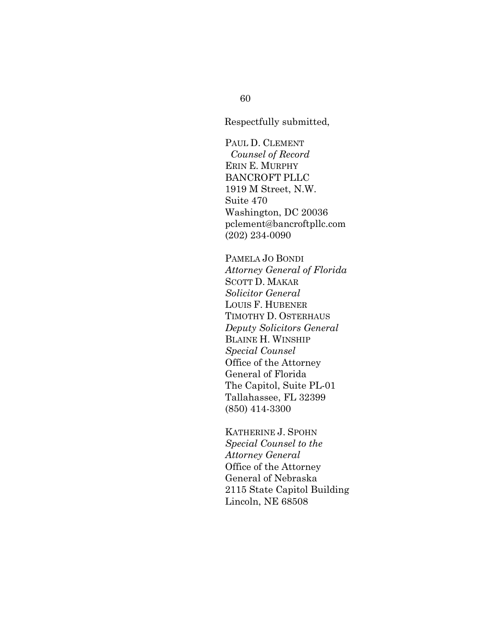Respectfully submitted,

PAUL D. CLEMENT *Counsel of Record* ERIN E. MURPHY BANCROFT PLLC 1919 M Street, N.W. Suite 470 Washington, DC 20036 pclement@bancroftpllc.com (202) 234-0090

PAMELA JO BONDI *Attorney General of Florida* SCOTT D. MAKAR *Solicitor General* LOUIS F. HUBENER TIMOTHY D. OSTERHAUS *Deputy Solicitors General* BLAINE H. WINSHIP *Special Counsel* Office of the Attorney General of Florida The Capitol, Suite PL-01 Tallahassee, FL 32399 (850) 414-3300

KATHERINE J. SPOHN *Special Counsel to the Attorney General* Office of the Attorney General of Nebraska 2115 State Capitol Building Lincoln, NE 68508

60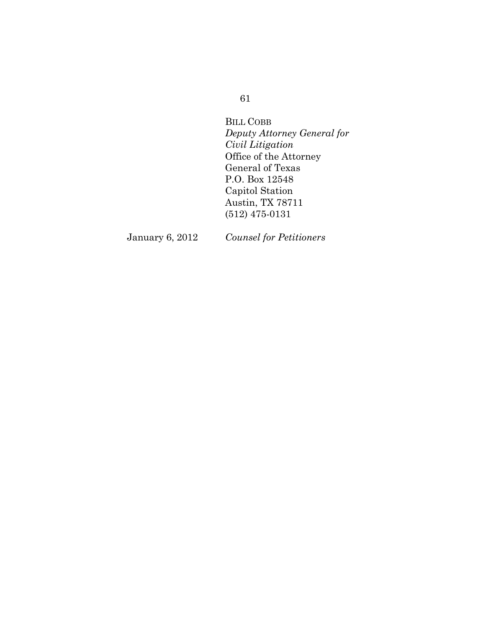# 61

BILL COBB *Deputy Attorney General for Civil Litigation*  Office of the Attorney General of Texas P.O. Box 12548 Capitol Station Austin, TX 78711 (512) 475-0131

January 6, 2012 *Counsel for Petitioners*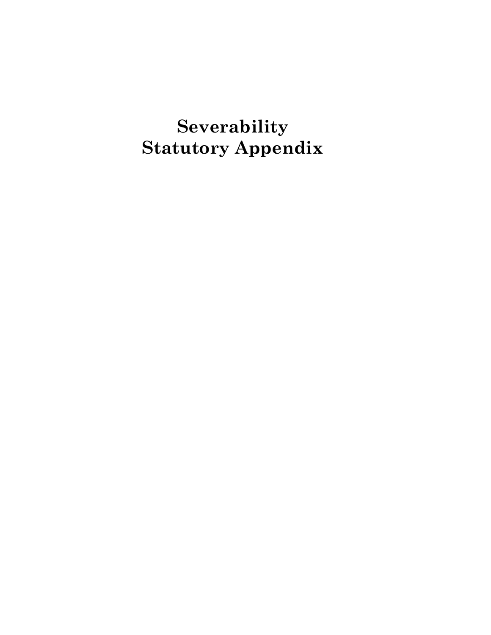**Severability Statutory Appendix**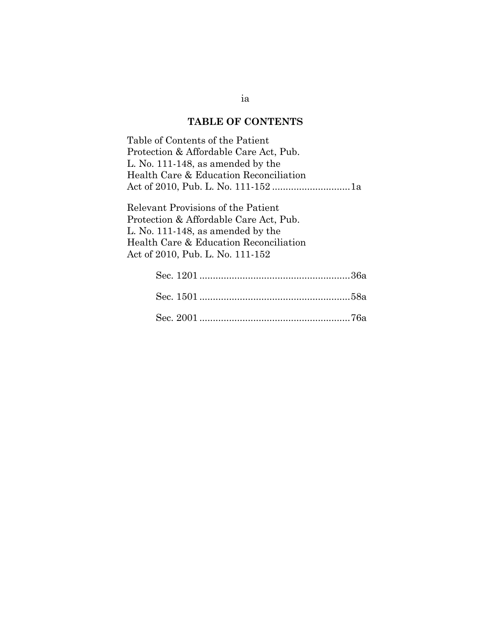## **TABLE OF CONTENTS**

Table of Contents of the Patient Protection & Affordable Care Act, Pub. L. No. 111-148, as amended by the Health Care & Education Reconciliation Act of 2010, Pub. L. No. 111-152 .............................1a

Relevant Provisions of the Patient Protection & Affordable Care Act, Pub. L. No. 111-148, as amended by the Health Care & Education Reconciliation Act of 2010, Pub. L. No. 111-152

ia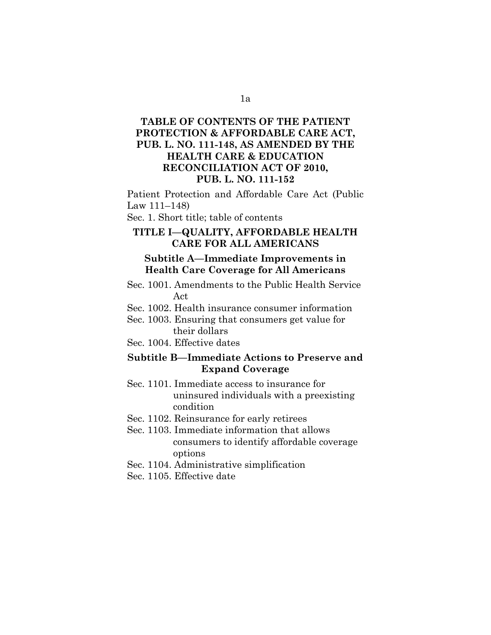## **TABLE OF CONTENTS OF THE PATIENT PROTECTION & AFFORDABLE CARE ACT, PUB. L. NO. 111-148, AS AMENDED BY THE HEALTH CARE & EDUCATION RECONCILIATION ACT OF 2010, PUB. L. NO. 111-152**

Patient Protection and Affordable Care Act (Public Law 111–148)

Sec. 1. Short title; table of contents

## **TITLE I—QUALITY, AFFORDABLE HEALTH CARE FOR ALL AMERICANS**

## **Subtitle A—Immediate Improvements in Health Care Coverage for All Americans**

- Sec. 1001. Amendments to the Public Health Service Act
- Sec. 1002. Health insurance consumer information
- Sec. 1003. Ensuring that consumers get value for their dollars
- Sec. 1004. Effective dates

## **Subtitle B—Immediate Actions to Preserve and Expand Coverage**

- Sec. 1101. Immediate access to insurance for uninsured individuals with a preexisting condition
- Sec. 1102. Reinsurance for early retirees
- Sec. 1103. Immediate information that allows consumers to identify affordable coverage options
- Sec. 1104. Administrative simplification
- Sec. 1105. Effective date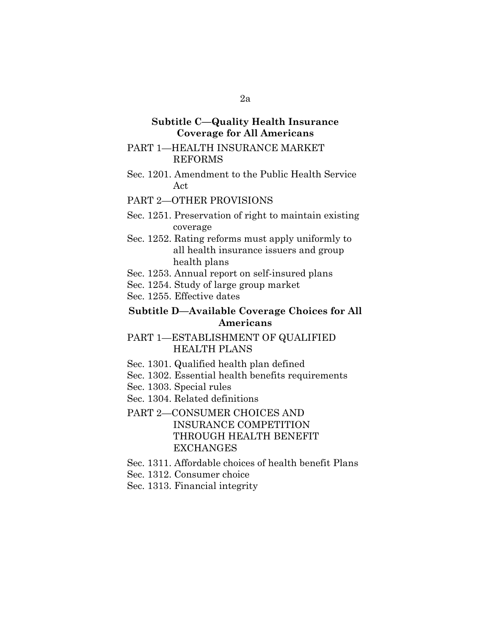## **Subtitle C—Quality Health Insurance Coverage for All Americans**

#### PART 1—HEALTH INSURANCE MARKET REFORMS

Sec. 1201. Amendment to the Public Health Service Act

#### PART 2—OTHER PROVISIONS

- Sec. 1251. Preservation of right to maintain existing coverage
- Sec. 1252. Rating reforms must apply uniformly to all health insurance issuers and group health plans
- Sec. 1253. Annual report on self-insured plans
- Sec. 1254. Study of large group market
- Sec. 1255. Effective dates

#### **Subtitle D—Available Coverage Choices for All Americans**

- PART 1—ESTABLISHMENT OF QUALIFIED HEALTH PLANS
- Sec. 1301. Qualified health plan defined
- Sec. 1302. Essential health benefits requirements
- Sec. 1303. Special rules
- Sec. 1304. Related definitions

## PART 2—CONSUMER CHOICES AND INSURANCE COMPETITION THROUGH HEALTH BENEFIT **EXCHANGES**

- Sec. 1311. Affordable choices of health benefit Plans
- Sec. 1312. Consumer choice
- Sec. 1313. Financial integrity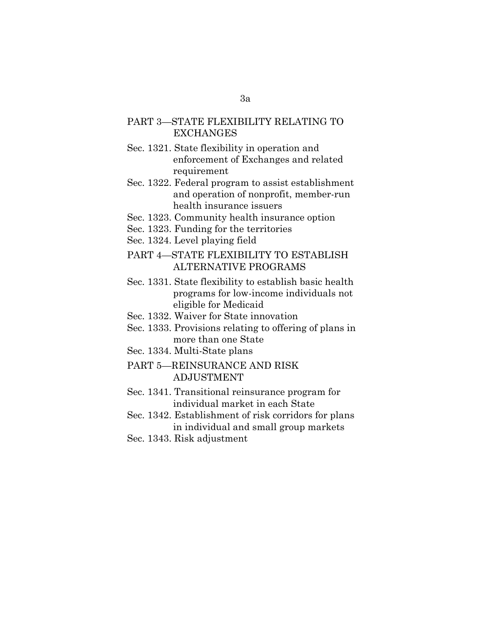## PART 3—STATE FLEXIBILITY RELATING TO EXCHANGES

- Sec. 1321. State flexibility in operation and enforcement of Exchanges and related requirement
- Sec. 1322. Federal program to assist establishment and operation of nonprofit, member-run health insurance issuers
- Sec. 1323. Community health insurance option
- Sec. 1323. Funding for the territories
- Sec. 1324. Level playing field

## PART 4—STATE FLEXIBILITY TO ESTABLISH ALTERNATIVE PROGRAMS

- Sec. 1331. State flexibility to establish basic health programs for low-income individuals not eligible for Medicaid
- Sec. 1332. Waiver for State innovation
- Sec. 1333. Provisions relating to offering of plans in more than one State
- Sec. 1334. Multi-State plans
- PART 5—REINSURANCE AND RISK ADJUSTMENT
- Sec. 1341. Transitional reinsurance program for individual market in each State
- Sec. 1342. Establishment of risk corridors for plans in individual and small group markets
- Sec. 1343. Risk adjustment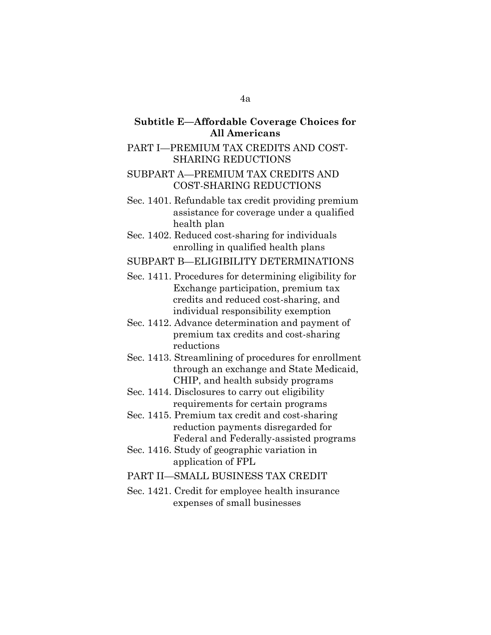## **Subtitle E—Affordable Coverage Choices for All Americans**

#### PART I—PREMIUM TAX CREDITS AND COST-SHARING REDUCTIONS

## SUBPART A—PREMIUM TAX CREDITS AND COST-SHARING REDUCTIONS

- Sec. 1401. Refundable tax credit providing premium assistance for coverage under a qualified health plan
- Sec. 1402. Reduced cost-sharing for individuals enrolling in qualified health plans

#### SUBPART B—ELIGIBILITY DETERMINATIONS

- Sec. 1411. Procedures for determining eligibility for Exchange participation, premium tax credits and reduced cost-sharing, and individual responsibility exemption
- Sec. 1412. Advance determination and payment of premium tax credits and cost-sharing reductions
- Sec. 1413. Streamlining of procedures for enrollment through an exchange and State Medicaid, CHIP, and health subsidy programs
- Sec. 1414. Disclosures to carry out eligibility requirements for certain programs
- Sec. 1415. Premium tax credit and cost-sharing reduction payments disregarded for Federal and Federally-assisted programs
- Sec. 1416. Study of geographic variation in application of FPL
- PART II—SMALL BUSINESS TAX CREDIT
- Sec. 1421. Credit for employee health insurance expenses of small businesses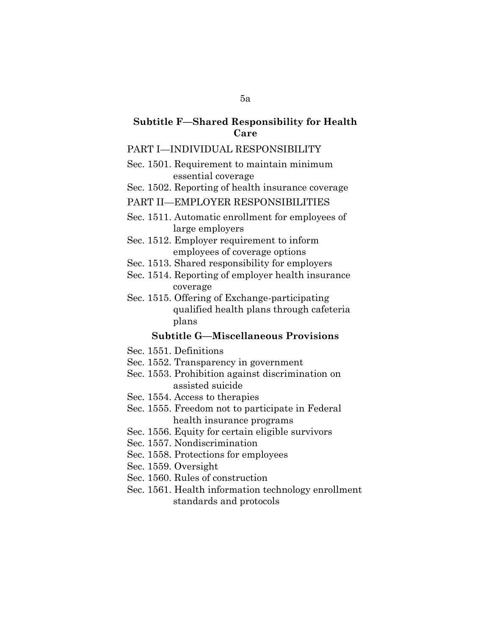## **Subtitle F—Shared Responsibility for Health Care**

#### PART I—INDIVIDUAL RESPONSIBILITY

- Sec. 1501. Requirement to maintain minimum essential coverage
- Sec. 1502. Reporting of health insurance coverage

#### PART II—EMPLOYER RESPONSIBILITIES

- Sec. 1511. Automatic enrollment for employees of large employers
- Sec. 1512. Employer requirement to inform employees of coverage options
- Sec. 1513. Shared responsibility for employers
- Sec. 1514. Reporting of employer health insurance coverage
- Sec. 1515. Offering of Exchange-participating qualified health plans through cafeteria plans

#### **Subtitle G—Miscellaneous Provisions**

- Sec. 1551. Definitions
- Sec. 1552. Transparency in government
- Sec. 1553. Prohibition against discrimination on assisted suicide
- Sec. 1554. Access to therapies
- Sec. 1555. Freedom not to participate in Federal health insurance programs
- Sec. 1556. Equity for certain eligible survivors
- Sec. 1557. Nondiscrimination
- Sec. 1558. Protections for employees
- Sec. 1559. Oversight
- Sec. 1560. Rules of construction
- Sec. 1561. Health information technology enrollment standards and protocols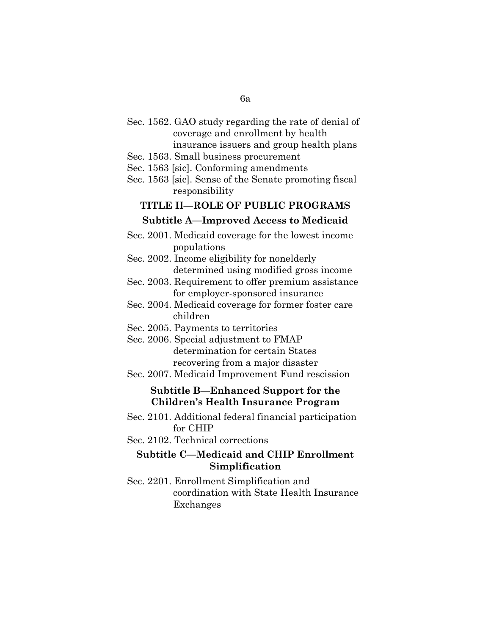- Sec. 1562. GAO study regarding the rate of denial of coverage and enrollment by health insurance issuers and group health plans
- Sec. 1563. Small business procurement
- Sec. 1563 [sic]. Conforming amendments
- Sec. 1563 [sic]. Sense of the Senate promoting fiscal responsibility

# **TITLE II—ROLE OF PUBLIC PROGRAMS Subtitle A—Improved Access to Medicaid**

- Sec. 2001. Medicaid coverage for the lowest income populations
- Sec. 2002. Income eligibility for nonelderly determined using modified gross income
- Sec. 2003. Requirement to offer premium assistance for employer-sponsored insurance
- Sec. 2004. Medicaid coverage for former foster care children
- Sec. 2005. Payments to territories
- Sec. 2006. Special adjustment to FMAP determination for certain States recovering from a major disaster
- Sec. 2007. Medicaid Improvement Fund rescission

#### **Subtitle B—Enhanced Support for the Children's Health Insurance Program**

- Sec. 2101. Additional federal financial participation for CHIP
- Sec. 2102. Technical corrections

## **Subtitle C—Medicaid and CHIP Enrollment Simplification**

Sec. 2201. Enrollment Simplification and coordination with State Health Insurance Exchanges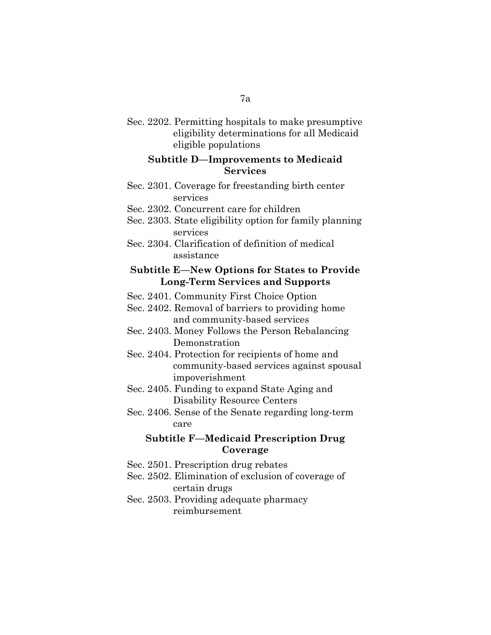Sec. 2202. Permitting hospitals to make presumptive eligibility determinations for all Medicaid eligible populations

### **Subtitle D—Improvements to Medicaid Services**

- Sec. 2301. Coverage for freestanding birth center services
- Sec. 2302. Concurrent care for children
- Sec. 2303. State eligibility option for family planning services
- Sec. 2304. Clarification of definition of medical assistance

## **Subtitle E—New Options for States to Provide Long-Term Services and Supports**

- Sec. 2401. Community First Choice Option
- Sec. 2402. Removal of barriers to providing home and community-based services
- Sec. 2403. Money Follows the Person Rebalancing **Demonstration**
- Sec. 2404. Protection for recipients of home and community-based services against spousal impoverishment
- Sec. 2405. Funding to expand State Aging and Disability Resource Centers
- Sec. 2406. Sense of the Senate regarding long-term care

## **Subtitle F—Medicaid Prescription Drug Coverage**

- Sec. 2501. Prescription drug rebates
- Sec. 2502. Elimination of exclusion of coverage of certain drugs
- Sec. 2503. Providing adequate pharmacy reimbursement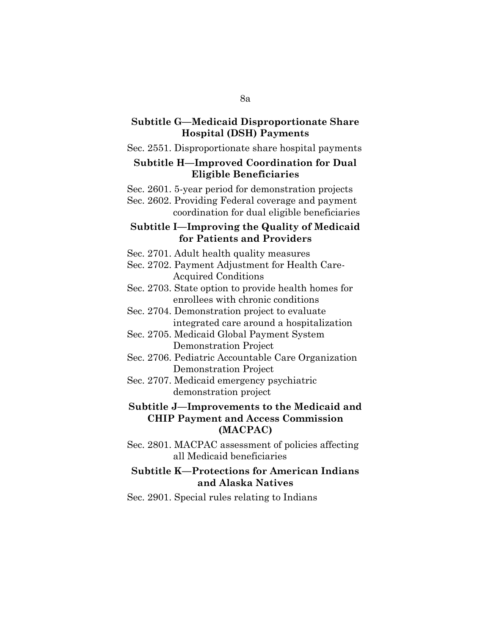#### **Subtitle G—Medicaid Disproportionate Share Hospital (DSH) Payments**

#### Sec. 2551. Disproportionate share hospital payments

#### **Subtitle H—Improved Coordination for Dual Eligible Beneficiaries**

Sec. 2601. 5-year period for demonstration projects

Sec. 2602. Providing Federal coverage and payment coordination for dual eligible beneficiaries

#### **Subtitle I—Improving the Quality of Medicaid for Patients and Providers**

- Sec. 2701. Adult health quality measures
- Sec. 2702. Payment Adjustment for Health Care-Acquired Conditions
- Sec. 2703. State option to provide health homes for enrollees with chronic conditions
- Sec. 2704. Demonstration project to evaluate integrated care around a hospitalization
- Sec. 2705. Medicaid Global Payment System Demonstration Project
- Sec. 2706. Pediatric Accountable Care Organization Demonstration Project
- Sec. 2707. Medicaid emergency psychiatric demonstration project

## **Subtitle J—Improvements to the Medicaid and CHIP Payment and Access Commission (MACPAC)**

Sec. 2801. MACPAC assessment of policies affecting all Medicaid beneficiaries

## **Subtitle K—Protections for American Indians and Alaska Natives**

Sec. 2901. Special rules relating to Indians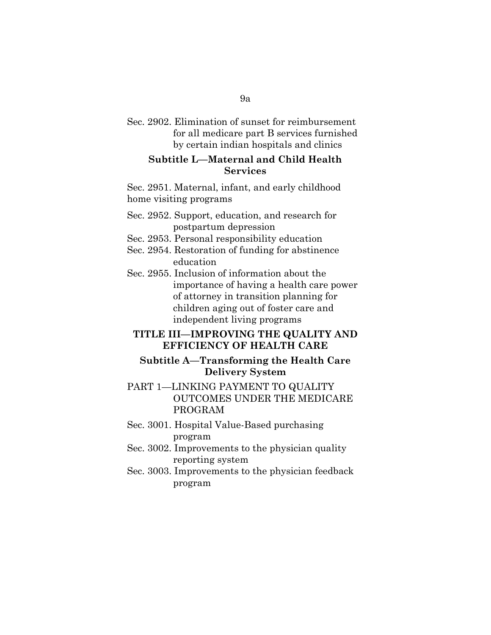Sec. 2902. Elimination of sunset for reimbursement for all medicare part B services furnished by certain indian hospitals and clinics

### **Subtitle L—Maternal and Child Health Services**

Sec. 2951. Maternal, infant, and early childhood home visiting programs

- Sec. 2952. Support, education, and research for postpartum depression
- Sec. 2953. Personal responsibility education
- Sec. 2954. Restoration of funding for abstinence education
- Sec. 2955. Inclusion of information about the importance of having a health care power of attorney in transition planning for children aging out of foster care and independent living programs

## **TITLE III—IMPROVING THE QUALITY AND EFFICIENCY OF HEALTH CARE**

## **Subtitle A—Transforming the Health Care Delivery System**

- PART 1—LINKING PAYMENT TO QUALITY OUTCOMES UNDER THE MEDICARE PROGRAM
- Sec. 3001. Hospital Value-Based purchasing program
- Sec. 3002. Improvements to the physician quality reporting system
- Sec. 3003. Improvements to the physician feedback program

#### 9a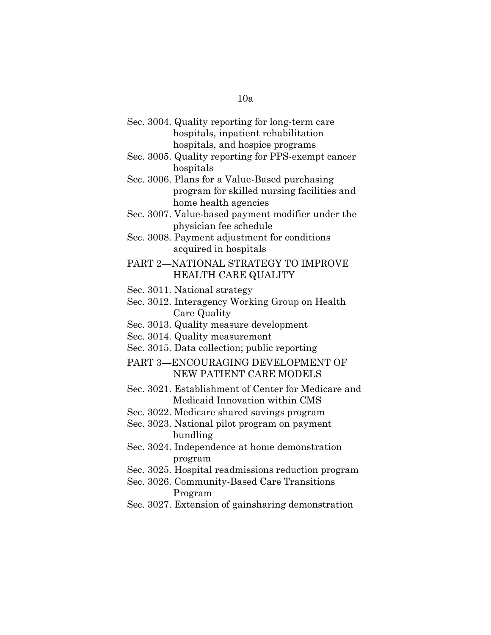| Sec. 3004. Quality reporting for long-term care<br>hospitals, inpatient rehabilitation                                   |
|--------------------------------------------------------------------------------------------------------------------------|
| hospitals, and hospice programs<br>Sec. 3005. Quality reporting for PPS-exempt cancer<br>hospitals                       |
| Sec. 3006. Plans for a Value-Based purchasing<br>program for skilled nursing facilities and<br>home health agencies      |
| Sec. 3007. Value-based payment modifier under the<br>physician fee schedule                                              |
| Sec. 3008. Payment adjustment for conditions<br>acquired in hospitals                                                    |
| PART 2-NATIONAL STRATEGY TO IMPROVE<br><b>HEALTH CARE QUALITY</b>                                                        |
| Sec. 3011. National strategy<br>Sec. 3012. Interagency Working Group on Health<br>Care Quality                           |
| Sec. 3013. Quality measure development<br>Sec. 3014. Quality measurement<br>Sec. 3015. Data collection; public reporting |
| PART 3-ENCOURAGING DEVELOPMENT OF<br><b>NEW PATIENT CARE MODELS</b>                                                      |
| Sec. 3021. Establishment of Center for Medicare and<br>Medicaid Innovation within CMS                                    |
| Sec. 3022. Medicare shared savings program<br>Sec. 3023. National pilot program on payment<br>bundling                   |
| Sec. 3024. Independence at home demonstration<br>program                                                                 |
| Sec. 3025. Hospital readmissions reduction program<br>Sec. 3026. Community-Based Care Transitions<br>Program             |
| Sec. 3027. Extension of gainsharing demonstration                                                                        |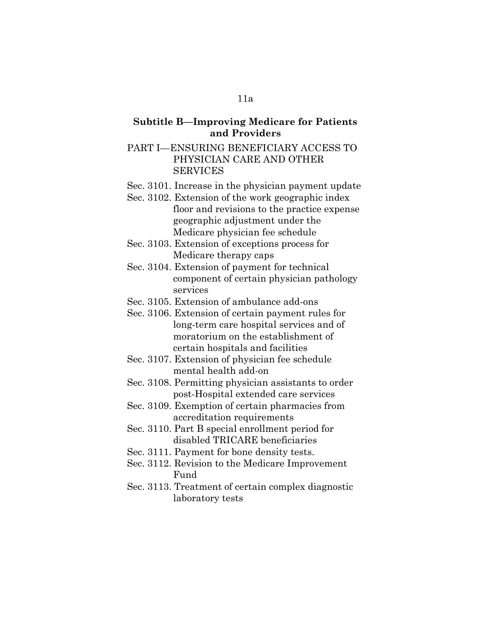## **Subtitle B—Improving Medicare for Patients and Providers**

### PART I—ENSURING BENEFICIARY ACCESS TO PHYSICIAN CARE AND OTHER SERVICES

- Sec. 3101. Increase in the physician payment update
- Sec. 3102. Extension of the work geographic index floor and revisions to the practice expense geographic adjustment under the Medicare physician fee schedule
- Sec. 3103. Extension of exceptions process for Medicare therapy caps
- Sec. 3104. Extension of payment for technical component of certain physician pathology services
- Sec. 3105. Extension of ambulance add-ons
- Sec. 3106. Extension of certain payment rules for long-term care hospital services and of moratorium on the establishment of certain hospitals and facilities
- Sec. 3107. Extension of physician fee schedule mental health add-on
- Sec. 3108. Permitting physician assistants to order post-Hospital extended care services
- Sec. 3109. Exemption of certain pharmacies from accreditation requirements
- Sec. 3110. Part B special enrollment period for disabled TRICARE beneficiaries
- Sec. 3111. Payment for bone density tests.
- Sec. 3112. Revision to the Medicare Improvement Fund
- Sec. 3113. Treatment of certain complex diagnostic laboratory tests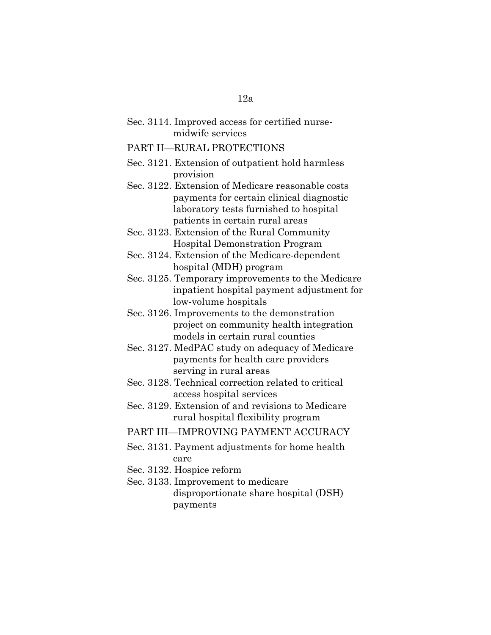|  | Sec. 3114. Improved access for certified nurse- |  |  |
|--|-------------------------------------------------|--|--|
|  | midwife services                                |  |  |

#### PART II—RURAL PROTECTIONS

Sec. 3121. Extension of outpatient hold harmless provision

Sec. 3122. Extension of Medicare reasonable costs payments for certain clinical diagnostic laboratory tests furnished to hospital patients in certain rural areas

- Sec. 3123. Extension of the Rural Community Hospital Demonstration Program
- Sec. 3124. Extension of the Medicare-dependent hospital (MDH) program
- Sec. 3125. Temporary improvements to the Medicare inpatient hospital payment adjustment for low-volume hospitals
- Sec. 3126. Improvements to the demonstration project on community health integration models in certain rural counties
- Sec. 3127. MedPAC study on adequacy of Medicare payments for health care providers serving in rural areas
- Sec. 3128. Technical correction related to critical access hospital services
- Sec. 3129. Extension of and revisions to Medicare rural hospital flexibility program
- PART III—IMPROVING PAYMENT ACCURACY
- Sec. 3131. Payment adjustments for home health care
- Sec. 3132. Hospice reform
- Sec. 3133. Improvement to medicare disproportionate share hospital (DSH) payments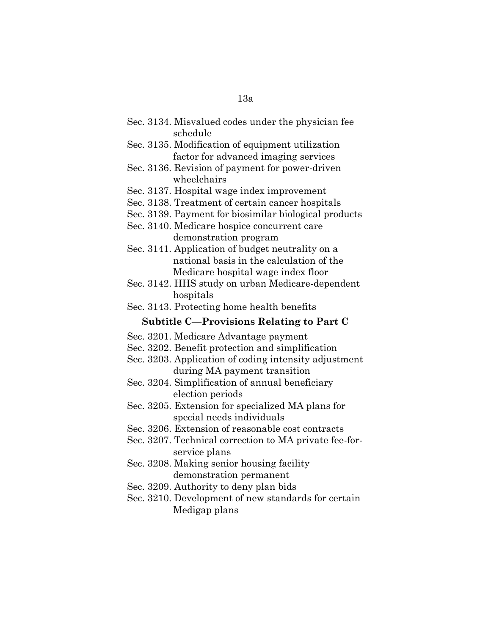| Sec. 3134. Misvalued codes under the physician fee                                                        |
|-----------------------------------------------------------------------------------------------------------|
| schedule                                                                                                  |
| Sec. 3135. Modification of equipment utilization                                                          |
| factor for advanced imaging services                                                                      |
| Sec. 3136. Revision of payment for power-driven                                                           |
| wheelchairs                                                                                               |
| Sec. 3137. Hospital wage index improvement                                                                |
| Sec. 3138. Treatment of certain cancer hospitals                                                          |
| Sec. 3139. Payment for biosimilar biological products                                                     |
| Sec. 3140. Medicare hospice concurrent care                                                               |
| demonstration program                                                                                     |
| Sec. 3141. Application of budget neutrality on a                                                          |
| national basis in the calculation of the                                                                  |
| Medicare hospital wage index floor                                                                        |
| Sec. 3142. HHS study on urban Medicare-dependent                                                          |
| hospitals                                                                                                 |
| Sec. 3143. Protecting home health benefits                                                                |
|                                                                                                           |
| <b>Subtitle C-Provisions Relating to Part C</b>                                                           |
| Sec. 3201. Medicare Advantage payment                                                                     |
|                                                                                                           |
| Sec. 3202. Benefit protection and simplification<br>Sec. 3203. Application of coding intensity adjustment |
|                                                                                                           |
| during MA payment transition                                                                              |
| Sec. 3204. Simplification of annual beneficiary<br>election periods                                       |
| Sec. 3205. Extension for specialized MA plans for                                                         |
| special needs individuals                                                                                 |
| Sec. 3206. Extension of reasonable cost contracts                                                         |
|                                                                                                           |
| Sec. 3207. Technical correction to MA private fee-for-<br>service plans                                   |
| Sec. 3208. Making senior housing facility                                                                 |
| demonstration permanent                                                                                   |
| Sec. 3209. Authority to deny plan bids                                                                    |
| Sec. 3210. Development of new standards for certain                                                       |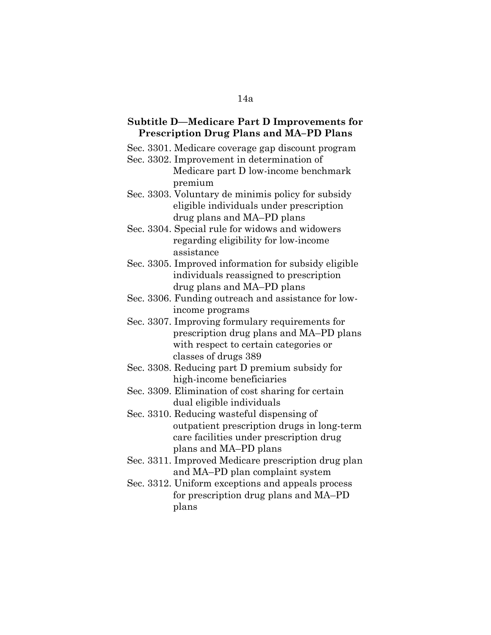#### **Subtitle D—Medicare Part D Improvements for Prescription Drug Plans and MA–PD Plans**

- Sec. 3301. Medicare coverage gap discount program
- Sec. 3302. Improvement in determination of Medicare part D low-income benchmark premium
- Sec. 3303. Voluntary de minimis policy for subsidy eligible individuals under prescription drug plans and MA–PD plans
- Sec. 3304. Special rule for widows and widowers regarding eligibility for low-income assistance
- Sec. 3305. Improved information for subsidy eligible individuals reassigned to prescription drug plans and MA–PD plans
- Sec. 3306. Funding outreach and assistance for lowincome programs
- Sec. 3307. Improving formulary requirements for prescription drug plans and MA–PD plans with respect to certain categories or classes of drugs 389
- Sec. 3308. Reducing part D premium subsidy for high-income beneficiaries
- Sec. 3309. Elimination of cost sharing for certain dual eligible individuals
- Sec. 3310. Reducing wasteful dispensing of outpatient prescription drugs in long-term care facilities under prescription drug plans and MA–PD plans
- Sec. 3311. Improved Medicare prescription drug plan and MA–PD plan complaint system
- Sec. 3312. Uniform exceptions and appeals process for prescription drug plans and MA–PD plans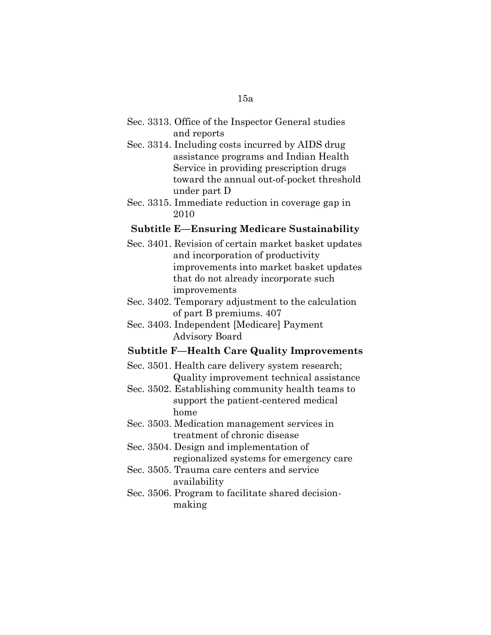- Sec. 3313. Office of the Inspector General studies and reports
- Sec. 3314. Including costs incurred by AIDS drug assistance programs and Indian Health Service in providing prescription drugs toward the annual out-of-pocket threshold under part D
- Sec. 3315. Immediate reduction in coverage gap in 2010

#### **Subtitle E—Ensuring Medicare Sustainability**

- Sec. 3401. Revision of certain market basket updates and incorporation of productivity improvements into market basket updates that do not already incorporate such improvements
- Sec. 3402. Temporary adjustment to the calculation of part B premiums. 407
- Sec. 3403. Independent [Medicare] Payment Advisory Board

#### **Subtitle F—Health Care Quality Improvements**

- Sec. 3501. Health care delivery system research; Quality improvement technical assistance
- Sec. 3502. Establishing community health teams to support the patient-centered medical home
- Sec. 3503. Medication management services in treatment of chronic disease
- Sec. 3504. Design and implementation of regionalized systems for emergency care
- Sec. 3505. Trauma care centers and service availability
- Sec. 3506. Program to facilitate shared decisionmaking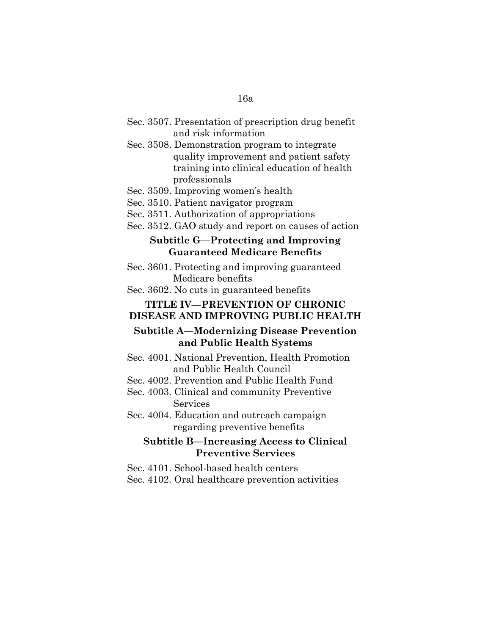- Sec. 3507. Presentation of prescription drug benefit and risk information
- Sec. 3508. Demonstration program to integrate quality improvement and patient safety training into clinical education of health professionals
- Sec. 3509. Improving women's health
- Sec. 3510. Patient navigator program
- Sec. 3511. Authorization of appropriations
- Sec. 3512. GAO study and report on causes of action

#### **Subtitle G—Protecting and Improving Guaranteed Medicare Benefits**

- Sec. 3601. Protecting and improving guaranteed Medicare benefits
- Sec. 3602. No cuts in guaranteed benefits

### **TITLE IV—PREVENTION OF CHRONIC DISEASE AND IMPROVING PUBLIC HEALTH**

### **Subtitle A—Modernizing Disease Prevention and Public Health Systems**

- Sec. 4001. National Prevention, Health Promotion and Public Health Council
- Sec. 4002. Prevention and Public Health Fund
- Sec. 4003. Clinical and community Preventive Services
- Sec. 4004. Education and outreach campaign regarding preventive benefits

### **Subtitle B—Increasing Access to Clinical Preventive Services**

- Sec. 4101. School-based health centers
- Sec. 4102. Oral healthcare prevention activities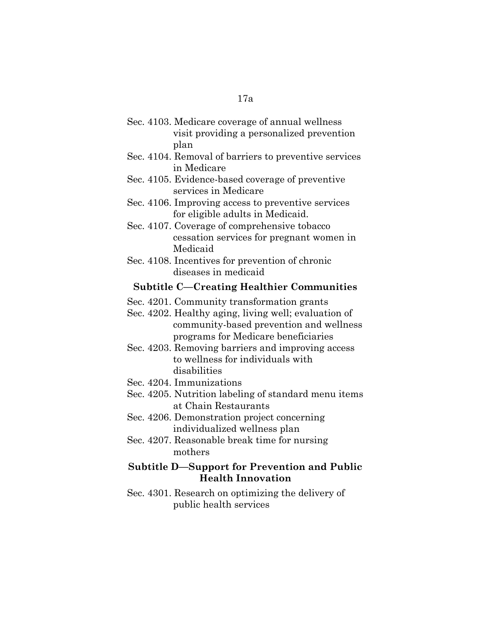| Sec. 4103. Medicare coverage of annual wellness |
|-------------------------------------------------|
| visit providing a personalized prevention       |
| plan                                            |

- Sec. 4104. Removal of barriers to preventive services in Medicare
- Sec. 4105. Evidence-based coverage of preventive services in Medicare
- Sec. 4106. Improving access to preventive services for eligible adults in Medicaid.
- Sec. 4107. Coverage of comprehensive tobacco cessation services for pregnant women in Medicaid
- Sec. 4108. Incentives for prevention of chronic diseases in medicaid

#### **Subtitle C—Creating Healthier Communities**

- Sec. 4201. Community transformation grants
- Sec. 4202. Healthy aging, living well; evaluation of community-based prevention and wellness programs for Medicare beneficiaries
- Sec. 4203. Removing barriers and improving access to wellness for individuals with disabilities
- Sec. 4204. Immunizations
- Sec. 4205. Nutrition labeling of standard menu items at Chain Restaurants
- Sec. 4206. Demonstration project concerning individualized wellness plan
- Sec. 4207. Reasonable break time for nursing mothers

## **Subtitle D—Support for Prevention and Public Health Innovation**

Sec. 4301. Research on optimizing the delivery of public health services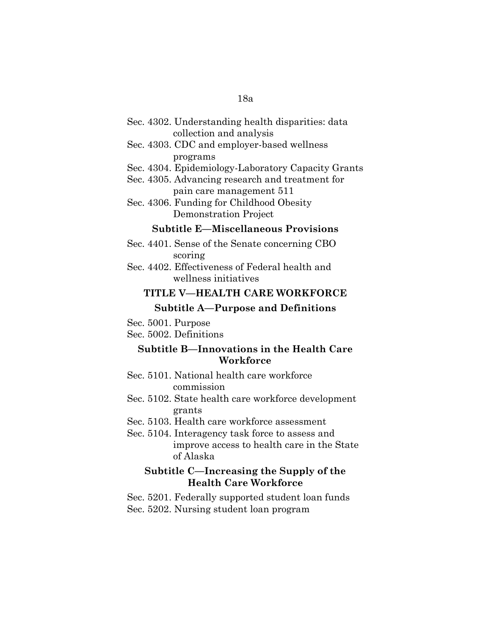| Sec. 4302. Understanding health disparities: data |  |  |
|---------------------------------------------------|--|--|
| collection and analysis                           |  |  |

- Sec. 4303. CDC and employer-based wellness programs
- Sec. 4304. Epidemiology-Laboratory Capacity Grants
- Sec. 4305. Advancing research and treatment for pain care management 511
- Sec. 4306. Funding for Childhood Obesity Demonstration Project

#### **Subtitle E—Miscellaneous Provisions**

- Sec. 4401. Sense of the Senate concerning CBO scoring
- Sec. 4402. Effectiveness of Federal health and wellness initiatives

#### **TITLE V—HEALTH CARE WORKFORCE**

#### **Subtitle A—Purpose and Definitions**

Sec. 5001. Purpose

Sec. 5002. Definitions

## **Subtitle B—Innovations in the Health Care Workforce**

- Sec. 5101. National health care workforce commission
- Sec. 5102. State health care workforce development grants
- Sec. 5103. Health care workforce assessment
- Sec. 5104. Interagency task force to assess and improve access to health care in the State of Alaska

## **Subtitle C—Increasing the Supply of the Health Care Workforce**

Sec. 5201. Federally supported student loan funds Sec. 5202. Nursing student loan program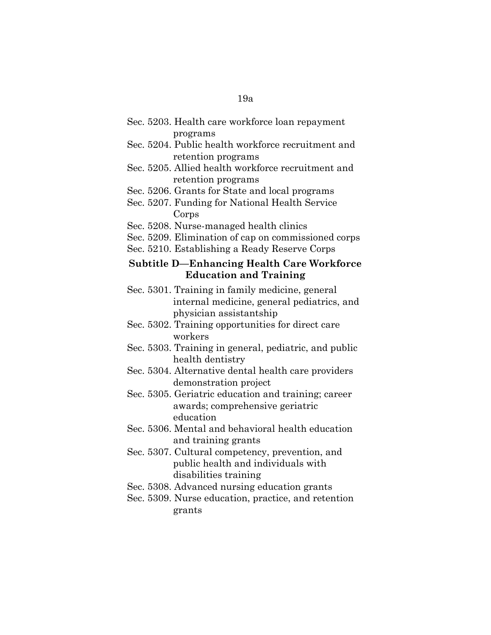- Sec. 5203. Health care workforce loan repayment programs
- Sec. 5204. Public health workforce recruitment and retention programs
- Sec. 5205. Allied health workforce recruitment and retention programs
- Sec. 5206. Grants for State and local programs
- Sec. 5207. Funding for National Health Service Corps
- Sec. 5208. Nurse-managed health clinics
- Sec. 5209. Elimination of cap on commissioned corps
- Sec. 5210. Establishing a Ready Reserve Corps

#### **Subtitle D—Enhancing Health Care Workforce Education and Training**

- Sec. 5301. Training in family medicine, general internal medicine, general pediatrics, and physician assistantship
- Sec. 5302. Training opportunities for direct care workers
- Sec. 5303. Training in general, pediatric, and public health dentistry
- Sec. 5304. Alternative dental health care providers demonstration project
- Sec. 5305. Geriatric education and training; career awards; comprehensive geriatric education
- Sec. 5306. Mental and behavioral health education and training grants
- Sec. 5307. Cultural competency, prevention, and public health and individuals with disabilities training
- Sec. 5308. Advanced nursing education grants
- Sec. 5309. Nurse education, practice, and retention grants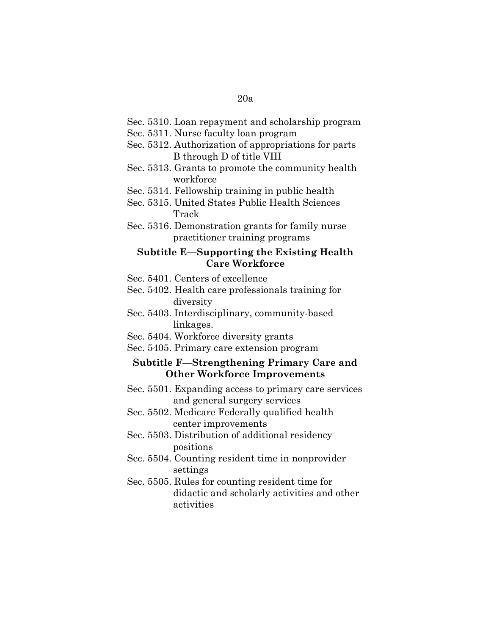- Sec. 5310. Loan repayment and scholarship program
- Sec. 5311. Nurse faculty loan program
- Sec. 5312. Authorization of appropriations for parts B through D of title VIII
- Sec. 5313. Grants to promote the community health workforce
- Sec. 5314. Fellowship training in public health
- Sec. 5315. United States Public Health Sciences Track
- Sec. 5316. Demonstration grants for family nurse practitioner training programs

#### **Subtitle E—Supporting the Existing Health Care Workforce**

- Sec. 5401. Centers of excellence
- Sec. 5402. Health care professionals training for diversity
- Sec. 5403. Interdisciplinary, community-based linkages.
- Sec. 5404. Workforce diversity grants
- Sec. 5405. Primary care extension program

## **Subtitle F—Strengthening Primary Care and Other Workforce Improvements**

- Sec. 5501. Expanding access to primary care services and general surgery services
- Sec. 5502. Medicare Federally qualified health center improvements
- Sec. 5503. Distribution of additional residency positions
- Sec. 5504. Counting resident time in nonprovider settings
- Sec. 5505. Rules for counting resident time for didactic and scholarly activities and other activities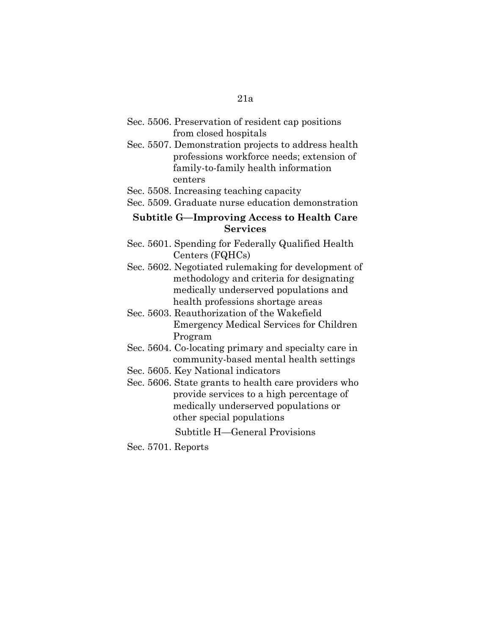- Sec. 5506. Preservation of resident cap positions from closed hospitals
- Sec. 5507. Demonstration projects to address health professions workforce needs; extension of family-to-family health information centers
- Sec. 5508. Increasing teaching capacity
- Sec. 5509. Graduate nurse education demonstration

## **Subtitle G—Improving Access to Health Care Services**

- Sec. 5601. Spending for Federally Qualified Health Centers (FQHCs)
- Sec. 5602. Negotiated rulemaking for development of methodology and criteria for designating medically underserved populations and health professions shortage areas
- Sec. 5603. Reauthorization of the Wakefield Emergency Medical Services for Children Program
- Sec. 5604. Co-locating primary and specialty care in community-based mental health settings
- Sec. 5605. Key National indicators
- Sec. 5606. State grants to health care providers who provide services to a high percentage of medically underserved populations or other special populations

Subtitle H—General Provisions

Sec. 5701. Reports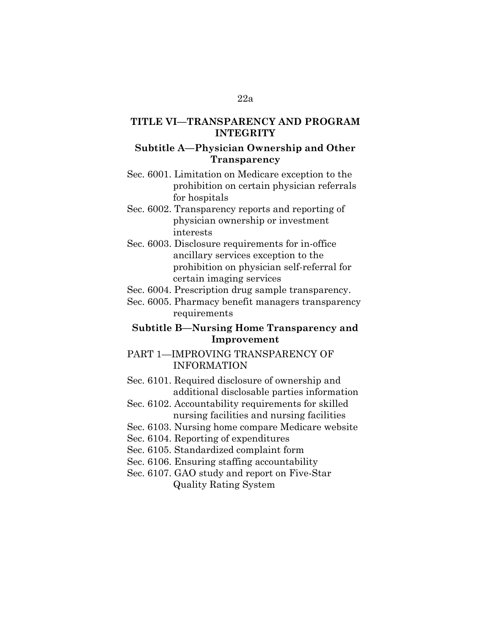### **TITLE VI—TRANSPARENCY AND PROGRAM INTEGRITY**

#### **Subtitle A—Physician Ownership and Other Transparency**

- Sec. 6001. Limitation on Medicare exception to the prohibition on certain physician referrals for hospitals
- Sec. 6002. Transparency reports and reporting of physician ownership or investment interests
- Sec. 6003. Disclosure requirements for in-office ancillary services exception to the prohibition on physician self-referral for certain imaging services
- Sec. 6004. Prescription drug sample transparency.
- Sec. 6005. Pharmacy benefit managers transparency requirements

## **Subtitle B—Nursing Home Transparency and Improvement**

## PART 1—IMPROVING TRANSPARENCY OF INFORMATION

Sec. 6101. Required disclosure of ownership and additional disclosable parties information

- Sec. 6102. Accountability requirements for skilled nursing facilities and nursing facilities
- Sec. 6103. Nursing home compare Medicare website
- Sec. 6104. Reporting of expenditures
- Sec. 6105. Standardized complaint form
- Sec. 6106. Ensuring staffing accountability
- Sec. 6107. GAO study and report on Five-Star Quality Rating System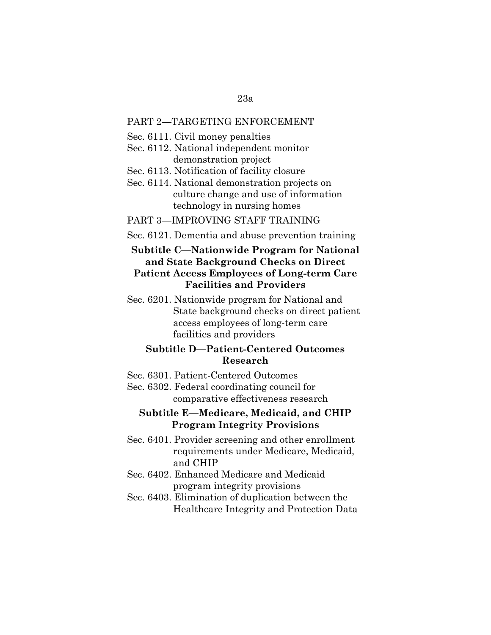#### PART 2—TARGETING ENFORCEMENT

- Sec. 6111. Civil money penalties
- Sec. 6112. National independent monitor demonstration project
- Sec. 6113. Notification of facility closure
- Sec. 6114. National demonstration projects on culture change and use of information technology in nursing homes

#### PART 3—IMPROVING STAFF TRAINING

Sec. 6121. Dementia and abuse prevention training

## **Subtitle C—Nationwide Program for National and State Background Checks on Direct Patient Access Employees of Long-term Care Facilities and Providers**

Sec. 6201. Nationwide program for National and State background checks on direct patient access employees of long-term care facilities and providers

## **Subtitle D—Patient-Centered Outcomes Research**

- Sec. 6301. Patient-Centered Outcomes
- Sec. 6302. Federal coordinating council for comparative effectiveness research

### **Subtitle E—Medicare, Medicaid, and CHIP Program Integrity Provisions**

- Sec. 6401. Provider screening and other enrollment requirements under Medicare, Medicaid, and CHIP
- Sec. 6402. Enhanced Medicare and Medicaid program integrity provisions
- Sec. 6403. Elimination of duplication between the Healthcare Integrity and Protection Data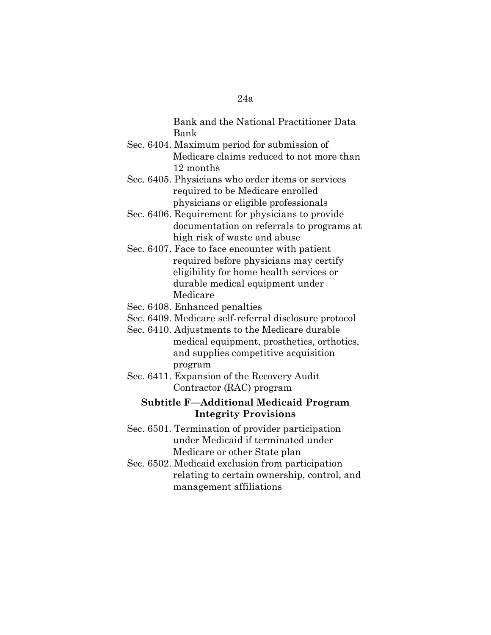Bank and the National Practitioner Data Bank

- Sec. 6404. Maximum period for submission of Medicare claims reduced to not more than 12 months
- Sec. 6405. Physicians who order items or services required to be Medicare enrolled physicians or eligible professionals
- Sec. 6406. Requirement for physicians to provide documentation on referrals to programs at high risk of waste and abuse
- Sec. 6407. Face to face encounter with patient required before physicians may certify eligibility for home health services or durable medical equipment under Medicare
- Sec. 6408. Enhanced penalties
- Sec. 6409. Medicare self-referral disclosure protocol
- Sec. 6410. Adjustments to the Medicare durable medical equipment, prosthetics, orthotics, and supplies competitive acquisition program
- Sec. 6411. Expansion of the Recovery Audit Contractor (RAC) program

## **Subtitle F—Additional Medicaid Program Integrity Provisions**

- Sec. 6501. Termination of provider participation under Medicaid if terminated under Medicare or other State plan
- Sec. 6502. Medicaid exclusion from participation relating to certain ownership, control, and management affiliations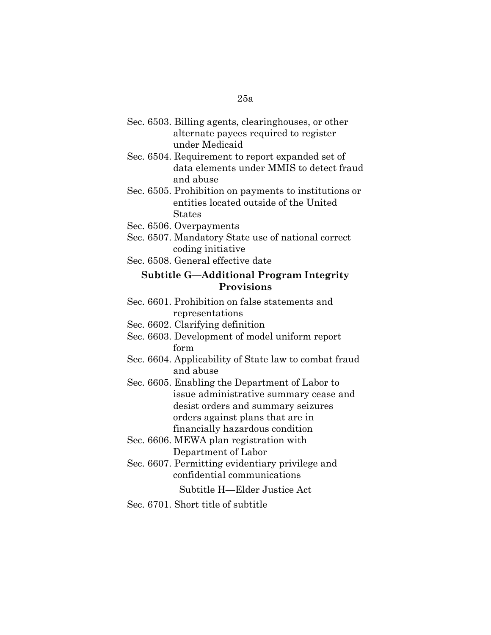- Sec. 6503. Billing agents, clearinghouses, or other alternate payees required to register under Medicaid
- Sec. 6504. Requirement to report expanded set of data elements under MMIS to detect fraud and abuse
- Sec. 6505. Prohibition on payments to institutions or entities located outside of the United States
- Sec. 6506. Overpayments
- Sec. 6507. Mandatory State use of national correct coding initiative
- Sec. 6508. General effective date

### **Subtitle G—Additional Program Integrity Provisions**

- Sec. 6601. Prohibition on false statements and representations
- Sec. 6602. Clarifying definition
- Sec. 6603. Development of model uniform report form
- Sec. 6604. Applicability of State law to combat fraud and abuse
- Sec. 6605. Enabling the Department of Labor to issue administrative summary cease and desist orders and summary seizures orders against plans that are in financially hazardous condition
- Sec. 6606. MEWA plan registration with Department of Labor
- Sec. 6607. Permitting evidentiary privilege and confidential communications

Subtitle H—Elder Justice Act

Sec. 6701. Short title of subtitle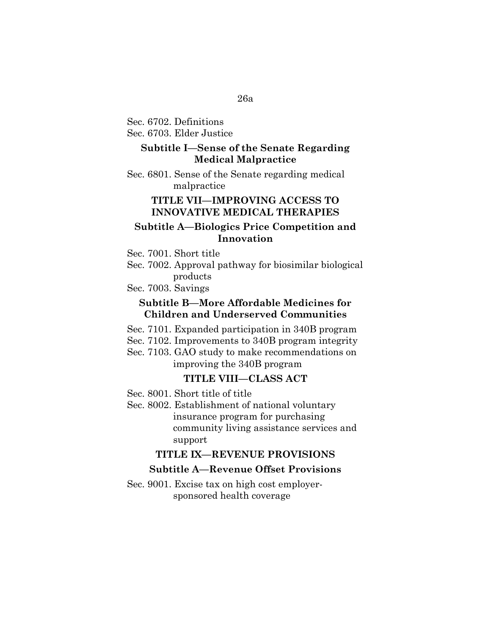# Sec. 6702. Definitions

Sec. 6703. Elder Justice

## **Subtitle I—Sense of the Senate Regarding Medical Malpractice**

Sec. 6801. Sense of the Senate regarding medical malpractice

## **TITLE VII—IMPROVING ACCESS TO INNOVATIVE MEDICAL THERAPIES**

#### **Subtitle A—Biologics Price Competition and Innovation**

Sec. 7001. Short title

Sec. 7002. Approval pathway for biosimilar biological products

Sec. 7003. Savings

#### **Subtitle B—More Affordable Medicines for Children and Underserved Communities**

- Sec. 7101. Expanded participation in 340B program
- Sec. 7102. Improvements to 340B program integrity
- Sec. 7103. GAO study to make recommendations on improving the 340B program

### **TITLE VIII—CLASS ACT**

- Sec. 8001. Short title of title
- Sec. 8002. Establishment of national voluntary insurance program for purchasing community living assistance services and support

#### **TITLE IX—REVENUE PROVISIONS**

## **Subtitle A—Revenue Offset Provisions**

Sec. 9001. Excise tax on high cost employersponsored health coverage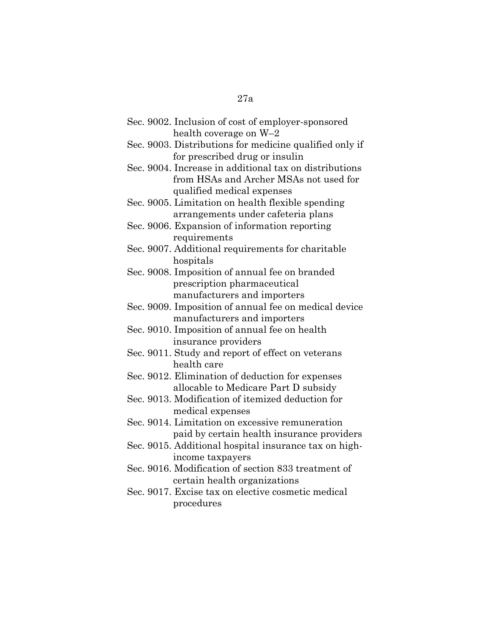| Sec. 9002. Inclusion of cost of employer-sponsored      |
|---------------------------------------------------------|
| health coverage on W-2                                  |
| Sec. 9003. Distributions for medicine qualified only if |
| for prescribed drug or insulin                          |
| Sec. 9004. Increase in additional tax on distributions  |
| from HSAs and Archer MSAs not used for                  |
| qualified medical expenses                              |
| Sec. 9005. Limitation on health flexible spending       |
| arrangements under cafeteria plans                      |
| Sec. 9006. Expansion of information reporting           |
| requirements                                            |
| Sec. 9007. Additional requirements for charitable       |
| hospitals                                               |
| Sec. 9008. Imposition of annual fee on branded          |
| prescription pharmaceutical                             |
| manufacturers and importers                             |
| Sec. 9009. Imposition of annual fee on medical device   |
| manufacturers and importers                             |
| Sec. 9010. Imposition of annual fee on health           |
| insurance providers                                     |
| Sec. 9011. Study and report of effect on veterans       |
| health care                                             |
| Sec. 9012. Elimination of deduction for expenses        |
| allocable to Medicare Part D subsidy                    |
| Sec. 9013. Modification of itemized deduction for       |
| medical expenses                                        |
| Sec. 9014. Limitation on excessive remuneration         |
| paid by certain health insurance providers              |
| Sec. 9015. Additional hospital insurance tax on high-   |
| income taxpayers                                        |
| Sec. 9016. Modification of section 833 treatment of     |
| certain health organizations                            |
| Sec. 9017. Excise tax on elective cosmetic medical      |
| procedures                                              |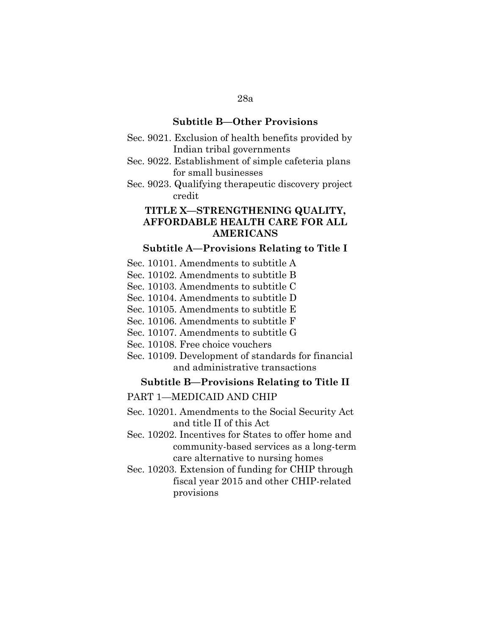#### **Subtitle B—Other Provisions**

- Sec. 9021. Exclusion of health benefits provided by Indian tribal governments
- Sec. 9022. Establishment of simple cafeteria plans for small businesses
- Sec. 9023. Qualifying therapeutic discovery project credit

## **TITLE X—STRENGTHENING QUALITY, AFFORDABLE HEALTH CARE FOR ALL AMERICANS**

#### **Subtitle A—Provisions Relating to Title I**

- Sec. 10101. Amendments to subtitle A
- Sec. 10102. Amendments to subtitle B
- Sec. 10103. Amendments to subtitle C
- Sec. 10104. Amendments to subtitle D
- Sec. 10105. Amendments to subtitle E
- Sec. 10106. Amendments to subtitle F
- Sec. 10107. Amendments to subtitle G
- Sec. 10108. Free choice vouchers
- Sec. 10109. Development of standards for financial and administrative transactions

#### **Subtitle B—Provisions Relating to Title II**

#### PART 1—MEDICAID AND CHIP

- Sec. 10201. Amendments to the Social Security Act and title II of this Act
- Sec. 10202. Incentives for States to offer home and community-based services as a long-term care alternative to nursing homes
- Sec. 10203. Extension of funding for CHIP through fiscal year 2015 and other CHIP-related provisions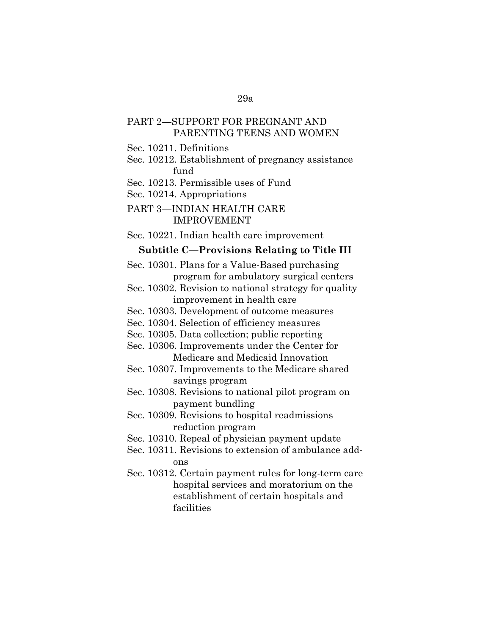## PART 2—SUPPORT FOR PREGNANT AND PARENTING TEENS AND WOMEN

Sec. 10211. Definitions

Sec. 10212. Establishment of pregnancy assistance fund

Sec. 10213. Permissible uses of Fund

Sec. 10214. Appropriations

PART 3—INDIAN HEALTH CARE IMPROVEMENT

Sec. 10221. Indian health care improvement

#### **Subtitle C—Provisions Relating to Title III**

Sec. 10301. Plans for a Value-Based purchasing program for ambulatory surgical centers

Sec. 10302. Revision to national strategy for quality improvement in health care

Sec. 10303. Development of outcome measures

Sec. 10304. Selection of efficiency measures

Sec. 10305. Data collection; public reporting

Sec. 10306. Improvements under the Center for Medicare and Medicaid Innovation

Sec. 10307. Improvements to the Medicare shared savings program

Sec. 10308. Revisions to national pilot program on payment bundling

Sec. 10309. Revisions to hospital readmissions reduction program

Sec. 10310. Repeal of physician payment update

Sec. 10311. Revisions to extension of ambulance addons

Sec. 10312. Certain payment rules for long-term care hospital services and moratorium on the establishment of certain hospitals and facilities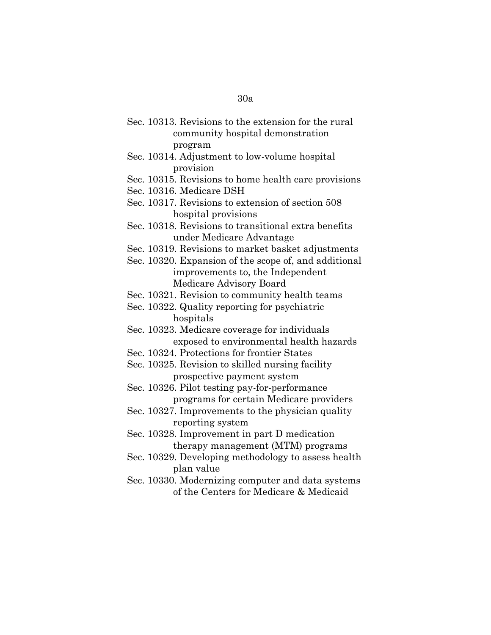- Sec. 10313. Revisions to the extension for the rural community hospital demonstration program
- Sec. 10314. Adjustment to low-volume hospital provision
- Sec. 10315. Revisions to home health care provisions
- Sec. 10316. Medicare DSH
- Sec. 10317. Revisions to extension of section 508 hospital provisions
- Sec. 10318. Revisions to transitional extra benefits under Medicare Advantage
- Sec. 10319. Revisions to market basket adjustments
- Sec. 10320. Expansion of the scope of, and additional improvements to, the Independent Medicare Advisory Board
- Sec. 10321. Revision to community health teams
- Sec. 10322. Quality reporting for psychiatric hospitals
- Sec. 10323. Medicare coverage for individuals exposed to environmental health hazards
- Sec. 10324. Protections for frontier States
- Sec. 10325. Revision to skilled nursing facility prospective payment system
- Sec. 10326. Pilot testing pay-for-performance programs for certain Medicare providers
- Sec. 10327. Improvements to the physician quality reporting system
- Sec. 10328. Improvement in part D medication therapy management (MTM) programs
- Sec. 10329. Developing methodology to assess health plan value
- Sec. 10330. Modernizing computer and data systems of the Centers for Medicare & Medicaid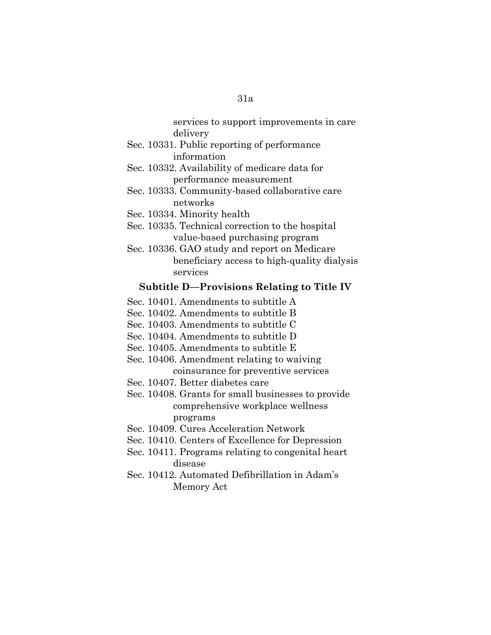services to support improvements in care delivery

- Sec. 10331. Public reporting of performance information
- Sec. 10332. Availability of medicare data for performance measurement
- Sec. 10333. Community-based collaborative care networks
- Sec. 10334. Minority health
- Sec. 10335. Technical correction to the hospital value-based purchasing program
- Sec. 10336. GAO study and report on Medicare beneficiary access to high-quality dialysis services

#### **Subtitle D—Provisions Relating to Title IV**

- Sec. 10401. Amendments to subtitle A
- Sec. 10402. Amendments to subtitle B
- Sec. 10403. Amendments to subtitle C
- Sec. 10404. Amendments to subtitle D
- Sec. 10405. Amendments to subtitle E
- Sec. 10406. Amendment relating to waiving coinsurance for preventive services
- Sec. 10407. Better diabetes care
- Sec. 10408. Grants for small businesses to provide comprehensive workplace wellness programs
- Sec. 10409. Cures Acceleration Network
- Sec. 10410. Centers of Excellence for Depression
- Sec. 10411. Programs relating to congenital heart disease
- Sec. 10412. Automated Defibrillation in Adam's Memory Act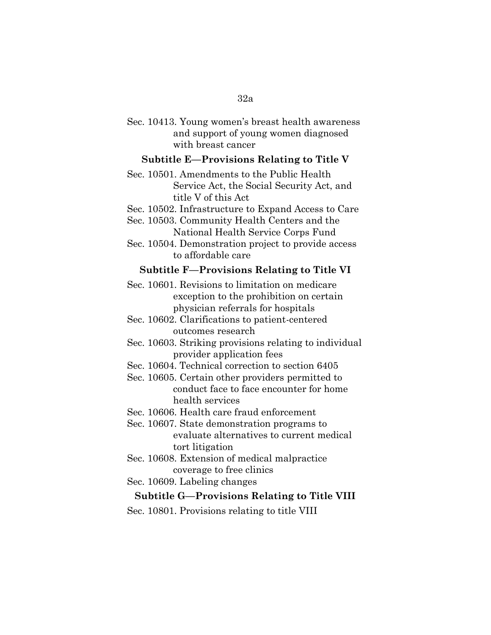#### 32a

| Sec. 10413. Young women's breast health awareness |
|---------------------------------------------------|
| and support of young women diagnosed              |
| with breast cancer                                |

### **Subtitle E—Provisions Relating to Title V**

Sec. 10501. Amendments to the Public Health Service Act, the Social Security Act, and title V of this Act

Sec. 10502. Infrastructure to Expand Access to Care

Sec. 10503. Community Health Centers and the National Health Service Corps Fund

Sec. 10504. Demonstration project to provide access to affordable care

#### **Subtitle F—Provisions Relating to Title VI**

Sec. 10601. Revisions to limitation on medicare exception to the prohibition on certain physician referrals for hospitals

Sec. 10602. Clarifications to patient-centered outcomes research

Sec. 10603. Striking provisions relating to individual provider application fees

Sec. 10604. Technical correction to section 6405

Sec. 10605. Certain other providers permitted to conduct face to face encounter for home health services

Sec. 10606. Health care fraud enforcement

Sec. 10607. State demonstration programs to evaluate alternatives to current medical tort litigation

Sec. 10608. Extension of medical malpractice coverage to free clinics

Sec. 10609. Labeling changes

### **Subtitle G—Provisions Relating to Title VIII**

Sec. 10801. Provisions relating to title VIII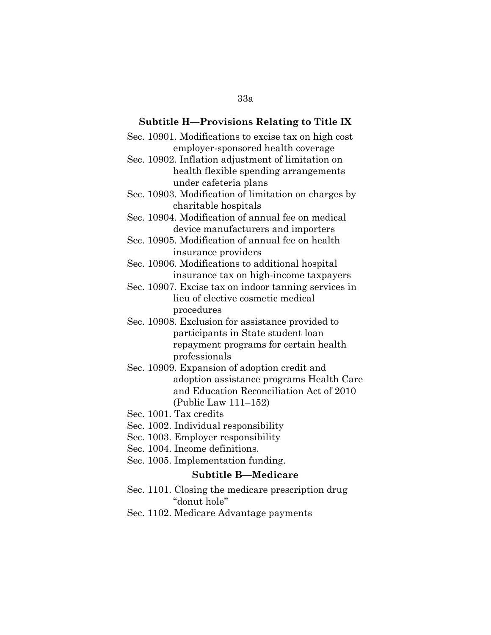# **Subtitle H—Provisions Relating to Title IX** Sec. 10901. Modifications to excise tax on high cost employer-sponsored health coverage Sec. 10902. Inflation adjustment of limitation on health flexible spending arrangements under cafeteria plans Sec. 10903. Modification of limitation on charges by charitable hospitals Sec. 10904. Modification of annual fee on medical device manufacturers and importers Sec. 10905. Modification of annual fee on health insurance providers Sec. 10906. Modifications to additional hospital insurance tax on high-income taxpayers Sec. 10907. Excise tax on indoor tanning services in lieu of elective cosmetic medical procedures Sec. 10908. Exclusion for assistance provided to participants in State student loan repayment programs for certain health professionals Sec. 10909. Expansion of adoption credit and and Education Reconciliation Act of 2010 (Public Law 111–152) Sec. 1001. Tax credits Sec. 1002. Individual responsibility Sec. 1003. Employer responsibility Sec. 1004. Income definitions. Sec. 1005. Implementation funding. **Subtitle B—Medicare** Sec. 1101. Closing the medicare prescription drug

adoption assistance programs Health Care

''donut hole''

Sec. 1102. Medicare Advantage payments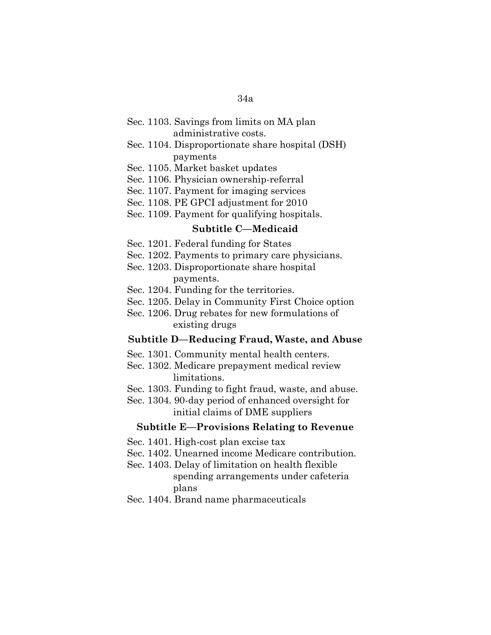### Sec. 1103. Savings from limits on MA plan administrative costs.

### Sec. 1104. Disproportionate share hospital (DSH) payments

- Sec. 1105. Market basket updates
- Sec. 1106. Physician ownership-referral
- Sec. 1107. Payment for imaging services
- Sec. 1108. PE GPCI adjustment for 2010
- Sec. 1109. Payment for qualifying hospitals.

## **Subtitle C—Medicaid**

- Sec. 1201. Federal funding for States
- Sec. 1202. Payments to primary care physicians.
- Sec. 1203. Disproportionate share hospital payments.
- Sec. 1204. Funding for the territories.
- Sec. 1205. Delay in Community First Choice option
- Sec. 1206. Drug rebates for new formulations of existing drugs

#### **Subtitle D—Reducing Fraud, Waste, and Abuse**

- Sec. 1301. Community mental health centers.
- Sec. 1302. Medicare prepayment medical review limitations.
- Sec. 1303. Funding to fight fraud, waste, and abuse.
- Sec. 1304. 90-day period of enhanced oversight for initial claims of DME suppliers

#### **Subtitle E—Provisions Relating to Revenue**

- Sec. 1401. High-cost plan excise tax
- Sec. 1402. Unearned income Medicare contribution.
- Sec. 1403. Delay of limitation on health flexible spending arrangements under cafeteria plans
- Sec. 1404. Brand name pharmaceuticals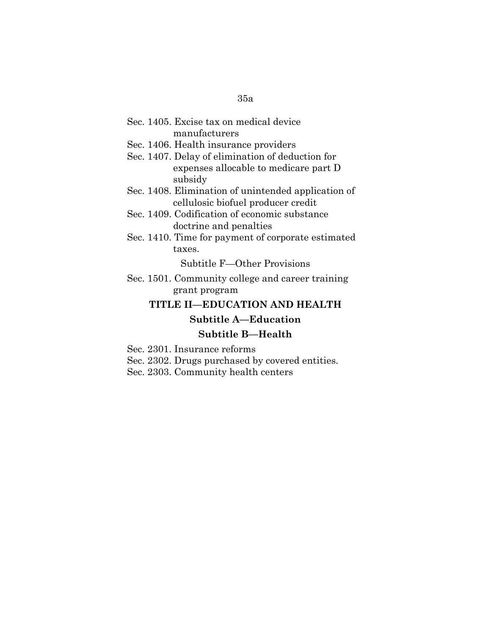| Sec. 1405. Excise tax on medical device |  |
|-----------------------------------------|--|
| manufacturers                           |  |

- Sec. 1406. Health insurance providers
- Sec. 1407. Delay of elimination of deduction for expenses allocable to medicare part D subsidy
- Sec. 1408. Elimination of unintended application of cellulosic biofuel producer credit
- Sec. 1409. Codification of economic substance doctrine and penalties
- Sec. 1410. Time for payment of corporate estimated taxes.

Subtitle F—Other Provisions

Sec. 1501. Community college and career training grant program

### **TITLE II—EDUCATION AND HEALTH**

# **Subtitle A—Education Subtitle B—Health**

- Sec. 2301. Insurance reforms
- Sec. 2302. Drugs purchased by covered entities.
- Sec. 2303. Community health centers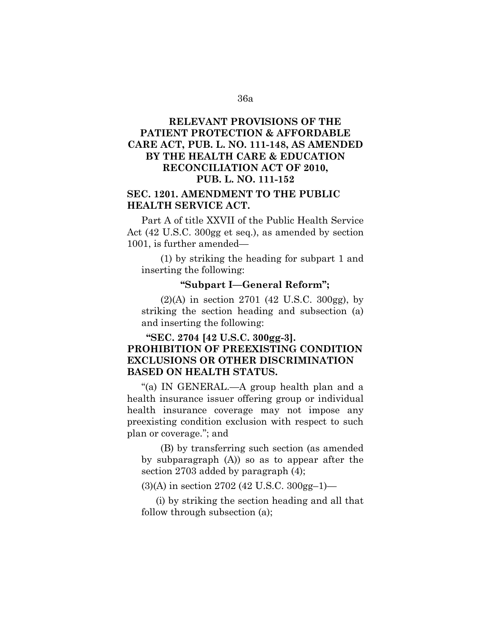# **RELEVANT PROVISIONS OF THE PATIENT PROTECTION & AFFORDABLE CARE ACT, PUB. L. NO. 111-148, AS AMENDED BY THE HEALTH CARE & EDUCATION RECONCILIATION ACT OF 2010, PUB. L. NO. 111-152**

## **SEC. 1201. AMENDMENT TO THE PUBLIC HEALTH SERVICE ACT.**

Part A of title XXVII of the Public Health Service Act (42 U.S.C. 300gg et seq.), as amended by section 1001, is further amended—

(1) by striking the heading for subpart 1 and inserting the following:

#### **''Subpart I—General Reform'';**

(2)(A) in section 2701 (42 U.S.C. 300gg), by striking the section heading and subsection (a) and inserting the following:

## **''SEC. 2704 [42 U.S.C. 300gg-3]. PROHIBITION OF PREEXISTING CONDITION EXCLUSIONS OR OTHER DISCRIMINATION BASED ON HEALTH STATUS.**

''(a) IN GENERAL.—A group health plan and a health insurance issuer offering group or individual health insurance coverage may not impose any preexisting condition exclusion with respect to such plan or coverage.''; and

(B) by transferring such section (as amended by subparagraph (A)) so as to appear after the section 2703 added by paragraph (4);

(3)(A) in section 2702 (42 U.S.C. 300gg–1)—

(i) by striking the section heading and all that follow through subsection (a);

#### 36a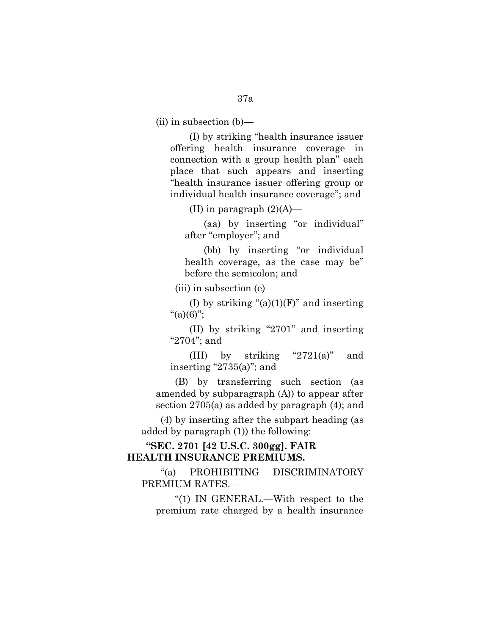(ii) in subsection (b)—

(I) by striking ''health insurance issuer offering health insurance coverage in connection with a group health plan'' each place that such appears and inserting ''health insurance issuer offering group or individual health insurance coverage''; and

(II) in paragraph  $(2)(A)$ —

(aa) by inserting ''or individual'' after "employer"; and

(bb) by inserting "or individual health coverage, as the case may be'' before the semicolon; and

(iii) in subsection (e)—

(I) by striking " $(a)(1)(F)$ " and inserting  $"(a)(6)"$ ;

(II) by striking ''2701'' and inserting "2704"; and

(III) by striking " $2721(a)$ " and inserting " $2735(a)$ "; and

(B) by transferring such section (as amended by subparagraph (A)) to appear after section 2705(a) as added by paragraph (4); and

(4) by inserting after the subpart heading (as added by paragraph (1)) the following:

## **''SEC. 2701 [42 U.S.C. 300gg]. FAIR HEALTH INSURANCE PREMIUMS.**

''(a) PROHIBITING DISCRIMINATORY PREMIUM RATES.—

''(1) IN GENERAL.—With respect to the premium rate charged by a health insurance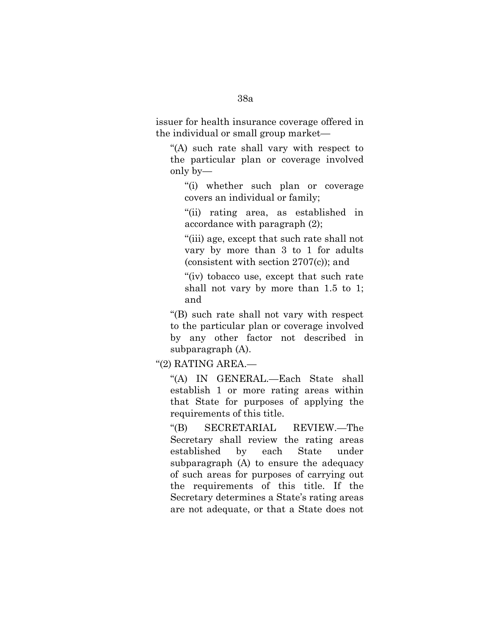issuer for health insurance coverage offered in the individual or small group market—

''(A) such rate shall vary with respect to the particular plan or coverage involved only by—

''(i) whether such plan or coverage covers an individual or family;

''(ii) rating area, as established in accordance with paragraph (2);

''(iii) age, except that such rate shall not vary by more than 3 to 1 for adults (consistent with section 2707(c)); and

"(iv) tobacco use, except that such rate shall not vary by more than 1.5 to 1; and

''(B) such rate shall not vary with respect to the particular plan or coverage involved by any other factor not described in subparagraph (A).

''(2) RATING AREA.—

''(A) IN GENERAL.—Each State shall establish 1 or more rating areas within that State for purposes of applying the requirements of this title.

''(B) SECRETARIAL REVIEW.—The Secretary shall review the rating areas established by each State under subparagraph (A) to ensure the adequacy of such areas for purposes of carrying out the requirements of this title. If the Secretary determines a State's rating areas are not adequate, or that a State does not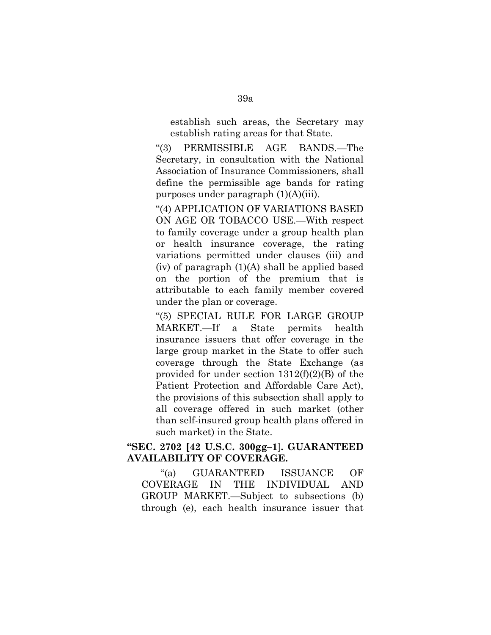establish such areas, the Secretary may establish rating areas for that State.

''(3) PERMISSIBLE AGE BANDS.—The Secretary, in consultation with the National Association of Insurance Commissioners, shall define the permissible age bands for rating purposes under paragraph (1)(A)(iii).

''(4) APPLICATION OF VARIATIONS BASED ON AGE OR TOBACCO USE.—With respect to family coverage under a group health plan or health insurance coverage, the rating variations permitted under clauses (iii) and (iv) of paragraph (1)(A) shall be applied based on the portion of the premium that is attributable to each family member covered under the plan or coverage.

''(5) SPECIAL RULE FOR LARGE GROUP MARKET.—If a State permits health insurance issuers that offer coverage in the large group market in the State to offer such coverage through the State Exchange (as provided for under section 1312(f)(2)(B) of the Patient Protection and Affordable Care Act), the provisions of this subsection shall apply to all coverage offered in such market (other than self-insured group health plans offered in such market) in the State.

### **''SEC. 2702 [42 U.S.C. 300gg–1**]**. GUARANTEED AVAILABILITY OF COVERAGE.**

''(a) GUARANTEED ISSUANCE OF COVERAGE IN THE INDIVIDUAL AND GROUP MARKET.—Subject to subsections (b) through (e), each health insurance issuer that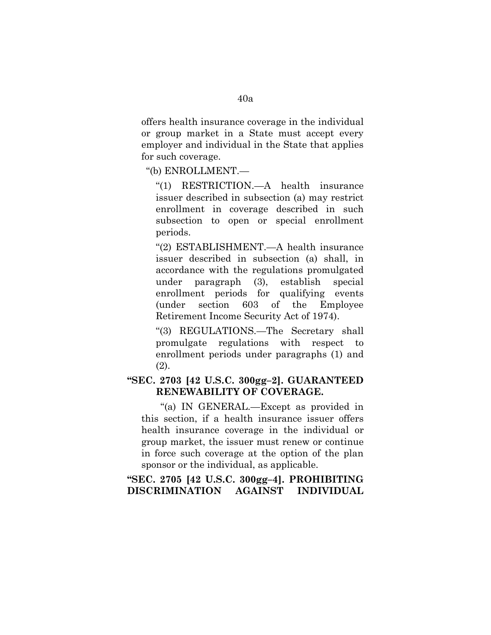offers health insurance coverage in the individual or group market in a State must accept every employer and individual in the State that applies for such coverage.

''(b) ENROLLMENT.—

''(1) RESTRICTION.—A health insurance issuer described in subsection (a) may restrict enrollment in coverage described in such subsection to open or special enrollment periods.

''(2) ESTABLISHMENT.—A health insurance issuer described in subsection (a) shall, in accordance with the regulations promulgated under paragraph (3), establish special enrollment periods for qualifying events (under section 603 of the Employee Retirement Income Security Act of 1974).

''(3) REGULATIONS.—The Secretary shall promulgate regulations with respect to enrollment periods under paragraphs (1) and (2).

## **''SEC. 2703 [42 U.S.C. 300gg–2]. GUARANTEED RENEWABILITY OF COVERAGE.**

''(a) IN GENERAL.—Except as provided in this section, if a health insurance issuer offers health insurance coverage in the individual or group market, the issuer must renew or continue in force such coverage at the option of the plan sponsor or the individual, as applicable.

## **''SEC. 2705 [42 U.S.C. 300gg–4]. PROHIBITING DISCRIMINATION AGAINST INDIVIDUAL**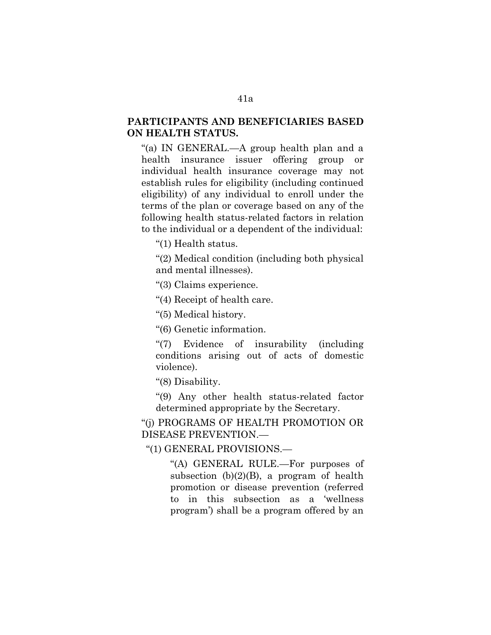## **PARTICIPANTS AND BENEFICIARIES BASED ON HEALTH STATUS.**

''(a) IN GENERAL.—A group health plan and a health insurance issuer offering group or individual health insurance coverage may not establish rules for eligibility (including continued eligibility) of any individual to enroll under the terms of the plan or coverage based on any of the following health status-related factors in relation to the individual or a dependent of the individual:

"(1) Health status.

''(2) Medical condition (including both physical and mental illnesses).

''(3) Claims experience.

''(4) Receipt of health care.

''(5) Medical history.

''(6) Genetic information.

''(7) Evidence of insurability (including conditions arising out of acts of domestic violence).

''(8) Disability.

''(9) Any other health status-related factor determined appropriate by the Secretary.

''(j) PROGRAMS OF HEALTH PROMOTION OR DISEASE PREVENTION.—

''(1) GENERAL PROVISIONS.—

''(A) GENERAL RULE.—For purposes of subsection  $(b)(2)(B)$ , a program of health promotion or disease prevention (referred to in this subsection as a 'wellness program') shall be a program offered by an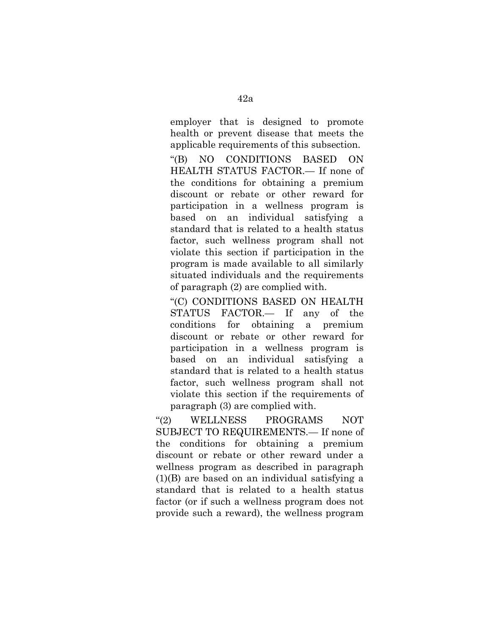employer that is designed to promote health or prevent disease that meets the applicable requirements of this subsection.

''(B) NO CONDITIONS BASED ON HEALTH STATUS FACTOR.— If none of the conditions for obtaining a premium discount or rebate or other reward for participation in a wellness program is based on an individual satisfying a standard that is related to a health status factor, such wellness program shall not violate this section if participation in the program is made available to all similarly situated individuals and the requirements of paragraph (2) are complied with.

''(C) CONDITIONS BASED ON HEALTH STATUS FACTOR.— If any of the conditions for obtaining a premium discount or rebate or other reward for participation in a wellness program is based on an individual satisfying a standard that is related to a health status factor, such wellness program shall not violate this section if the requirements of paragraph (3) are complied with.

''(2) WELLNESS PROGRAMS NOT SUBJECT TO REQUIREMENTS.— If none of the conditions for obtaining a premium discount or rebate or other reward under a wellness program as described in paragraph (1)(B) are based on an individual satisfying a standard that is related to a health status factor (or if such a wellness program does not provide such a reward), the wellness program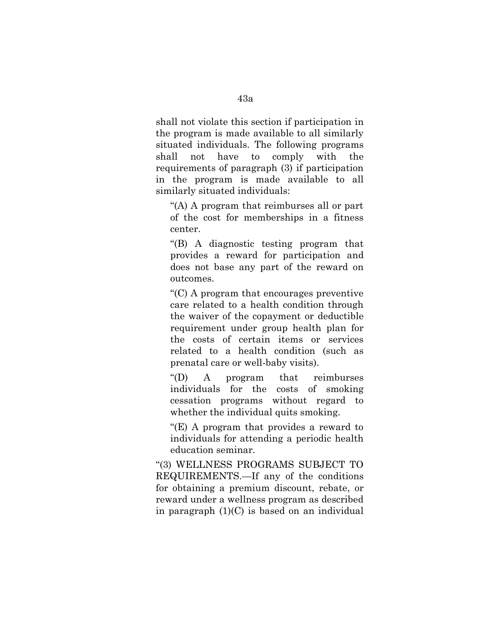shall not violate this section if participation in the program is made available to all similarly situated individuals. The following programs shall not have to comply with the requirements of paragraph (3) if participation in the program is made available to all similarly situated individuals:

''(A) A program that reimburses all or part of the cost for memberships in a fitness center.

''(B) A diagnostic testing program that provides a reward for participation and does not base any part of the reward on outcomes.

''(C) A program that encourages preventive care related to a health condition through the waiver of the copayment or deductible requirement under group health plan for the costs of certain items or services related to a health condition (such as prenatal care or well-baby visits).

''(D) A program that reimburses individuals for the costs of smoking cessation programs without regard to whether the individual quits smoking.

''(E) A program that provides a reward to individuals for attending a periodic health education seminar.

''(3) WELLNESS PROGRAMS SUBJECT TO REQUIREMENTS.—If any of the conditions for obtaining a premium discount, rebate, or reward under a wellness program as described in paragraph (1)(C) is based on an individual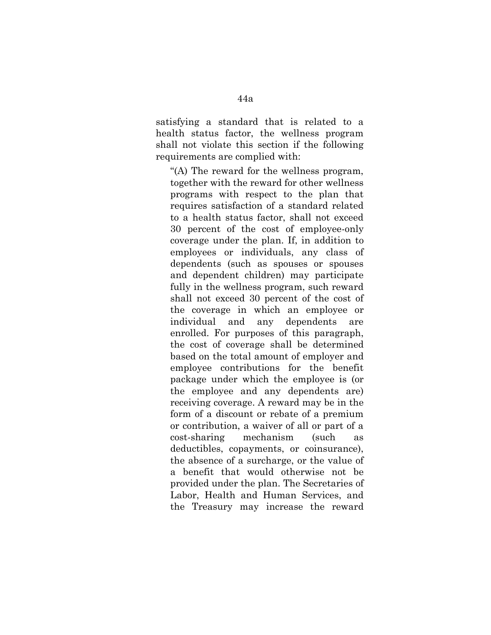satisfying a standard that is related to a health status factor, the wellness program shall not violate this section if the following requirements are complied with:

''(A) The reward for the wellness program, together with the reward for other wellness programs with respect to the plan that requires satisfaction of a standard related to a health status factor, shall not exceed 30 percent of the cost of employee-only coverage under the plan. If, in addition to employees or individuals, any class of dependents (such as spouses or spouses and dependent children) may participate fully in the wellness program, such reward shall not exceed 30 percent of the cost of the coverage in which an employee or individual and any dependents are enrolled. For purposes of this paragraph, the cost of coverage shall be determined based on the total amount of employer and employee contributions for the benefit package under which the employee is (or the employee and any dependents are) receiving coverage. A reward may be in the form of a discount or rebate of a premium or contribution, a waiver of all or part of a cost-sharing mechanism (such as deductibles, copayments, or coinsurance), the absence of a surcharge, or the value of a benefit that would otherwise not be provided under the plan. The Secretaries of Labor, Health and Human Services, and the Treasury may increase the reward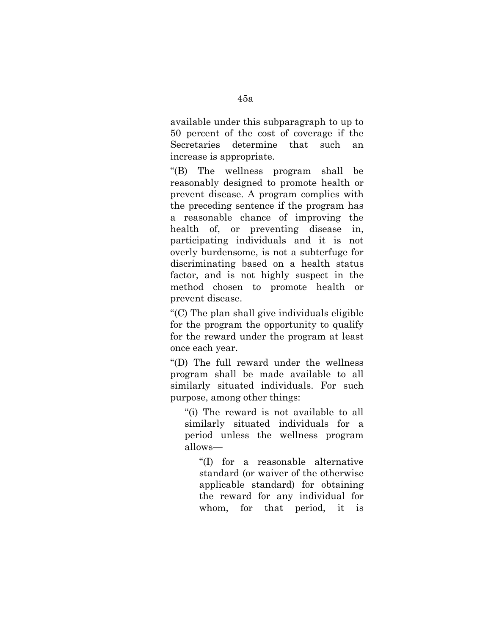available under this subparagraph to up to 50 percent of the cost of coverage if the Secretaries determine that such an increase is appropriate.

''(B) The wellness program shall be reasonably designed to promote health or prevent disease. A program complies with the preceding sentence if the program has a reasonable chance of improving the health of, or preventing disease in, participating individuals and it is not overly burdensome, is not a subterfuge for discriminating based on a health status factor, and is not highly suspect in the method chosen to promote health or prevent disease.

''(C) The plan shall give individuals eligible for the program the opportunity to qualify for the reward under the program at least once each year.

''(D) The full reward under the wellness program shall be made available to all similarly situated individuals. For such purpose, among other things:

''(i) The reward is not available to all similarly situated individuals for a period unless the wellness program allows—

''(I) for a reasonable alternative standard (or waiver of the otherwise applicable standard) for obtaining the reward for any individual for whom, for that period, it is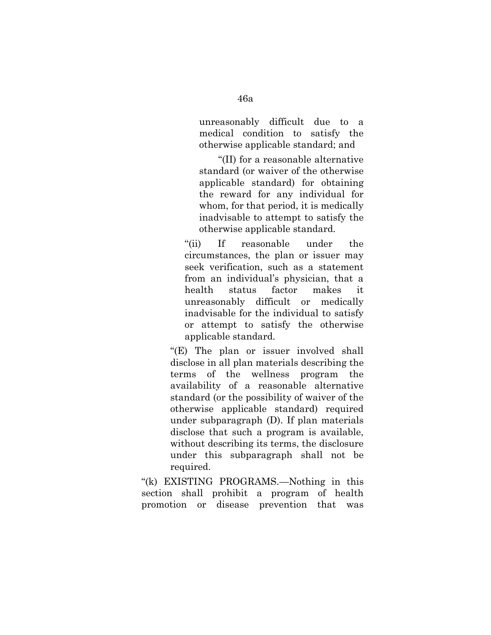unreasonably difficult due to a medical condition to satisfy the otherwise applicable standard; and

''(II) for a reasonable alternative standard (or waiver of the otherwise applicable standard) for obtaining the reward for any individual for whom, for that period, it is medically inadvisable to attempt to satisfy the otherwise applicable standard.

"(ii) If reasonable under the circumstances, the plan or issuer may seek verification, such as a statement from an individual's physician, that a health status factor makes it unreasonably difficult or medically inadvisable for the individual to satisfy or attempt to satisfy the otherwise applicable standard.

"(E) The plan or issuer involved shall disclose in all plan materials describing the terms of the wellness program the availability of a reasonable alternative standard (or the possibility of waiver of the otherwise applicable standard) required under subparagraph (D). If plan materials disclose that such a program is available, without describing its terms, the disclosure under this subparagraph shall not be required.

''(k) EXISTING PROGRAMS.—Nothing in this section shall prohibit a program of health promotion or disease prevention that was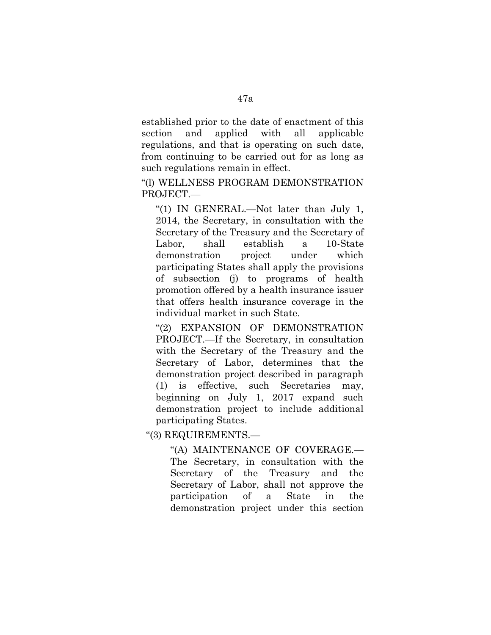established prior to the date of enactment of this section and applied with all applicable regulations, and that is operating on such date, from continuing to be carried out for as long as such regulations remain in effect.

''(l) WELLNESS PROGRAM DEMONSTRATION PROJECT.—

''(1) IN GENERAL.—Not later than July 1, 2014, the Secretary, in consultation with the Secretary of the Treasury and the Secretary of Labor, shall establish a 10-State demonstration project under which participating States shall apply the provisions of subsection (j) to programs of health promotion offered by a health insurance issuer that offers health insurance coverage in the individual market in such State.

''(2) EXPANSION OF DEMONSTRATION PROJECT.—If the Secretary, in consultation with the Secretary of the Treasury and the Secretary of Labor, determines that the demonstration project described in paragraph (1) is effective, such Secretaries may, beginning on July 1, 2017 expand such demonstration project to include additional participating States.

''(3) REQUIREMENTS.—

''(A) MAINTENANCE OF COVERAGE.— The Secretary, in consultation with the Secretary of the Treasury and the Secretary of Labor, shall not approve the participation of a State in the demonstration project under this section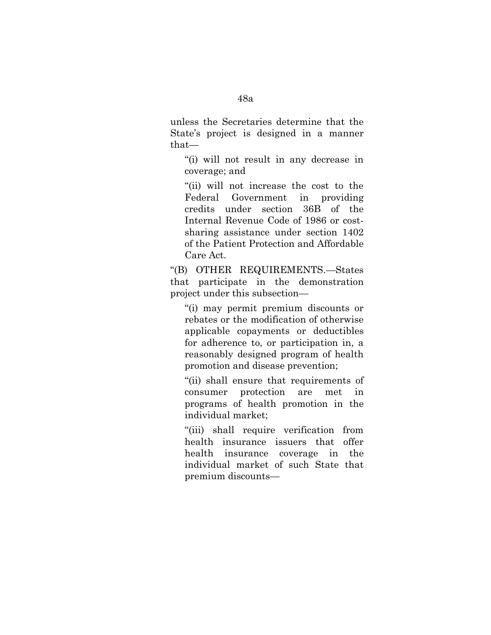unless the Secretaries determine that the State's project is designed in a manner that—

''(i) will not result in any decrease in coverage; and

''(ii) will not increase the cost to the Federal Government in providing credits under section 36B of the Internal Revenue Code of 1986 or costsharing assistance under section 1402 of the Patient Protection and Affordable Care Act.

''(B) OTHER REQUIREMENTS.—States that participate in the demonstration project under this subsection—

''(i) may permit premium discounts or rebates or the modification of otherwise applicable copayments or deductibles for adherence to, or participation in, a reasonably designed program of health promotion and disease prevention;

''(ii) shall ensure that requirements of consumer protection are met in programs of health promotion in the individual market;

''(iii) shall require verification from health insurance issuers that offer health insurance coverage in the individual market of such State that premium discounts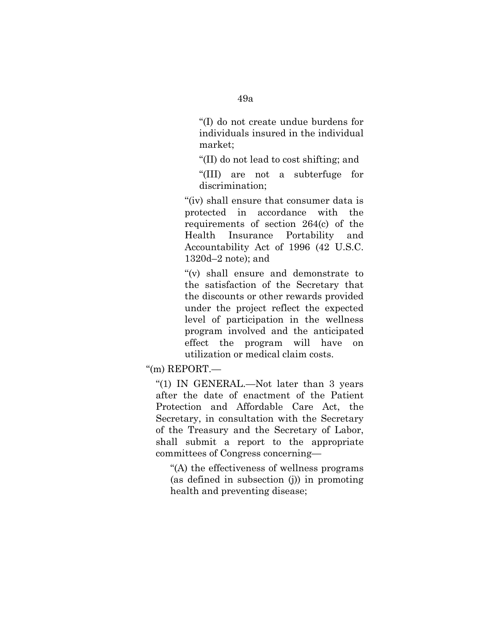''(I) do not create undue burdens for individuals insured in the individual market;

''(II) do not lead to cost shifting; and

''(III) are not a subterfuge for discrimination;

"(iv) shall ensure that consumer data is protected in accordance with the requirements of section 264(c) of the Health Insurance Portability and Accountability Act of 1996 (42 U.S.C. 1320d–2 note); and

"(v) shall ensure and demonstrate to the satisfaction of the Secretary that the discounts or other rewards provided under the project reflect the expected level of participation in the wellness program involved and the anticipated effect the program will have on utilization or medical claim costs.

 $\degree$ (m) REPORT.—

''(1) IN GENERAL.—Not later than 3 years after the date of enactment of the Patient Protection and Affordable Care Act, the Secretary, in consultation with the Secretary of the Treasury and the Secretary of Labor, shall submit a report to the appropriate committees of Congress concerning—

''(A) the effectiveness of wellness programs (as defined in subsection (j)) in promoting health and preventing disease;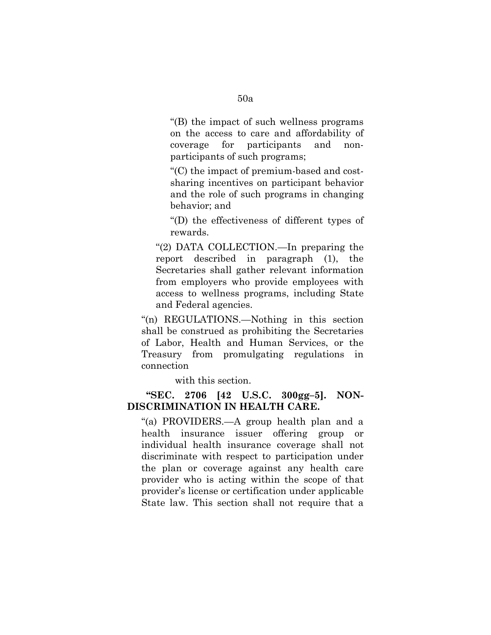''(B) the impact of such wellness programs on the access to care and affordability of coverage for participants and nonparticipants of such programs;

''(C) the impact of premium-based and costsharing incentives on participant behavior and the role of such programs in changing behavior; and

''(D) the effectiveness of different types of rewards.

''(2) DATA COLLECTION.—In preparing the report described in paragraph (1), the Secretaries shall gather relevant information from employers who provide employees with access to wellness programs, including State and Federal agencies.

''(n) REGULATIONS.—Nothing in this section shall be construed as prohibiting the Secretaries of Labor, Health and Human Services, or the Treasury from promulgating regulations in connection

with this section.

#### **''SEC. 2706 [42 U.S.C. 300gg–5]. NON-DISCRIMINATION IN HEALTH CARE.**

''(a) PROVIDERS.—A group health plan and a health insurance issuer offering group or individual health insurance coverage shall not discriminate with respect to participation under the plan or coverage against any health care provider who is acting within the scope of that provider's license or certification under applicable State law. This section shall not require that a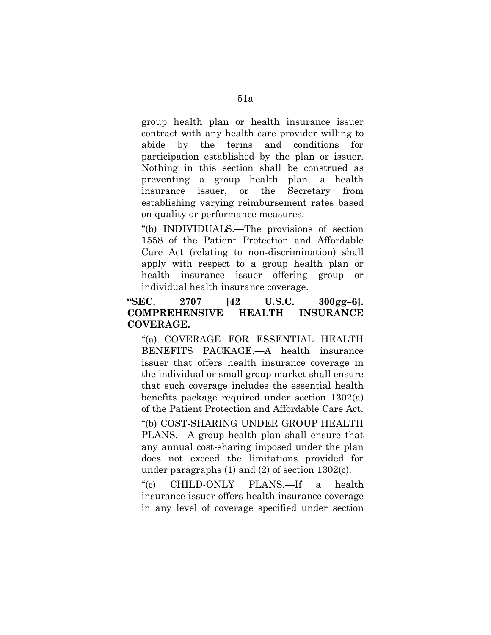group health plan or health insurance issuer contract with any health care provider willing to abide by the terms and conditions for participation established by the plan or issuer. Nothing in this section shall be construed as preventing a group health plan, a health insurance issuer, or the Secretary from establishing varying reimbursement rates based on quality or performance measures.

''(b) INDIVIDUALS.—The provisions of section 1558 of the Patient Protection and Affordable Care Act (relating to non-discrimination) shall apply with respect to a group health plan or health insurance issuer offering group or individual health insurance coverage.

## **''SEC. 2707 [42 U.S.C. 300gg–6]. COMPREHENSIVE HEALTH INSURANCE COVERAGE.**

''(a) COVERAGE FOR ESSENTIAL HEALTH BENEFITS PACKAGE.—A health insurance issuer that offers health insurance coverage in the individual or small group market shall ensure that such coverage includes the essential health benefits package required under section 1302(a) of the Patient Protection and Affordable Care Act.

''(b) COST-SHARING UNDER GROUP HEALTH PLANS.—A group health plan shall ensure that any annual cost-sharing imposed under the plan does not exceed the limitations provided for under paragraphs (1) and (2) of section 1302(c).

''(c) CHILD-ONLY PLANS.—If a health insurance issuer offers health insurance coverage in any level of coverage specified under section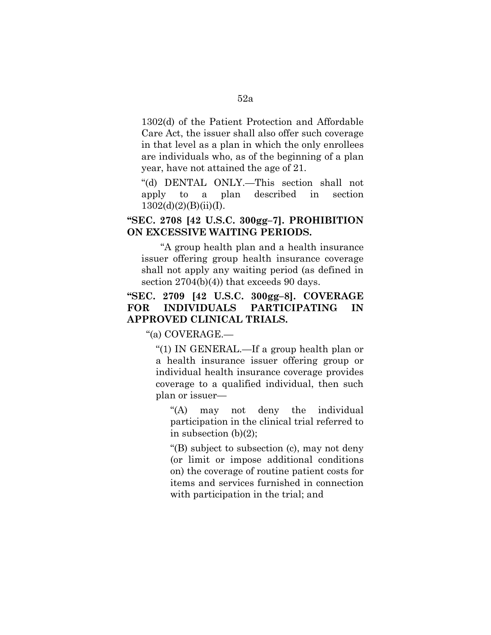1302(d) of the Patient Protection and Affordable Care Act, the issuer shall also offer such coverage in that level as a plan in which the only enrollees are individuals who, as of the beginning of a plan year, have not attained the age of 21.

''(d) DENTAL ONLY.—This section shall not apply to a plan described in section  $1302(d)(2)(B)(ii)(I).$ 

## **''SEC. 2708 [42 U.S.C. 300gg–7]. PROHIBITION ON EXCESSIVE WAITING PERIODS.**

''A group health plan and a health insurance issuer offering group health insurance coverage shall not apply any waiting period (as defined in section 2704(b)(4)) that exceeds 90 days.

# **''SEC. 2709 [42 U.S.C. 300gg–8]. COVERAGE FOR INDIVIDUALS PARTICIPATING IN APPROVED CLINICAL TRIALS.**

''(a) COVERAGE.—

''(1) IN GENERAL.—If a group health plan or a health insurance issuer offering group or individual health insurance coverage provides coverage to a qualified individual, then such plan or issuer—

''(A) may not deny the individual participation in the clinical trial referred to in subsection (b)(2);

''(B) subject to subsection (c), may not deny (or limit or impose additional conditions on) the coverage of routine patient costs for items and services furnished in connection with participation in the trial; and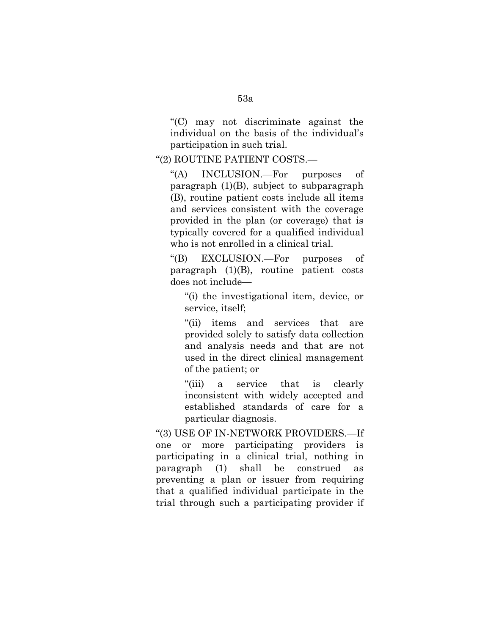''(C) may not discriminate against the individual on the basis of the individual's participation in such trial.

#### ''(2) ROUTINE PATIENT COSTS.—

''(A) INCLUSION.—For purposes of paragraph (1)(B), subject to subparagraph (B), routine patient costs include all items and services consistent with the coverage provided in the plan (or coverage) that is typically covered for a qualified individual who is not enrolled in a clinical trial.

''(B) EXCLUSION.—For purposes of paragraph (1)(B), routine patient costs does not include—

''(i) the investigational item, device, or service, itself;

''(ii) items and services that are provided solely to satisfy data collection and analysis needs and that are not used in the direct clinical management of the patient; or

''(iii) a service that is clearly inconsistent with widely accepted and established standards of care for a particular diagnosis.

''(3) USE OF IN-NETWORK PROVIDERS.—If one or more participating providers is participating in a clinical trial, nothing in paragraph (1) shall be construed as preventing a plan or issuer from requiring that a qualified individual participate in the trial through such a participating provider if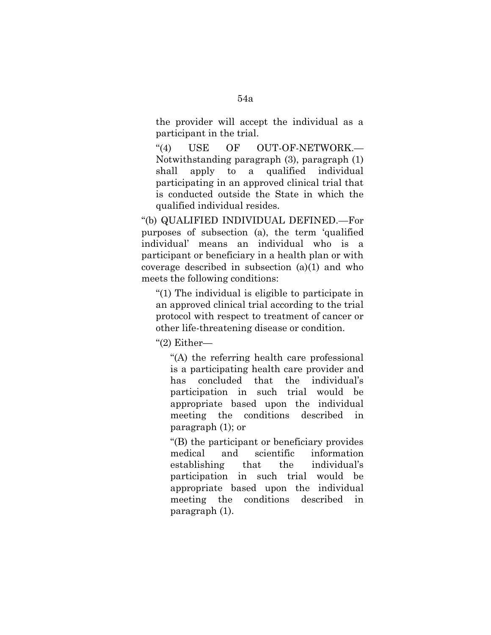the provider will accept the individual as a participant in the trial.

"(4) USE OF OUT-OF-NETWORK.— Notwithstanding paragraph (3), paragraph (1) shall apply to a qualified individual participating in an approved clinical trial that is conducted outside the State in which the qualified individual resides.

''(b) QUALIFIED INDIVIDUAL DEFINED.—For purposes of subsection (a), the term 'qualified individual' means an individual who is a participant or beneficiary in a health plan or with coverage described in subsection (a)(1) and who meets the following conditions:

''(1) The individual is eligible to participate in an approved clinical trial according to the trial protocol with respect to treatment of cancer or other life-threatening disease or condition.

''(2) Either—

''(A) the referring health care professional is a participating health care provider and has concluded that the individual's participation in such trial would be appropriate based upon the individual meeting the conditions described in paragraph (1); or

''(B) the participant or beneficiary provides medical and scientific information establishing that the individual's participation in such trial would be appropriate based upon the individual meeting the conditions described in paragraph (1).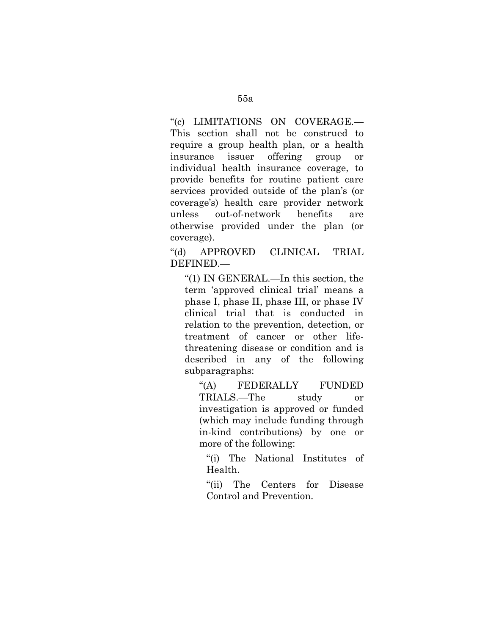''(c) LIMITATIONS ON COVERAGE.— This section shall not be construed to require a group health plan, or a health insurance issuer offering group or individual health insurance coverage, to provide benefits for routine patient care services provided outside of the plan's (or coverage's) health care provider network unless out-of-network benefits are otherwise provided under the plan (or coverage).

''(d) APPROVED CLINICAL TRIAL DEFINED.—

''(1) IN GENERAL.—In this section, the term 'approved clinical trial' means a phase I, phase II, phase III, or phase IV clinical trial that is conducted in relation to the prevention, detection, or treatment of cancer or other lifethreatening disease or condition and is described in any of the following subparagraphs:

''(A) FEDERALLY FUNDED TRIALS.—The study or investigation is approved or funded (which may include funding through in-kind contributions) by one or more of the following:

''(i) The National Institutes of Health.

''(ii) The Centers for Disease Control and Prevention.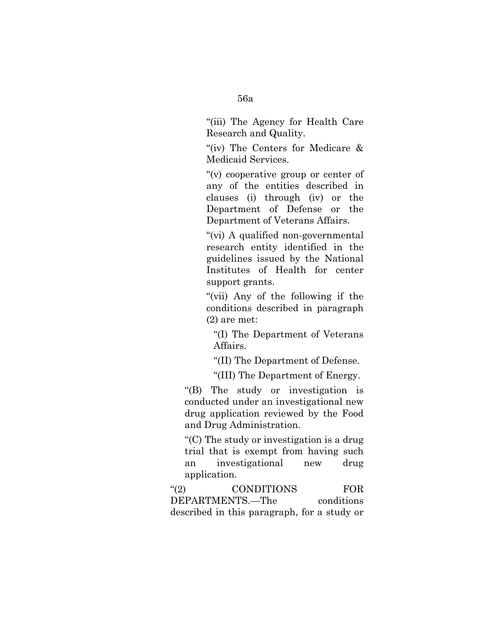''(iii) The Agency for Health Care Research and Quality.

"(iv) The Centers for Medicare & Medicaid Services.

''(v) cooperative group or center of any of the entities described in clauses (i) through (iv) or the Department of Defense or the Department of Veterans Affairs.

''(vi) A qualified non-governmental research entity identified in the guidelines issued by the National Institutes of Health for center support grants.

''(vii) Any of the following if the conditions described in paragraph (2) are met:

''(I) The Department of Veterans Affairs.

''(II) The Department of Defense.

''(III) The Department of Energy.

''(B) The study or investigation is conducted under an investigational new drug application reviewed by the Food and Drug Administration.

''(C) The study or investigation is a drug trial that is exempt from having such an investigational new drug application.

''(2) CONDITIONS FOR DEPARTMENTS.—The conditions described in this paragraph, for a study or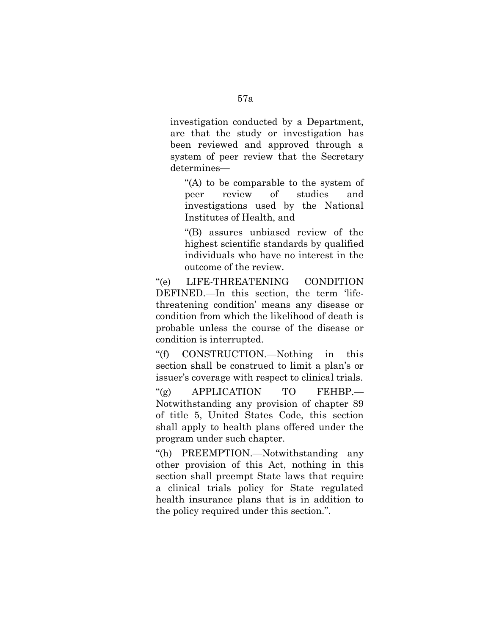investigation conducted by a Department, are that the study or investigation has been reviewed and approved through a system of peer review that the Secretary determines—

"(A) to be comparable to the system of peer review of studies and investigations used by the National Institutes of Health, and

''(B) assures unbiased review of the highest scientific standards by qualified individuals who have no interest in the outcome of the review.

''(e) LIFE-THREATENING CONDITION DEFINED.—In this section, the term 'lifethreatening condition' means any disease or condition from which the likelihood of death is probable unless the course of the disease or condition is interrupted.

''(f) CONSTRUCTION.—Nothing in this section shall be construed to limit a plan's or issuer's coverage with respect to clinical trials.

"(g) APPLICATION TO FEHBP.— Notwithstanding any provision of chapter 89 of title 5, United States Code, this section shall apply to health plans offered under the program under such chapter.

''(h) PREEMPTION.—Notwithstanding any other provision of this Act, nothing in this section shall preempt State laws that require a clinical trials policy for State regulated health insurance plans that is in addition to the policy required under this section.''.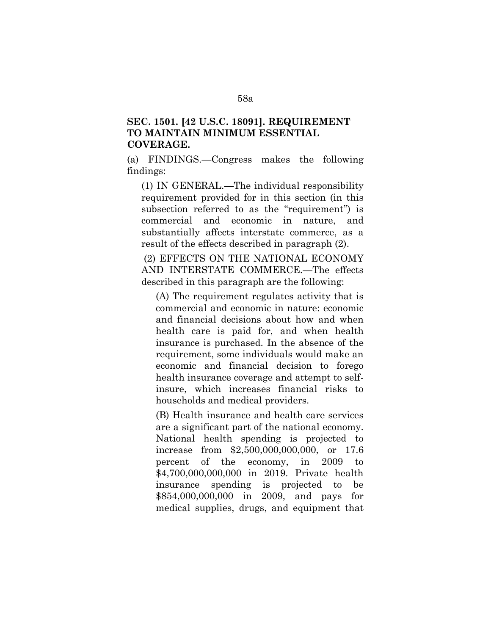## **SEC. 1501. [42 U.S.C. 18091]. REQUIREMENT TO MAINTAIN MINIMUM ESSENTIAL COVERAGE.**

(a) FINDINGS.—Congress makes the following findings:

(1) IN GENERAL.—The individual responsibility requirement provided for in this section (in this subsection referred to as the "requirement" is commercial and economic in nature, and substantially affects interstate commerce, as a result of the effects described in paragraph (2).

(2) EFFECTS ON THE NATIONAL ECONOMY AND INTERSTATE COMMERCE.—The effects described in this paragraph are the following:

(A) The requirement regulates activity that is commercial and economic in nature: economic and financial decisions about how and when health care is paid for, and when health insurance is purchased. In the absence of the requirement, some individuals would make an economic and financial decision to forego health insurance coverage and attempt to selfinsure, which increases financial risks to households and medical providers.

(B) Health insurance and health care services are a significant part of the national economy. National health spending is projected to increase from \$2,500,000,000,000, or 17.6 percent of the economy, in 2009 to \$4,700,000,000,000 in 2019. Private health insurance spending is projected to be \$854,000,000,000 in 2009, and pays for medical supplies, drugs, and equipment that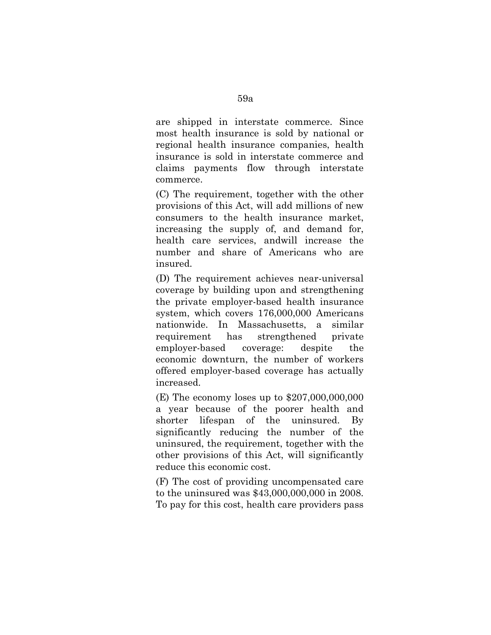are shipped in interstate commerce. Since most health insurance is sold by national or regional health insurance companies, health insurance is sold in interstate commerce and claims payments flow through interstate commerce.

(C) The requirement, together with the other provisions of this Act, will add millions of new consumers to the health insurance market, increasing the supply of, and demand for, health care services, andwill increase the number and share of Americans who are insured.

(D) The requirement achieves near-universal coverage by building upon and strengthening the private employer-based health insurance system, which covers 176,000,000 Americans nationwide. In Massachusetts, a similar requirement has strengthened private employer-based coverage: despite the economic downturn, the number of workers offered employer-based coverage has actually increased.

(E) The economy loses up to \$207,000,000,000 a year because of the poorer health and shorter lifespan of the uninsured. By significantly reducing the number of the uninsured, the requirement, together with the other provisions of this Act, will significantly reduce this economic cost.

(F) The cost of providing uncompensated care to the uninsured was \$43,000,000,000 in 2008. To pay for this cost, health care providers pass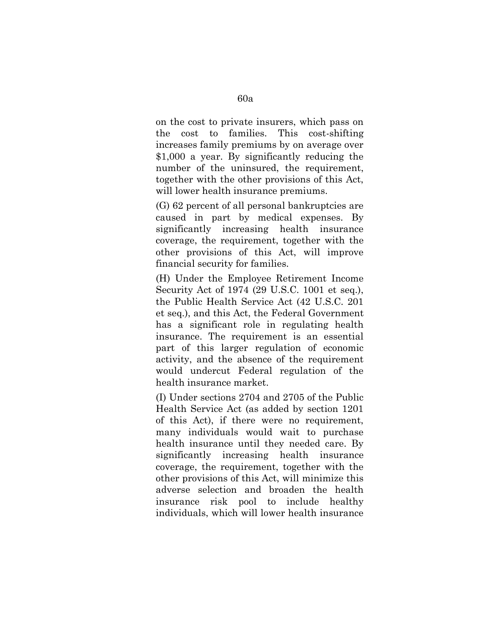on the cost to private insurers, which pass on the cost to families. This cost-shifting increases family premiums by on average over \$1,000 a year. By significantly reducing the number of the uninsured, the requirement, together with the other provisions of this Act, will lower health insurance premiums.

(G) 62 percent of all personal bankruptcies are caused in part by medical expenses. By significantly increasing health insurance coverage, the requirement, together with the other provisions of this Act, will improve financial security for families.

(H) Under the Employee Retirement Income Security Act of 1974 (29 U.S.C. 1001 et seq.), the Public Health Service Act (42 U.S.C. 201 et seq.), and this Act, the Federal Government has a significant role in regulating health insurance. The requirement is an essential part of this larger regulation of economic activity, and the absence of the requirement would undercut Federal regulation of the health insurance market.

(I) Under sections 2704 and 2705 of the Public Health Service Act (as added by section 1201 of this Act), if there were no requirement, many individuals would wait to purchase health insurance until they needed care. By significantly increasing health insurance coverage, the requirement, together with the other provisions of this Act, will minimize this adverse selection and broaden the health insurance risk pool to include healthy individuals, which will lower health insurance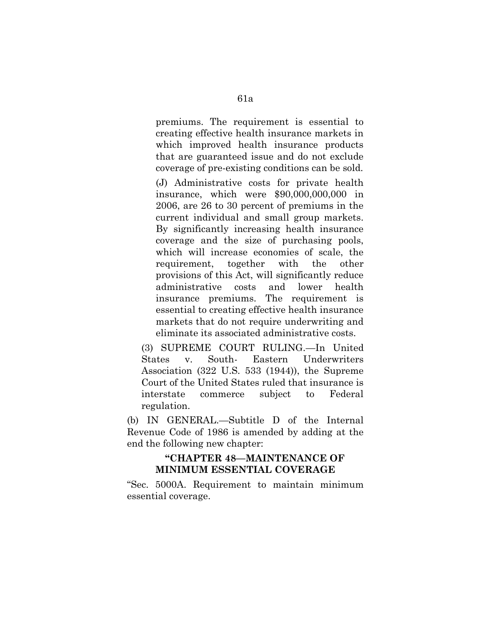premiums. The requirement is essential to creating effective health insurance markets in which improved health insurance products that are guaranteed issue and do not exclude coverage of pre-existing conditions can be sold.

(J) Administrative costs for private health insurance, which were \$90,000,000,000 in 2006, are 26 to 30 percent of premiums in the current individual and small group markets. By significantly increasing health insurance coverage and the size of purchasing pools, which will increase economies of scale, the requirement, together with the other provisions of this Act, will significantly reduce administrative costs and lower health insurance premiums. The requirement is essential to creating effective health insurance markets that do not require underwriting and eliminate its associated administrative costs.

(3) SUPREME COURT RULING.—In United States v. South- Eastern Underwriters Association (322 U.S. 533 (1944)), the Supreme Court of the United States ruled that insurance is interstate commerce subject to Federal regulation.

(b) IN GENERAL.—Subtitle D of the Internal Revenue Code of 1986 is amended by adding at the end the following new chapter:

## **''CHAPTER 48—MAINTENANCE OF MINIMUM ESSENTIAL COVERAGE**

''Sec. 5000A. Requirement to maintain minimum essential coverage.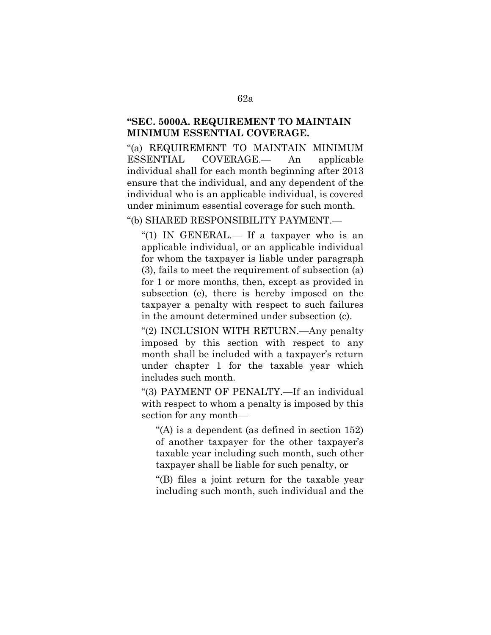## **''SEC. 5000A. REQUIREMENT TO MAINTAIN MINIMUM ESSENTIAL COVERAGE.**

''(a) REQUIREMENT TO MAINTAIN MINIMUM ESSENTIAL COVERAGE.— An applicable individual shall for each month beginning after 2013 ensure that the individual, and any dependent of the individual who is an applicable individual, is covered under minimum essential coverage for such month.

''(b) SHARED RESPONSIBILITY PAYMENT.—

"(1) IN GENERAL.— If a taxpayer who is an applicable individual, or an applicable individual for whom the taxpayer is liable under paragraph (3), fails to meet the requirement of subsection (a) for 1 or more months, then, except as provided in subsection (e), there is hereby imposed on the taxpayer a penalty with respect to such failures in the amount determined under subsection (c).

''(2) INCLUSION WITH RETURN.—Any penalty imposed by this section with respect to any month shall be included with a taxpayer's return under chapter 1 for the taxable year which includes such month.

''(3) PAYMENT OF PENALTY.—If an individual with respect to whom a penalty is imposed by this section for any month—

"(A) is a dependent (as defined in section  $152$ ) of another taxpayer for the other taxpayer's taxable year including such month, such other taxpayer shall be liable for such penalty, or

''(B) files a joint return for the taxable year including such month, such individual and the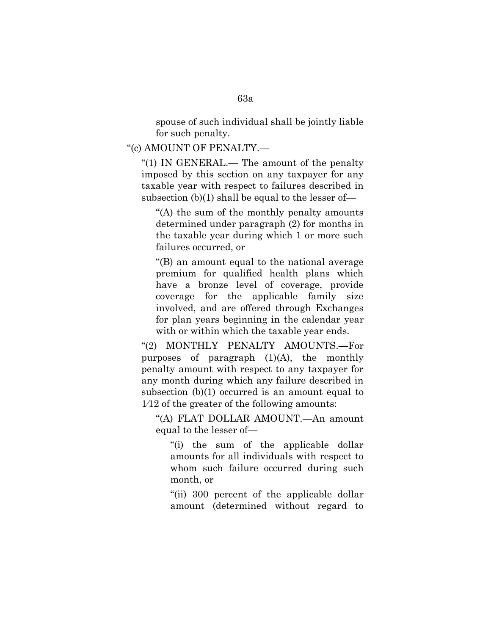spouse of such individual shall be jointly liable for such penalty.

''(c) AMOUNT OF PENALTY.—

"(1) IN GENERAL.— The amount of the penalty imposed by this section on any taxpayer for any taxable year with respect to failures described in subsection (b)(1) shall be equal to the lesser of—

''(A) the sum of the monthly penalty amounts determined under paragraph (2) for months in the taxable year during which 1 or more such failures occurred, or

''(B) an amount equal to the national average premium for qualified health plans which have a bronze level of coverage, provide coverage for the applicable family size involved, and are offered through Exchanges for plan years beginning in the calendar year with or within which the taxable year ends.

''(2) MONTHLY PENALTY AMOUNTS.—For purposes of paragraph (1)(A), the monthly penalty amount with respect to any taxpayer for any month during which any failure described in subsection (b)(1) occurred is an amount equal to 1⁄12 of the greater of the following amounts:

''(A) FLAT DOLLAR AMOUNT.—An amount equal to the lesser of—

"(i) the sum of the applicable dollar amounts for all individuals with respect to whom such failure occurred during such month, or

''(ii) 300 percent of the applicable dollar amount (determined without regard to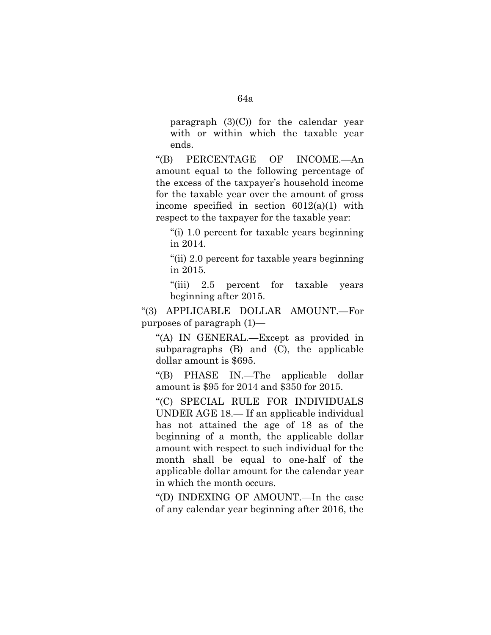paragraph  $(3)(C)$  for the calendar year with or within which the taxable year ends.

''(B) PERCENTAGE OF INCOME.—An amount equal to the following percentage of the excess of the taxpayer's household income for the taxable year over the amount of gross income specified in section  $6012(a)(1)$  with respect to the taxpayer for the taxable year:

''(i) 1.0 percent for taxable years beginning in 2014.

''(ii) 2.0 percent for taxable years beginning in 2015.

"(iii) 2.5 percent for taxable years beginning after 2015.

''(3) APPLICABLE DOLLAR AMOUNT.—For purposes of paragraph (1)—

''(A) IN GENERAL.—Except as provided in subparagraphs (B) and (C), the applicable dollar amount is \$695.

''(B) PHASE IN.—The applicable dollar amount is \$95 for 2014 and \$350 for 2015.

''(C) SPECIAL RULE FOR INDIVIDUALS UNDER AGE 18.— If an applicable individual has not attained the age of 18 as of the beginning of a month, the applicable dollar amount with respect to such individual for the month shall be equal to one-half of the applicable dollar amount for the calendar year in which the month occurs.

''(D) INDEXING OF AMOUNT.—In the case of any calendar year beginning after 2016, the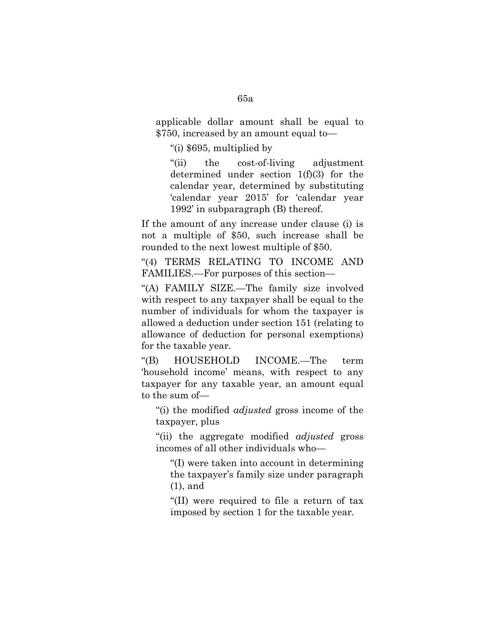applicable dollar amount shall be equal to \$750, increased by an amount equal to—

''(i) \$695, multiplied by

''(ii) the cost-of-living adjustment determined under section 1(f)(3) for the calendar year, determined by substituting 'calendar year 2015' for 'calendar year 1992' in subparagraph (B) thereof.

If the amount of any increase under clause (i) is not a multiple of \$50, such increase shall be rounded to the next lowest multiple of \$50.

''(4) TERMS RELATING TO INCOME AND FAMILIES.—For purposes of this section—

''(A) FAMILY SIZE.—The family size involved with respect to any taxpayer shall be equal to the number of individuals for whom the taxpayer is allowed a deduction under section 151 (relating to allowance of deduction for personal exemptions) for the taxable year.

''(B) HOUSEHOLD INCOME.—The term 'household income' means, with respect to any taxpayer for any taxable year, an amount equal to the sum of—

''(i) the modified *adjusted* gross income of the taxpayer, plus

''(ii) the aggregate modified *adjusted* gross incomes of all other individuals who—

''(I) were taken into account in determining the taxpayer's family size under paragraph (1), and

''(II) were required to file a return of tax imposed by section 1 for the taxable year.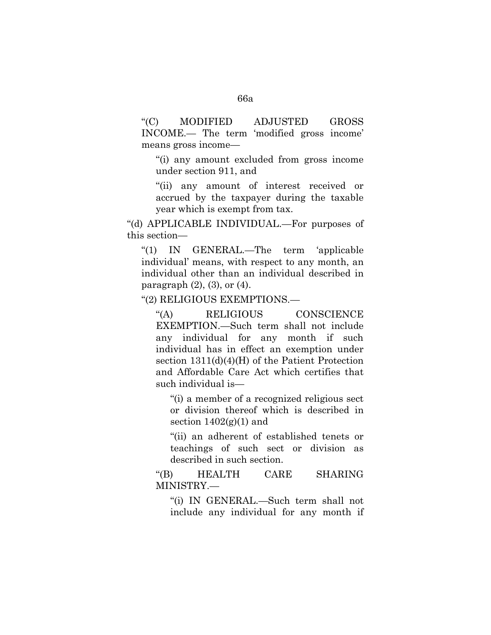''(C) MODIFIED ADJUSTED GROSS INCOME.— The term 'modified gross income' means gross income—

''(i) any amount excluded from gross income under section 911, and

''(ii) any amount of interest received or accrued by the taxpayer during the taxable year which is exempt from tax.

''(d) APPLICABLE INDIVIDUAL.—For purposes of this section—

''(1) IN GENERAL.—The term 'applicable individual' means, with respect to any month, an individual other than an individual described in paragraph  $(2)$ ,  $(3)$ , or  $(4)$ .

''(2) RELIGIOUS EXEMPTIONS.—

''(A) RELIGIOUS CONSCIENCE EXEMPTION.—Such term shall not include any individual for any month if such individual has in effect an exemption under section 1311(d)(4)(H) of the Patient Protection and Affordable Care Act which certifies that such individual is—

"(i) a member of a recognized religious sect or division thereof which is described in section  $1402(g)(1)$  and

"(ii) an adherent of established tenets or teachings of such sect or division as described in such section.

''(B) HEALTH CARE SHARING MINISTRY.—

''(i) IN GENERAL.—Such term shall not include any individual for any month if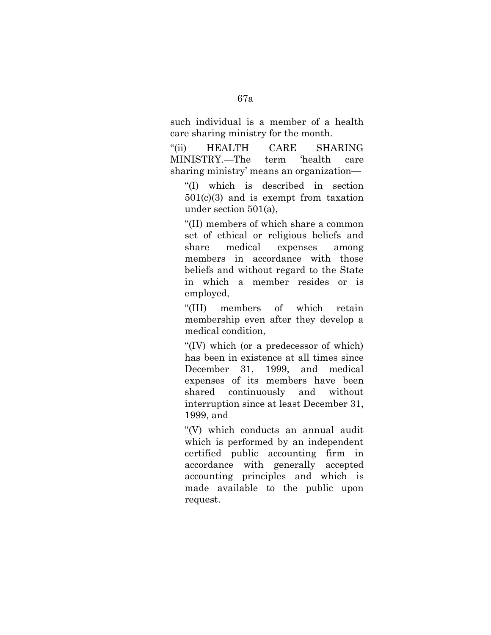such individual is a member of a health care sharing ministry for the month.

''(ii) HEALTH CARE SHARING MINISTRY.—The term 'health care sharing ministry' means an organization—

''(I) which is described in section 501(c)(3) and is exempt from taxation under section 501(a),

''(II) members of which share a common set of ethical or religious beliefs and share medical expenses among members in accordance with those beliefs and without regard to the State in which a member resides or is employed,

''(III) members of which retain membership even after they develop a medical condition,

''(IV) which (or a predecessor of which) has been in existence at all times since December 31, 1999, and medical expenses of its members have been shared continuously and without interruption since at least December 31, 1999, and

''(V) which conducts an annual audit which is performed by an independent certified public accounting firm in accordance with generally accepted accounting principles and which is made available to the public upon request.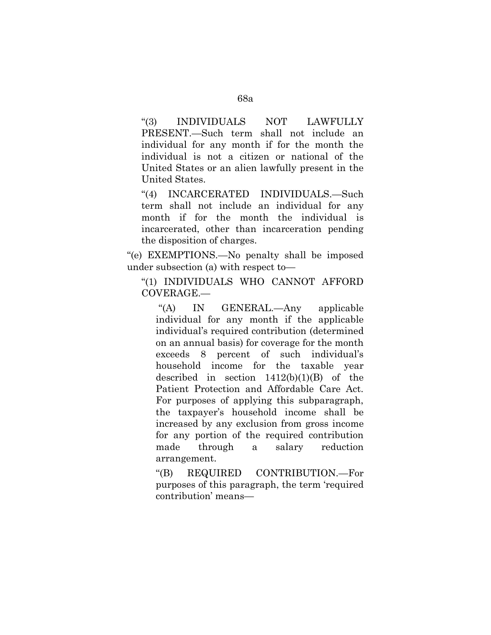''(3) INDIVIDUALS NOT LAWFULLY PRESENT.—Such term shall not include an individual for any month if for the month the individual is not a citizen or national of the United States or an alien lawfully present in the United States.

''(4) INCARCERATED INDIVIDUALS.—Such term shall not include an individual for any month if for the month the individual is incarcerated, other than incarceration pending the disposition of charges.

''(e) EXEMPTIONS.—No penalty shall be imposed under subsection (a) with respect to—

''(1) INDIVIDUALS WHO CANNOT AFFORD COVERAGE.—

''(A) IN GENERAL.—Any applicable individual for any month if the applicable individual's required contribution (determined on an annual basis) for coverage for the month exceeds 8 percent of such individual's household income for the taxable year described in section  $1412(b)(1)(B)$  of the Patient Protection and Affordable Care Act. For purposes of applying this subparagraph, the taxpayer's household income shall be increased by any exclusion from gross income for any portion of the required contribution made through a salary reduction arrangement.

''(B) REQUIRED CONTRIBUTION.—For purposes of this paragraph, the term 'required contribution' means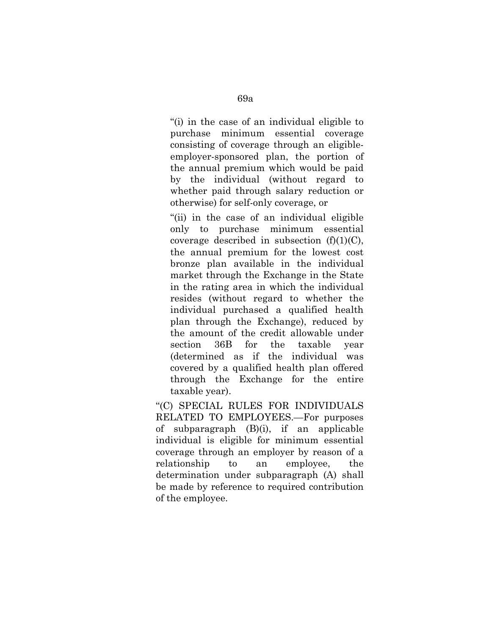''(i) in the case of an individual eligible to purchase minimum essential coverage consisting of coverage through an eligibleemployer-sponsored plan, the portion of the annual premium which would be paid by the individual (without regard to whether paid through salary reduction or otherwise) for self-only coverage, or

''(ii) in the case of an individual eligible only to purchase minimum essential coverage described in subsection  $(f)(1)(C)$ , the annual premium for the lowest cost bronze plan available in the individual market through the Exchange in the State in the rating area in which the individual resides (without regard to whether the individual purchased a qualified health plan through the Exchange), reduced by the amount of the credit allowable under section 36B for the taxable year (determined as if the individual was covered by a qualified health plan offered through the Exchange for the entire taxable year).

''(C) SPECIAL RULES FOR INDIVIDUALS RELATED TO EMPLOYEES.—For purposes of subparagraph (B)(i), if an applicable individual is eligible for minimum essential coverage through an employer by reason of a relationship to an employee, the determination under subparagraph (A) shall be made by reference to required contribution of the employee.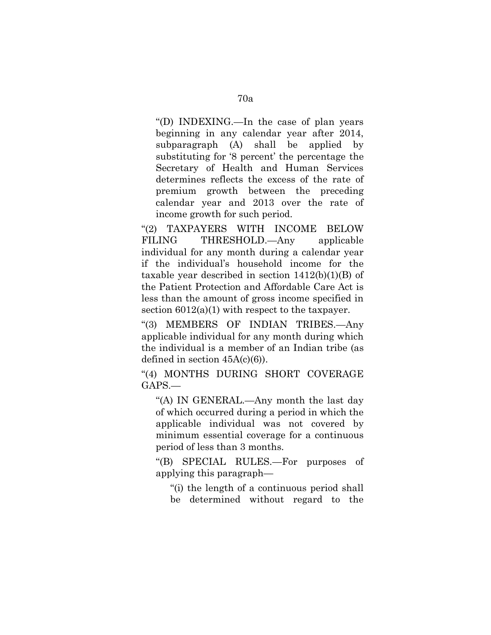''(D) INDEXING.—In the case of plan years beginning in any calendar year after 2014, subparagraph (A) shall be applied by substituting for '8 percent' the percentage the Secretary of Health and Human Services determines reflects the excess of the rate of premium growth between the preceding calendar year and 2013 over the rate of income growth for such period.

''(2) TAXPAYERS WITH INCOME BELOW FILING THRESHOLD.—Any applicable individual for any month during a calendar year if the individual's household income for the taxable year described in section  $1412(b)(1)(B)$  of the Patient Protection and Affordable Care Act is less than the amount of gross income specified in section  $6012(a)(1)$  with respect to the taxpayer.

''(3) MEMBERS OF INDIAN TRIBES.—Any applicable individual for any month during which the individual is a member of an Indian tribe (as defined in section  $45A(c)(6)$ .

"(4) MONTHS DURING SHORT COVERAGE GAPS.—

''(A) IN GENERAL.—Any month the last day of which occurred during a period in which the applicable individual was not covered by minimum essential coverage for a continuous period of less than 3 months.

''(B) SPECIAL RULES.—For purposes of applying this paragraph—

''(i) the length of a continuous period shall be determined without regard to the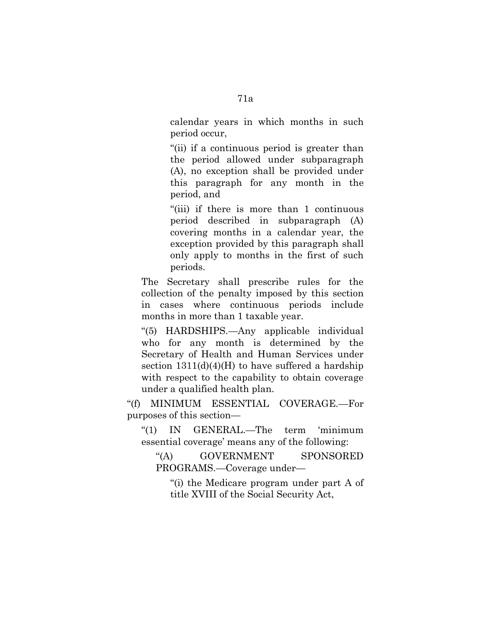calendar years in which months in such period occur,

''(ii) if a continuous period is greater than the period allowed under subparagraph (A), no exception shall be provided under this paragraph for any month in the period, and

''(iii) if there is more than 1 continuous period described in subparagraph (A) covering months in a calendar year, the exception provided by this paragraph shall only apply to months in the first of such periods.

The Secretary shall prescribe rules for the collection of the penalty imposed by this section in cases where continuous periods include months in more than 1 taxable year.

''(5) HARDSHIPS.—Any applicable individual who for any month is determined by the Secretary of Health and Human Services under section  $1311(d)(4)(H)$  to have suffered a hardship with respect to the capability to obtain coverage under a qualified health plan.

''(f) MINIMUM ESSENTIAL COVERAGE.—For purposes of this section—

''(1) IN GENERAL.—The term 'minimum essential coverage' means any of the following:

''(A) GOVERNMENT SPONSORED PROGRAMS.—Coverage under—

''(i) the Medicare program under part A of title XVIII of the Social Security Act,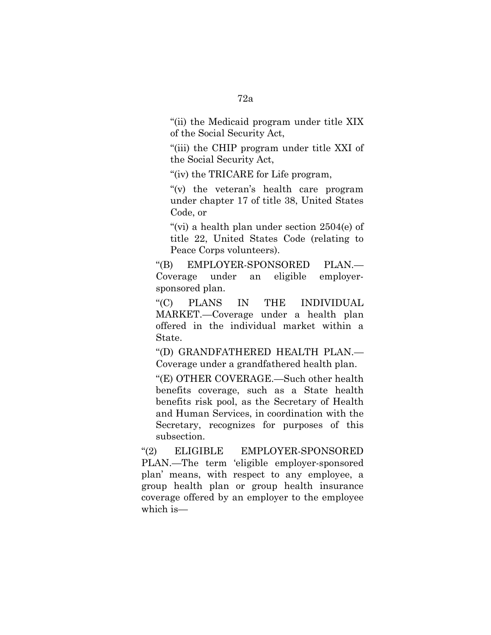''(ii) the Medicaid program under title XIX of the Social Security Act,

''(iii) the CHIP program under title XXI of the Social Security Act,

''(iv) the TRICARE for Life program,

"(v) the veteran's health care program under chapter 17 of title 38, United States Code, or

"(vi) a health plan under section  $2504(e)$  of title 22, United States Code (relating to Peace Corps volunteers).

''(B) EMPLOYER-SPONSORED PLAN.— Coverage under an eligible employersponsored plan.

''(C) PLANS IN THE INDIVIDUAL MARKET.—Coverage under a health plan offered in the individual market within a State.

''(D) GRANDFATHERED HEALTH PLAN.— Coverage under a grandfathered health plan.

''(E) OTHER COVERAGE.—Such other health benefits coverage, such as a State health benefits risk pool, as the Secretary of Health and Human Services, in coordination with the Secretary, recognizes for purposes of this subsection.

''(2) ELIGIBLE EMPLOYER-SPONSORED PLAN.—The term 'eligible employer-sponsored plan' means, with respect to any employee, a group health plan or group health insurance coverage offered by an employer to the employee which is—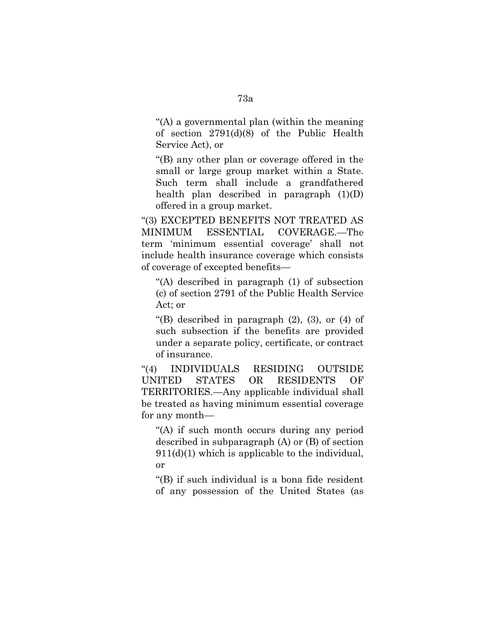''(A) a governmental plan (within the meaning of section 2791(d)(8) of the Public Health Service Act), or

''(B) any other plan or coverage offered in the small or large group market within a State. Such term shall include a grandfathered health plan described in paragraph  $(1)(D)$ offered in a group market.

''(3) EXCEPTED BENEFITS NOT TREATED AS MINIMUM ESSENTIAL COVERAGE.—The term 'minimum essential coverage' shall not include health insurance coverage which consists of coverage of excepted benefits—

''(A) described in paragraph (1) of subsection (c) of section 2791 of the Public Health Service Act; or

"(B) described in paragraph  $(2)$ ,  $(3)$ , or  $(4)$  of such subsection if the benefits are provided under a separate policy, certificate, or contract of insurance.

''(4) INDIVIDUALS RESIDING OUTSIDE UNITED STATES OR RESIDENTS OF TERRITORIES.—Any applicable individual shall be treated as having minimum essential coverage for any month—

"(A) if such month occurs during any period described in subparagraph (A) or (B) of section  $911(d)(1)$  which is applicable to the individual, or

''(B) if such individual is a bona fide resident of any possession of the United States (as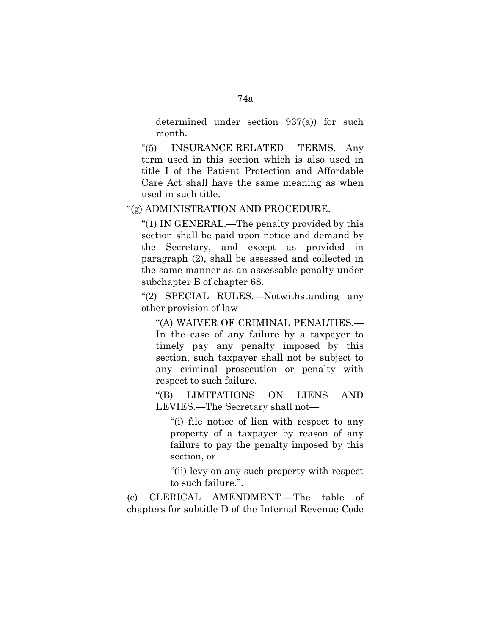determined under section 937(a)) for such month.

''(5) INSURANCE-RELATED TERMS.—Any term used in this section which is also used in title I of the Patient Protection and Affordable Care Act shall have the same meaning as when used in such title.

''(g) ADMINISTRATION AND PROCEDURE.—

''(1) IN GENERAL.—The penalty provided by this section shall be paid upon notice and demand by the Secretary, and except as provided in paragraph (2), shall be assessed and collected in the same manner as an assessable penalty under subchapter B of chapter 68.

''(2) SPECIAL RULES.—Notwithstanding any other provision of law—

''(A) WAIVER OF CRIMINAL PENALTIES.— In the case of any failure by a taxpayer to timely pay any penalty imposed by this section, such taxpayer shall not be subject to any criminal prosecution or penalty with respect to such failure.

''(B) LIMITATIONS ON LIENS AND LEVIES.—The Secretary shall not—

''(i) file notice of lien with respect to any property of a taxpayer by reason of any failure to pay the penalty imposed by this section, or

''(ii) levy on any such property with respect to such failure.''.

(c) CLERICAL AMENDMENT.—The table of chapters for subtitle D of the Internal Revenue Code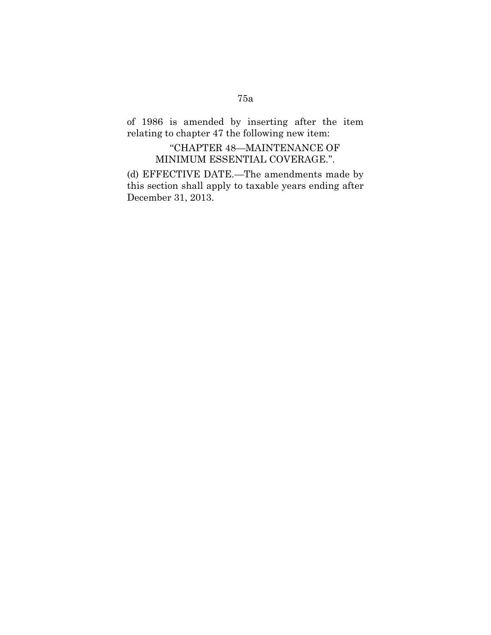## of 1986 is amended by inserting after the item relating to chapter 47 the following new item:

## ''CHAPTER 48—MAINTENANCE OF MINIMUM ESSENTIAL COVERAGE.''.

(d) EFFECTIVE DATE.—The amendments made by this section shall apply to taxable years ending after December 31, 2013.

# 75a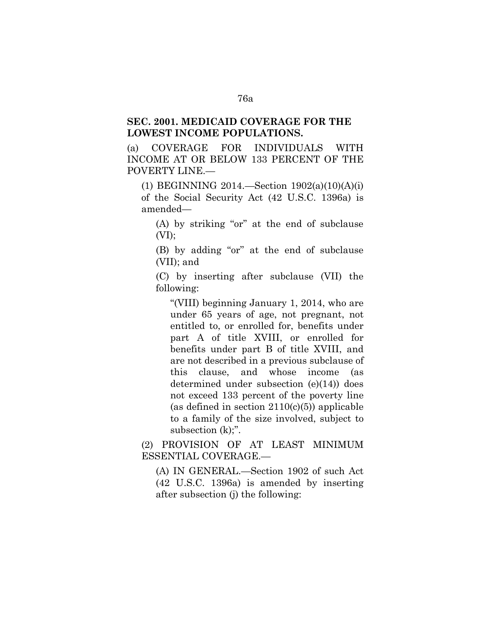### **SEC. 2001. MEDICAID COVERAGE FOR THE LOWEST INCOME POPULATIONS.**

(a) COVERAGE FOR INDIVIDUALS WITH INCOME AT OR BELOW 133 PERCENT OF THE POVERTY LINE.—

(1) BEGINNING 2014.—Section 1902(a)(10)(A)(i) of the Social Security Act (42 U.S.C. 1396a) is amended—

(A) by striking "or" at the end of subclause  $(VI)$ ;

(B) by adding "or" at the end of subclause (VII); and

(C) by inserting after subclause (VII) the following:

''(VIII) beginning January 1, 2014, who are under 65 years of age, not pregnant, not entitled to, or enrolled for, benefits under part A of title XVIII, or enrolled for benefits under part B of title XVIII, and are not described in a previous subclause of this clause, and whose income (as determined under subsection (e)(14)) does not exceed 133 percent of the poverty line (as defined in section  $2110(c)(5)$ ) applicable to a family of the size involved, subject to subsection (k);".

(2) PROVISION OF AT LEAST MINIMUM ESSENTIAL COVERAGE.—

(A) IN GENERAL.—Section 1902 of such Act (42 U.S.C. 1396a) is amended by inserting after subsection (j) the following: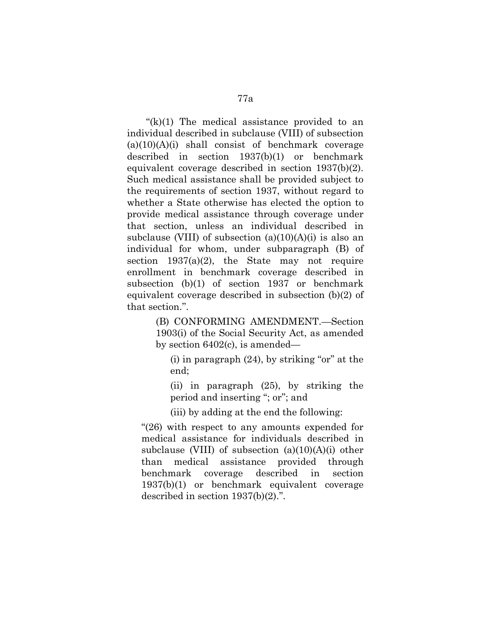" $(k)(1)$  The medical assistance provided to an individual described in subclause (VIII) of subsection  $(a)(10)(A)(i)$  shall consist of benchmark coverage described in section 1937(b)(1) or benchmark equivalent coverage described in section 1937(b)(2). Such medical assistance shall be provided subject to the requirements of section 1937, without regard to whether a State otherwise has elected the option to provide medical assistance through coverage under that section, unless an individual described in subclause (VIII) of subsection  $(a)(10)(A)(i)$  is also an individual for whom, under subparagraph (B) of section  $1937(a)(2)$ , the State may not require enrollment in benchmark coverage described in subsection (b)(1) of section 1937 or benchmark equivalent coverage described in subsection (b)(2) of that section.''.

> (B) CONFORMING AMENDMENT.—Section 1903(i) of the Social Security Act, as amended by section 6402(c), is amended—

 $(i)$  in paragraph  $(24)$ , by striking "or" at the end;

(ii) in paragraph (25), by striking the period and inserting ''; or''; and

(iii) by adding at the end the following:

" $(26)$  with respect to any amounts expended for medical assistance for individuals described in subclause (VIII) of subsection  $(a)(10)(A)(i)$  other than medical assistance provided through benchmark coverage described in section 1937(b)(1) or benchmark equivalent coverage described in section 1937(b)(2).''.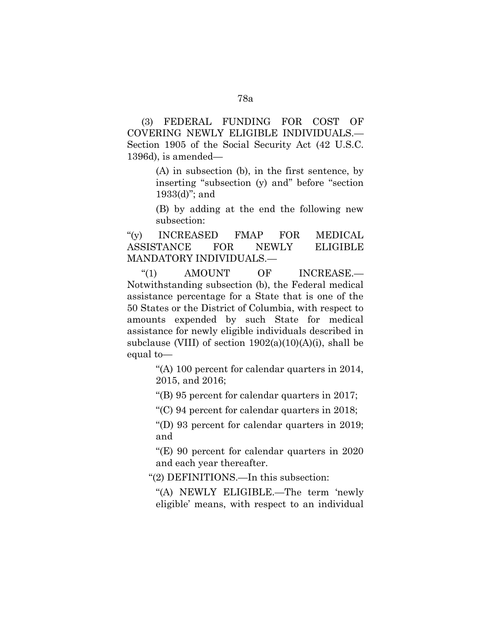(3) FEDERAL FUNDING FOR COST OF COVERING NEWLY ELIGIBLE INDIVIDUALS.— Section 1905 of the Social Security Act (42 U.S.C. 1396d), is amended—

> (A) in subsection (b), in the first sentence, by inserting ''subsection (y) and'' before ''section 1933(d)''; and

> (B) by adding at the end the following new subsection:

"(y) INCREASED FMAP FOR MEDICAL ASSISTANCE FOR NEWLY ELIGIBLE MANDATORY INDIVIDUALS.—

"(1) AMOUNT OF INCREASE.— Notwithstanding subsection (b), the Federal medical assistance percentage for a State that is one of the 50 States or the District of Columbia, with respect to amounts expended by such State for medical assistance for newly eligible individuals described in subclause (VIII) of section  $1902(a)(10)(A)(i)$ , shall be equal to—

> ''(A) 100 percent for calendar quarters in 2014, 2015, and 2016;

''(B) 95 percent for calendar quarters in 2017;

 $C$ ) 94 percent for calendar quarters in 2018;

''(D) 93 percent for calendar quarters in 2019; and

"(E) 90 percent for calendar quarters in  $2020$ and each year thereafter.

''(2) DEFINITIONS.—In this subsection:

''(A) NEWLY ELIGIBLE.—The term 'newly eligible' means, with respect to an individual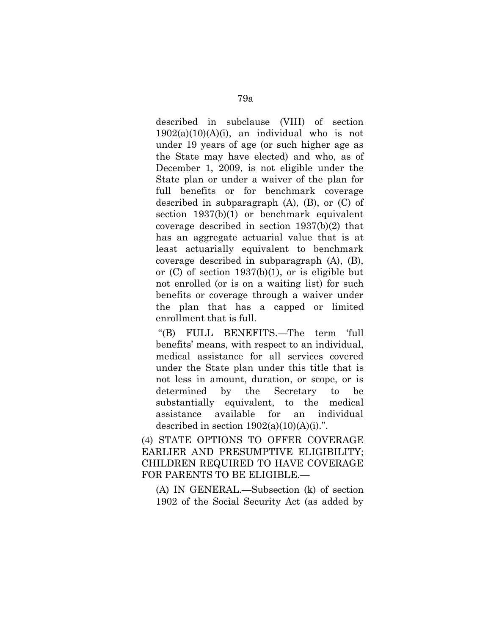described in subclause (VIII) of section  $1902(a)(10)(A)(i)$ , an individual who is not under 19 years of age (or such higher age as the State may have elected) and who, as of December 1, 2009, is not eligible under the State plan or under a waiver of the plan for full benefits or for benchmark coverage described in subparagraph (A), (B), or (C) of section 1937(b)(1) or benchmark equivalent coverage described in section 1937(b)(2) that has an aggregate actuarial value that is at least actuarially equivalent to benchmark coverage described in subparagraph (A), (B), or (C) of section 1937(b)(1), or is eligible but not enrolled (or is on a waiting list) for such benefits or coverage through a waiver under the plan that has a capped or limited enrollment that is full.

''(B) FULL BENEFITS.—The term 'full benefits' means, with respect to an individual, medical assistance for all services covered under the State plan under this title that is not less in amount, duration, or scope, or is determined by the Secretary to be substantially equivalent, to the medical assistance available for an individual described in section  $1902(a)(10)(A)(i)$ .".

(4) STATE OPTIONS TO OFFER COVERAGE EARLIER AND PRESUMPTIVE ELIGIBILITY; CHILDREN REQUIRED TO HAVE COVERAGE FOR PARENTS TO BE ELIGIBLE.—

(A) IN GENERAL.—Subsection (k) of section 1902 of the Social Security Act (as added by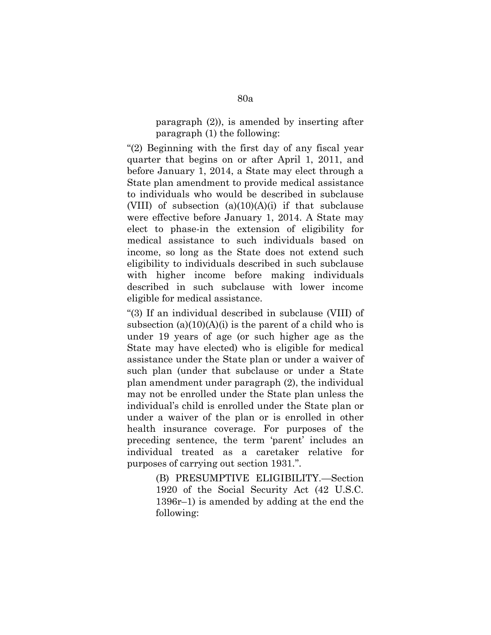paragraph (2)), is amended by inserting after paragraph (1) the following:

''(2) Beginning with the first day of any fiscal year quarter that begins on or after April 1, 2011, and before January 1, 2014, a State may elect through a State plan amendment to provide medical assistance to individuals who would be described in subclause (VIII) of subsection  $(a)(10)(A)(i)$  if that subclause were effective before January 1, 2014. A State may elect to phase-in the extension of eligibility for medical assistance to such individuals based on income, so long as the State does not extend such eligibility to individuals described in such subclause with higher income before making individuals described in such subclause with lower income eligible for medical assistance.

''(3) If an individual described in subclause (VIII) of subsection  $(a)(10)(A)(i)$  is the parent of a child who is under 19 years of age (or such higher age as the State may have elected) who is eligible for medical assistance under the State plan or under a waiver of such plan (under that subclause or under a State plan amendment under paragraph (2), the individual may not be enrolled under the State plan unless the individual's child is enrolled under the State plan or under a waiver of the plan or is enrolled in other health insurance coverage. For purposes of the preceding sentence, the term 'parent' includes an individual treated as a caretaker relative for purposes of carrying out section 1931.''.

> (B) PRESUMPTIVE ELIGIBILITY.—Section 1920 of the Social Security Act (42 U.S.C. 1396r–1) is amended by adding at the end the following: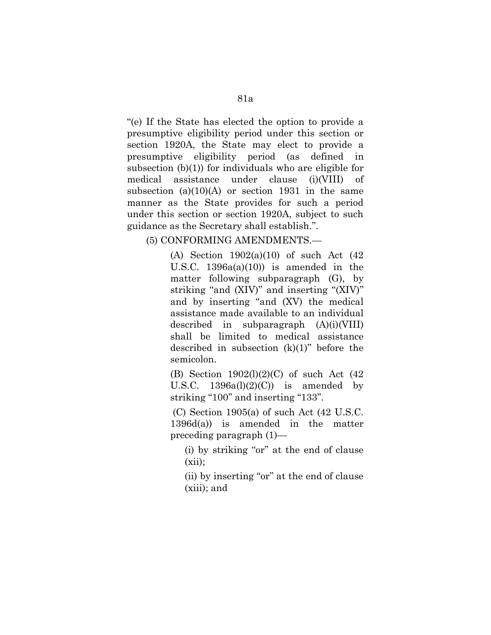''(e) If the State has elected the option to provide a presumptive eligibility period under this section or section 1920A, the State may elect to provide a presumptive eligibility period (as defined in subsection (b)(1)) for individuals who are eligible for medical assistance under clause (i)(VIII) of subsection  $(a)(10)(A)$  or section 1931 in the same manner as the State provides for such a period under this section or section 1920A, subject to such guidance as the Secretary shall establish.''.

(5) CONFORMING AMENDMENTS.—

(A) Section 1902(a)(10) of such Act (42 U.S.C.  $1396a(a)(10)$  is amended in the matter following subparagraph (G), by striking "and (XIV)" and inserting "(XIV)" and by inserting ''and (XV) the medical assistance made available to an individual described in subparagraph (A)(i)(VIII) shall be limited to medical assistance described in subsection  $(k)(1)$ " before the semicolon.

(B) Section 1902(l)(2)(C) of such Act (42 U.S.C.  $1396a(l)(2)(C)$  is amended by striking "100" and inserting "133".

(C) Section 1905(a) of such Act (42 U.S.C. 1396d(a)) is amended in the matter preceding paragraph (1)—

(i) by striking "or" at the end of clause  $(xii)$ ;

(ii) by inserting ''or'' at the end of clause (xiii); and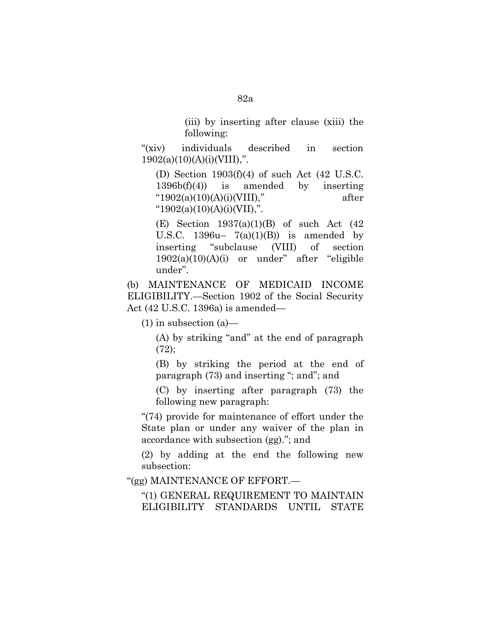(iii) by inserting after clause (xiii) the following:

"(xiv) individuals described in section  $1902(a)(10)(A)(i)(VIII),''$ .

(D) Section 1903(f)(4) of such Act (42 U.S.C. 1396b(f)(4)) is amended by inserting  $"1902(a)(10)(A)(i)(VIII),"$  after " $1902(a)(10)(A)(i)(VII),$ ".

(E) Section  $1937(a)(1)(B)$  of such Act  $(42)$ U.S.C.  $1396u - 7(a)(1)(B)$  is amended by inserting ''subclause (VIII) of section  $1902(a)(10)(A)(i)$  or under" after "eligible under''.

(b) MAINTENANCE OF MEDICAID INCOME ELIGIBILITY.—Section 1902 of the Social Security Act (42 U.S.C. 1396a) is amended—

(1) in subsection (a)—

(A) by striking ''and'' at the end of paragraph  $(72)$ ;

(B) by striking the period at the end of paragraph (73) and inserting ''; and''; and

(C) by inserting after paragraph (73) the following new paragraph:

''(74) provide for maintenance of effort under the State plan or under any waiver of the plan in accordance with subsection (gg).''; and

(2) by adding at the end the following new subsection:

''(gg) MAINTENANCE OF EFFORT.—

''(1) GENERAL REQUIREMENT TO MAINTAIN ELIGIBILITY STANDARDS UNTIL STATE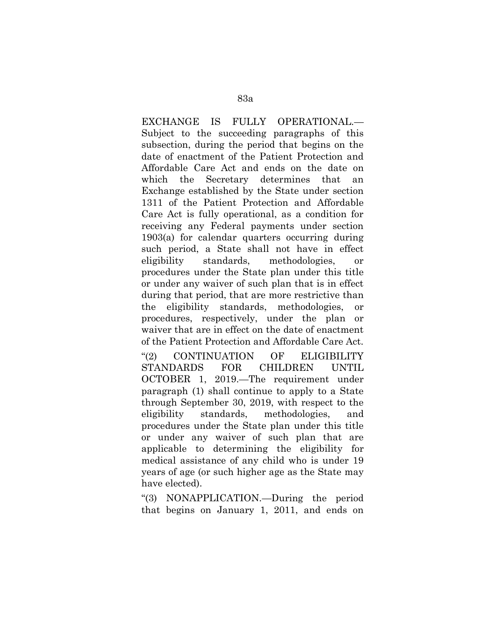EXCHANGE IS FULLY OPERATIONAL.— Subject to the succeeding paragraphs of this subsection, during the period that begins on the date of enactment of the Patient Protection and Affordable Care Act and ends on the date on which the Secretary determines that an Exchange established by the State under section 1311 of the Patient Protection and Affordable Care Act is fully operational, as a condition for receiving any Federal payments under section 1903(a) for calendar quarters occurring during such period, a State shall not have in effect eligibility standards, methodologies, or procedures under the State plan under this title or under any waiver of such plan that is in effect during that period, that are more restrictive than the eligibility standards, methodologies, procedures, respectively, under the plan or waiver that are in effect on the date of enactment of the Patient Protection and Affordable Care Act. ''(2) CONTINUATION OF ELIGIBILITY STANDARDS FOR CHILDREN UNTIL OCTOBER 1, 2019.—The requirement under paragraph (1) shall continue to apply to a State through September 30, 2019, with respect to the eligibility standards, methodologies, and procedures under the State plan under this title or under any waiver of such plan that are applicable to determining the eligibility for medical assistance of any child who is under 19 years of age (or such higher age as the State may have elected).

''(3) NONAPPLICATION.—During the period that begins on January 1, 2011, and ends on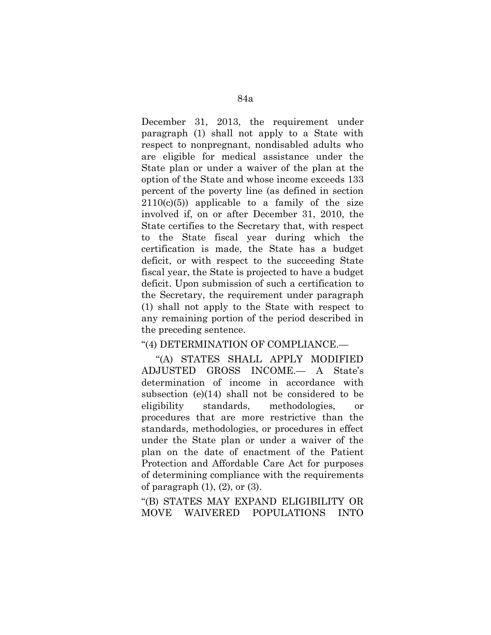December 31, 2013, the requirement under paragraph (1) shall not apply to a State with respect to nonpregnant, nondisabled adults who are eligible for medical assistance under the State plan or under a waiver of the plan at the option of the State and whose income exceeds 133 percent of the poverty line (as defined in section  $2110(c)(5)$  applicable to a family of the size involved if, on or after December 31, 2010, the State certifies to the Secretary that, with respect to the State fiscal year during which the certification is made, the State has a budget deficit, or with respect to the succeeding State fiscal year, the State is projected to have a budget deficit. Upon submission of such a certification to the Secretary, the requirement under paragraph (1) shall not apply to the State with respect to any remaining portion of the period described in the preceding sentence.

#### ''(4) DETERMINATION OF COMPLIANCE.—

''(A) STATES SHALL APPLY MODIFIED ADJUSTED GROSS INCOME.— A State's determination of income in accordance with subsection (e)(14) shall not be considered to be eligibility standards, methodologies, or procedures that are more restrictive than the standards, methodologies, or procedures in effect under the State plan or under a waiver of the plan on the date of enactment of the Patient Protection and Affordable Care Act for purposes of determining compliance with the requirements of paragraph  $(1)$ ,  $(2)$ , or  $(3)$ .

''(B) STATES MAY EXPAND ELIGIBILITY OR MOVE WAIVERED POPULATIONS INTO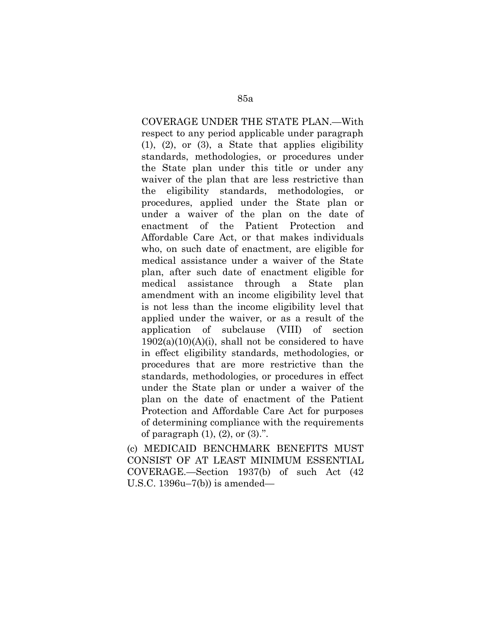COVERAGE UNDER THE STATE PLAN.—With respect to any period applicable under paragraph (1), (2), or (3), a State that applies eligibility standards, methodologies, or procedures under the State plan under this title or under any waiver of the plan that are less restrictive than the eligibility standards, methodologies, or procedures, applied under the State plan or under a waiver of the plan on the date of enactment of the Patient Protection and Affordable Care Act, or that makes individuals who, on such date of enactment, are eligible for medical assistance under a waiver of the State plan, after such date of enactment eligible for medical assistance through a State plan amendment with an income eligibility level that is not less than the income eligibility level that applied under the waiver, or as a result of the application of subclause (VIII) of section  $1902(a)(10)(A)(i)$ , shall not be considered to have in effect eligibility standards, methodologies, or procedures that are more restrictive than the standards, methodologies, or procedures in effect under the State plan or under a waiver of the plan on the date of enactment of the Patient Protection and Affordable Care Act for purposes of determining compliance with the requirements of paragraph  $(1)$ ,  $(2)$ , or  $(3)$ .".

(c) MEDICAID BENCHMARK BENEFITS MUST CONSIST OF AT LEAST MINIMUM ESSENTIAL COVERAGE.—Section 1937(b) of such Act (42 U.S.C. 1396u–7(b)) is amended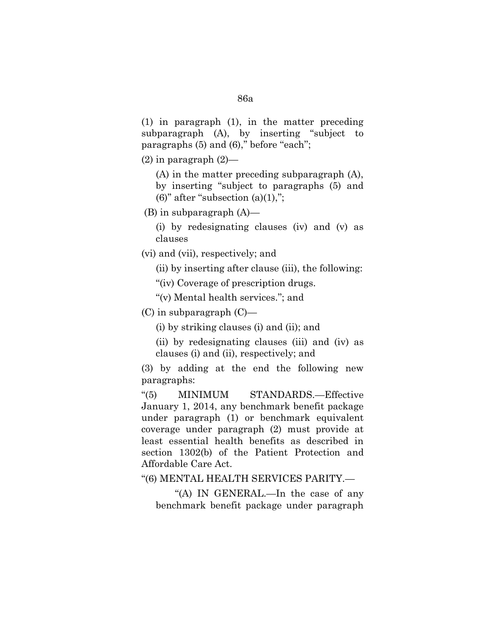(1) in paragraph (1), in the matter preceding subparagraph (A), by inserting "subject to paragraphs  $(5)$  and  $(6)$ ," before "each";

 $(2)$  in paragraph  $(2)$ —

(A) in the matter preceding subparagraph (A), by inserting ''subject to paragraphs (5) and (6)" after "subsection  $(a)(1)$ ,";

(B) in subparagraph (A)—

(i) by redesignating clauses (iv) and (v) as clauses

(vi) and (vii), respectively; and

(ii) by inserting after clause (iii), the following:

"(iv) Coverage of prescription drugs.

''(v) Mental health services.''; and

(C) in subparagraph (C)—

(i) by striking clauses (i) and (ii); and

(ii) by redesignating clauses (iii) and (iv) as clauses (i) and (ii), respectively; and

(3) by adding at the end the following new paragraphs:

''(5) MINIMUM STANDARDS.—Effective January 1, 2014, any benchmark benefit package under paragraph (1) or benchmark equivalent coverage under paragraph (2) must provide at least essential health benefits as described in section 1302(b) of the Patient Protection and Affordable Care Act.

''(6) MENTAL HEALTH SERVICES PARITY.—

''(A) IN GENERAL.—In the case of any benchmark benefit package under paragraph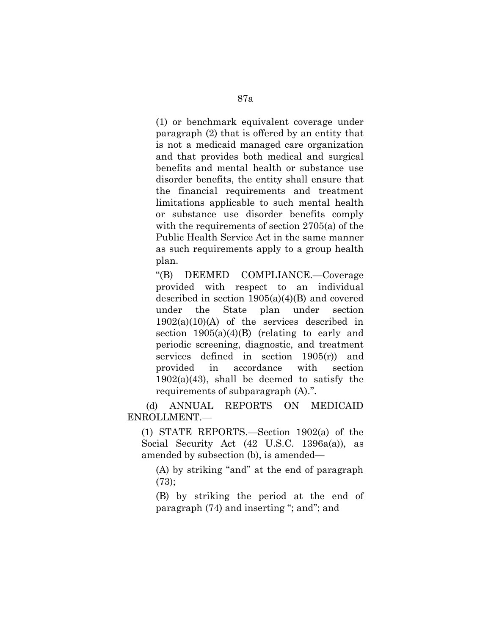(1) or benchmark equivalent coverage under paragraph (2) that is offered by an entity that is not a medicaid managed care organization and that provides both medical and surgical benefits and mental health or substance use disorder benefits, the entity shall ensure that the financial requirements and treatment limitations applicable to such mental health or substance use disorder benefits comply with the requirements of section 2705(a) of the Public Health Service Act in the same manner as such requirements apply to a group health plan.

''(B) DEEMED COMPLIANCE.—Coverage provided with respect to an individual described in section 1905(a)(4)(B) and covered under the State plan under section  $1902(a)(10)(A)$  of the services described in section  $1905(a)(4)(B)$  (relating to early and periodic screening, diagnostic, and treatment services defined in section 1905(r)) and provided in accordance with section  $1902(a)(43)$ , shall be deemed to satisfy the requirements of subparagraph (A).''.

(d) ANNUAL REPORTS ON MEDICAID ENROLLMENT.—

(1) STATE REPORTS.—Section 1902(a) of the Social Security Act (42 U.S.C. 1396a(a)), as amended by subsection (b), is amended—

(A) by striking ''and'' at the end of paragraph  $(73);$ 

(B) by striking the period at the end of paragraph (74) and inserting "; and"; and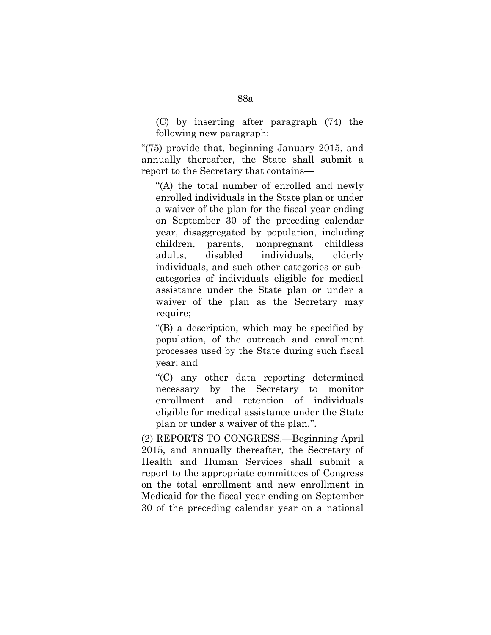(C) by inserting after paragraph (74) the following new paragraph:

" $(75)$  provide that, beginning January 2015, and annually thereafter, the State shall submit a report to the Secretary that contains—

"(A) the total number of enrolled and newly enrolled individuals in the State plan or under a waiver of the plan for the fiscal year ending on September 30 of the preceding calendar year, disaggregated by population, including children, parents, nonpregnant childless adults, disabled individuals, elderly individuals, and such other categories or subcategories of individuals eligible for medical assistance under the State plan or under a waiver of the plan as the Secretary may require;

''(B) a description, which may be specified by population, of the outreach and enrollment processes used by the State during such fiscal year; and

''(C) any other data reporting determined necessary by the Secretary to monitor enrollment and retention of individuals eligible for medical assistance under the State plan or under a waiver of the plan.''.

(2) REPORTS TO CONGRESS.—Beginning April 2015, and annually thereafter, the Secretary of Health and Human Services shall submit a report to the appropriate committees of Congress on the total enrollment and new enrollment in Medicaid for the fiscal year ending on September 30 of the preceding calendar year on a national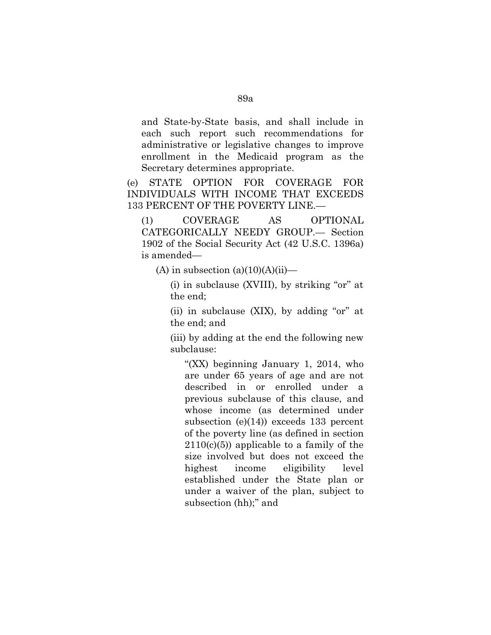and State-by-State basis, and shall include in each such report such recommendations for administrative or legislative changes to improve enrollment in the Medicaid program as the Secretary determines appropriate.

(e) STATE OPTION FOR COVERAGE FOR INDIVIDUALS WITH INCOME THAT EXCEEDS 133 PERCENT OF THE POVERTY LINE.—

(1) COVERAGE AS OPTIONAL CATEGORICALLY NEEDY GROUP.— Section 1902 of the Social Security Act (42 U.S.C. 1396a) is amended—

(A) in subsection  $(a)(10)(A)(ii)$ —

 $(i)$  in subclause (XVIII), by striking "or" at the end;

(ii) in subclause  $(XIX)$ , by adding "or" at the end; and

(iii) by adding at the end the following new subclause:

"(XX) beginning January 1, 2014, who are under 65 years of age and are not described in or enrolled under a previous subclause of this clause, and whose income (as determined under subsection (e) $(14)$ ) exceeds 133 percent of the poverty line (as defined in section  $2110(c)(5)$  applicable to a family of the size involved but does not exceed the highest income eligibility level established under the State plan or under a waiver of the plan, subject to subsection (hh);" and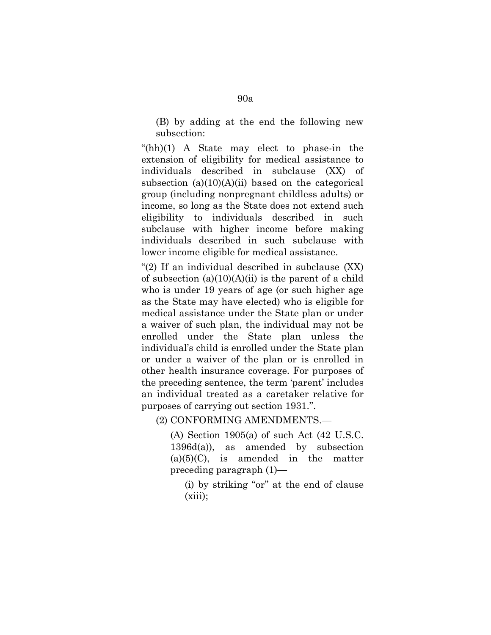(B) by adding at the end the following new subsection:

 $(hh)(1)$  A State may elect to phase-in the extension of eligibility for medical assistance to individuals described in subclause (XX) of subsection  $(a)(10)(A)(ii)$  based on the categorical group (including nonpregnant childless adults) or income, so long as the State does not extend such eligibility to individuals described in such subclause with higher income before making individuals described in such subclause with lower income eligible for medical assistance.

" $(2)$  If an individual described in subclause  $(XX)$ of subsection  $(a)(10)(A)(ii)$  is the parent of a child who is under 19 years of age (or such higher age as the State may have elected) who is eligible for medical assistance under the State plan or under a waiver of such plan, the individual may not be enrolled under the State plan unless the individual's child is enrolled under the State plan or under a waiver of the plan or is enrolled in other health insurance coverage. For purposes of the preceding sentence, the term 'parent' includes an individual treated as a caretaker relative for purposes of carrying out section 1931.''.

(2) CONFORMING AMENDMENTS.—

(A) Section 1905(a) of such Act (42 U.S.C. 1396d(a)), as amended by subsection  $(a)(5)(C)$ , is amended in the matter preceding paragraph (1)—

(i) by striking "or" at the end of clause  $(xiii);$